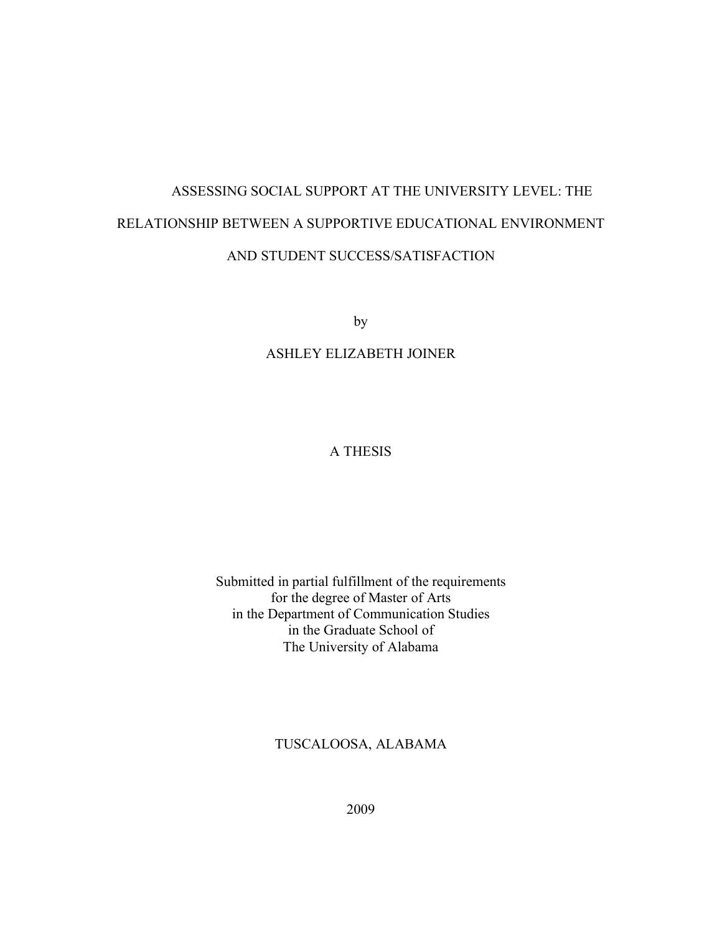# ASSESSING SOCIAL SUPPORT AT THE UNIVERSITY LEVEL: THE RELATIONSHIP BETWEEN A SUPPORTIVE EDUCATIONAL ENVIRONMENT AND STUDENT SUCCESS/SATISFACTION

by

## ASHLEY ELIZABETH JOINER

# A THESIS

Submitted in partial fulfillment of the requirements for the degree of Master of Arts in the Department of Communication Studies in the Graduate School of The University of Alabama

TUSCALOOSA, ALABAMA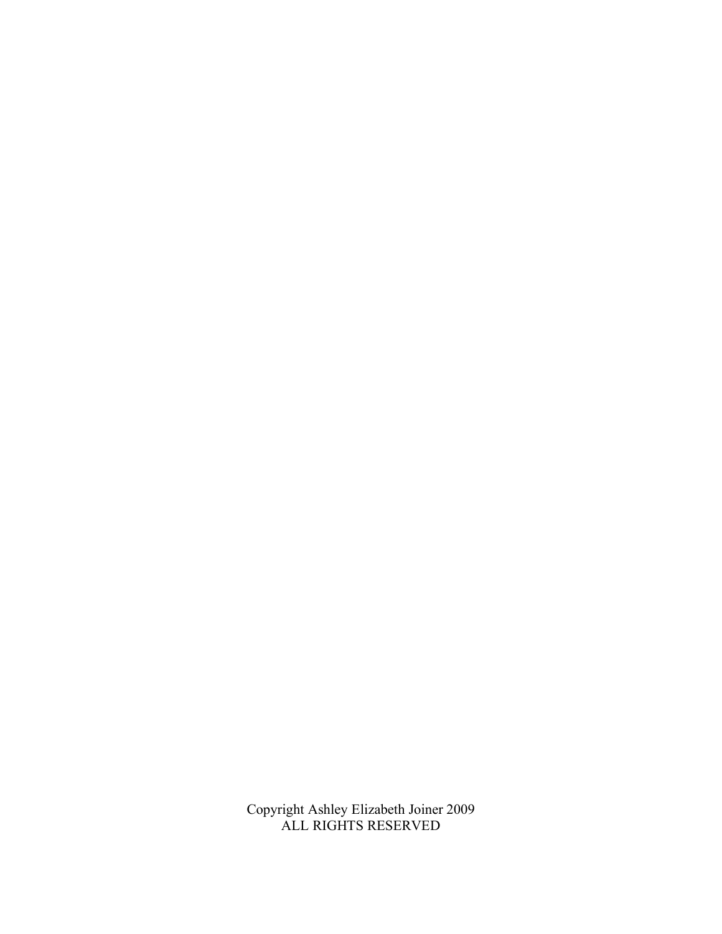Copyright Ashley Elizabeth Joiner 2009 ALL RIGHTS RESERVED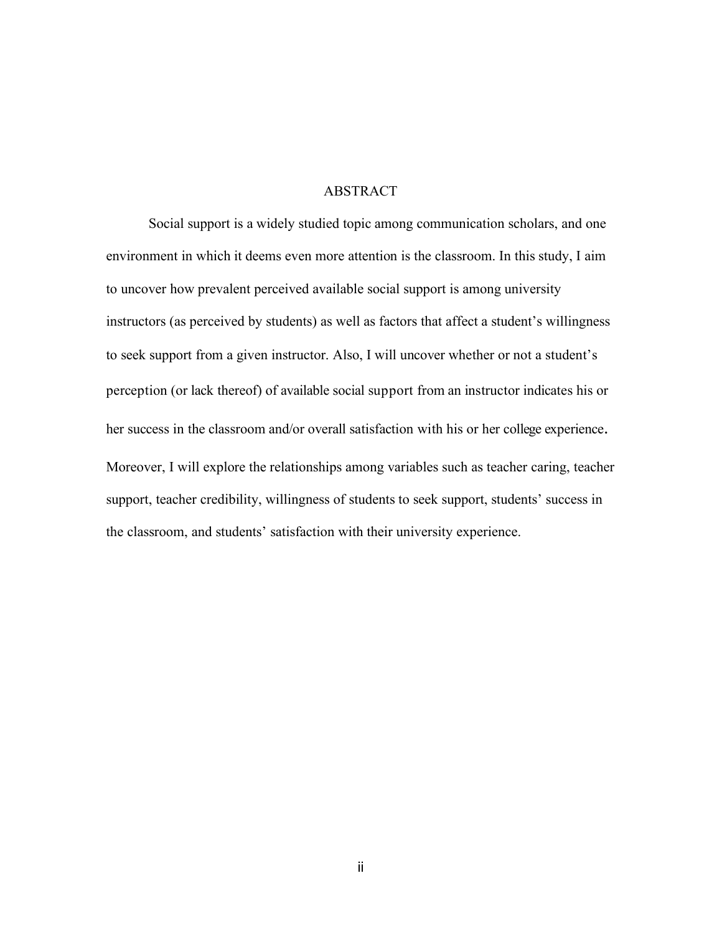#### **ABSTRACT**

Social support is a widely studied topic among communication scholars, and one environment in which it deems even more attention is the classroom. In this study, I aim to uncover how prevalent perceived available social support is among university instructors (as perceived by students) as well as factors that affect a student's willingness to seek support from a given instructor. Also, I will uncover whether or not a student's perception (or lack thereof) of available social support from an instructor indicates his or her success in the classroom and/or overall satisfaction with his or her college experience. Moreover, I will explore the relationships among variables such as teacher caring, teacher support, teacher credibility, willingness of students to seek support, students' success in the classroom, and students' satisfaction with their university experience.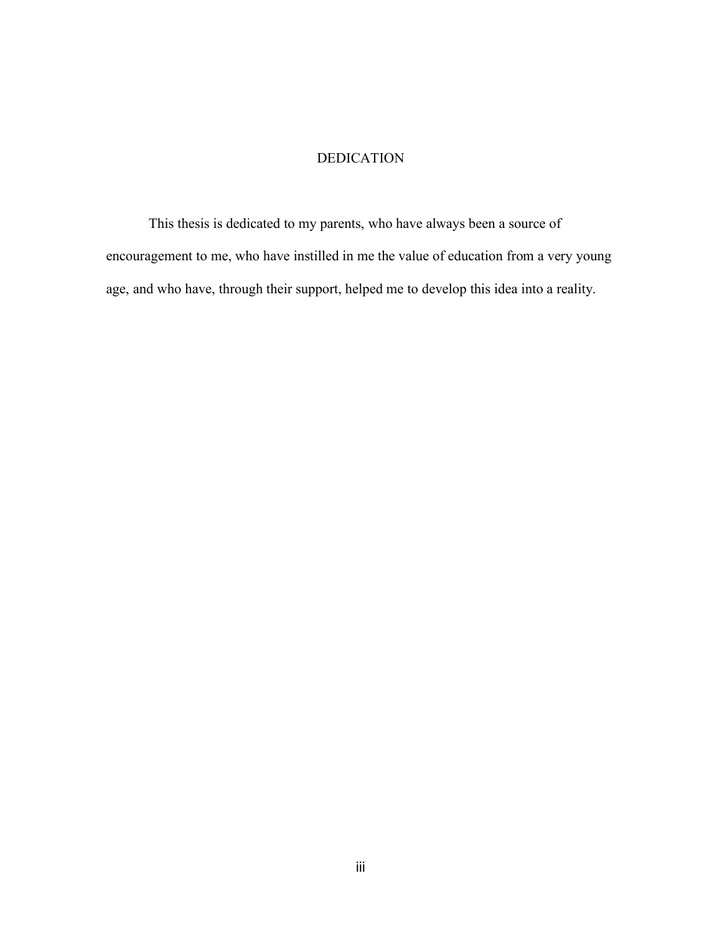# DEDICATION

This thesis is dedicated to my parents, who have always been a source of encouragement to me, who have instilled in me the value of education from a very young age, and who have, through their support, helped me to develop this idea into a reality.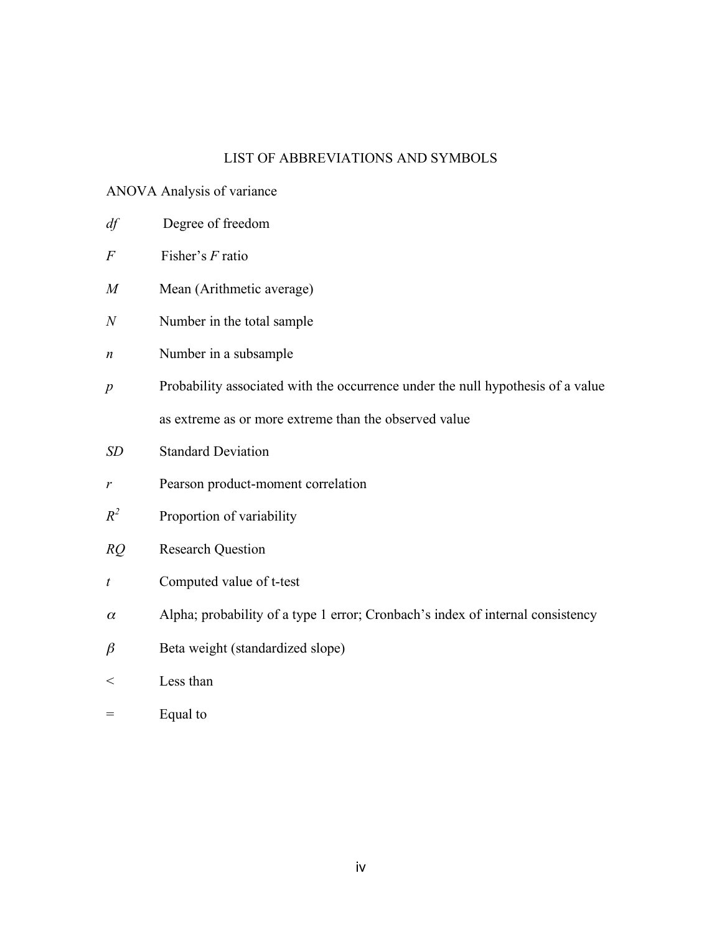# LIST OF ABBREVIATIONS AND SYMBOLS

## ANOVA Analysis of variance

- *df* Degree of freedom
- *F* Fisher's *F* ratio
- *M* Mean (Arithmetic average)
- *N* Number in the total sample
- *n* Number in a subsample
- *p* Probability associated with the occurrence under the null hypothesis of a value as extreme as or more extreme than the observed value
- *SD* Standard Deviation
- *r* Pearson product-moment correlation
- *R<sup>2</sup>* Proportion of variability
- *RQ* Research Question
- *t* Computed value of t-test
- $\alpha$  Alpha; probability of a type 1 error; Cronbach's index of internal consistency
- $\beta$  Beta weight (standardized slope)
- < Less than
- $=$  Equal to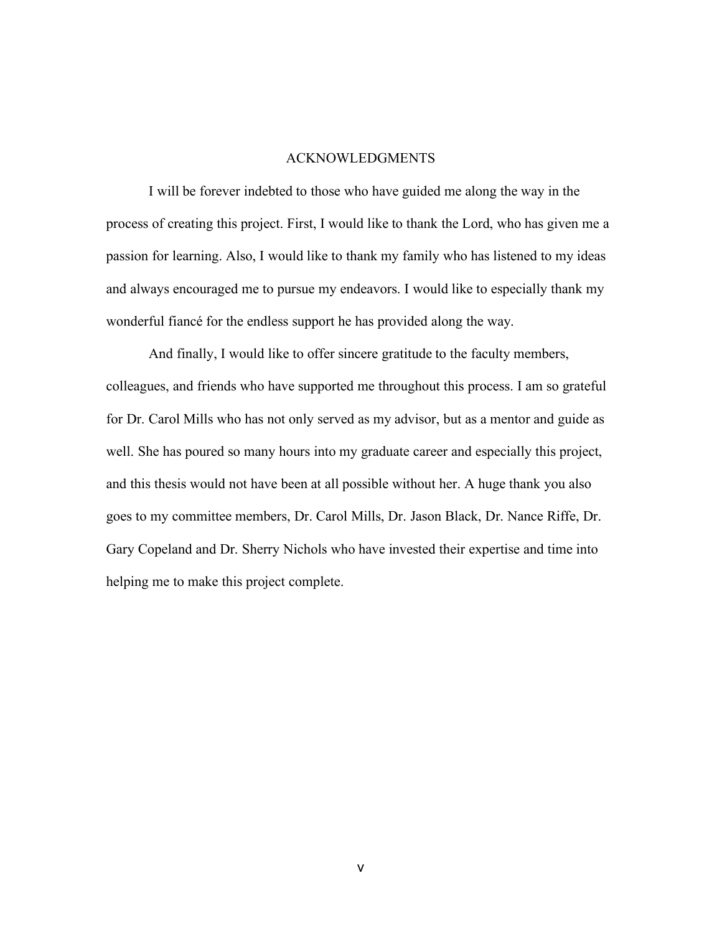#### ACKNOWLEDGMENTS

I will be forever indebted to those who have guided me along the way in the process of creating this project. First, I would like to thank the Lord, who has given me a passion for learning. Also, I would like to thank my family who has listened to my ideas and always encouraged me to pursue my endeavors. I would like to especially thank my wonderful fiancé for the endless support he has provided along the way.

And finally, I would like to offer sincere gratitude to the faculty members, colleagues, and friends who have supported me throughout this process. I am so grateful for Dr. Carol Mills who has not only served as my advisor, but as a mentor and guide as well. She has poured so many hours into my graduate career and especially this project, and this thesis would not have been at all possible without her. A huge thank you also goes to my committee members, Dr. Carol Mills, Dr. Jason Black, Dr. Nance Riffe, Dr. Gary Copeland and Dr. Sherry Nichols who have invested their expertise and time into helping me to make this project complete.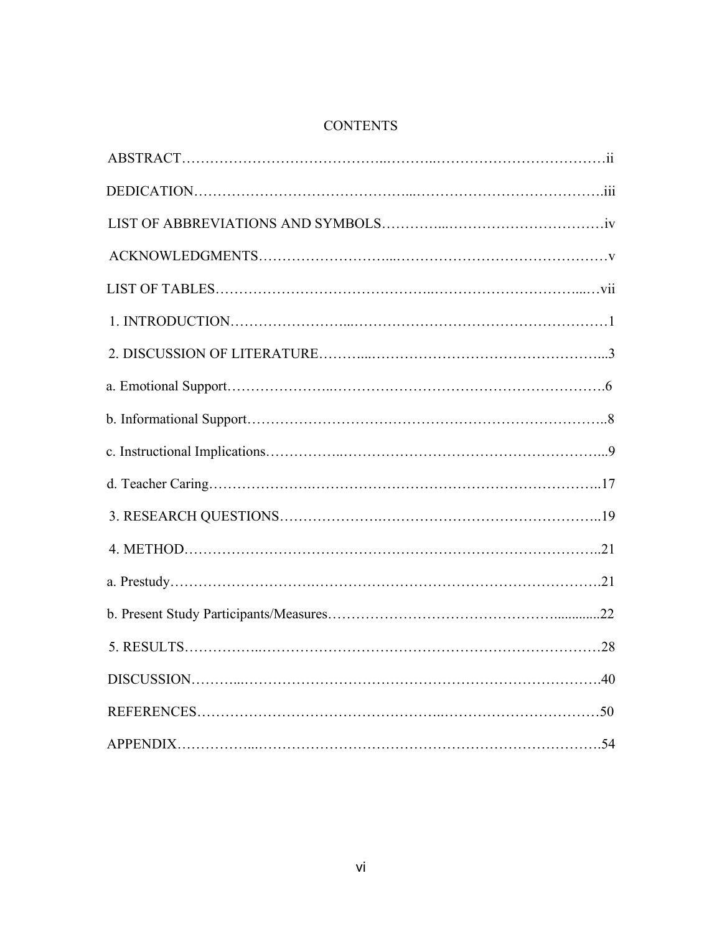# **CONTENTS**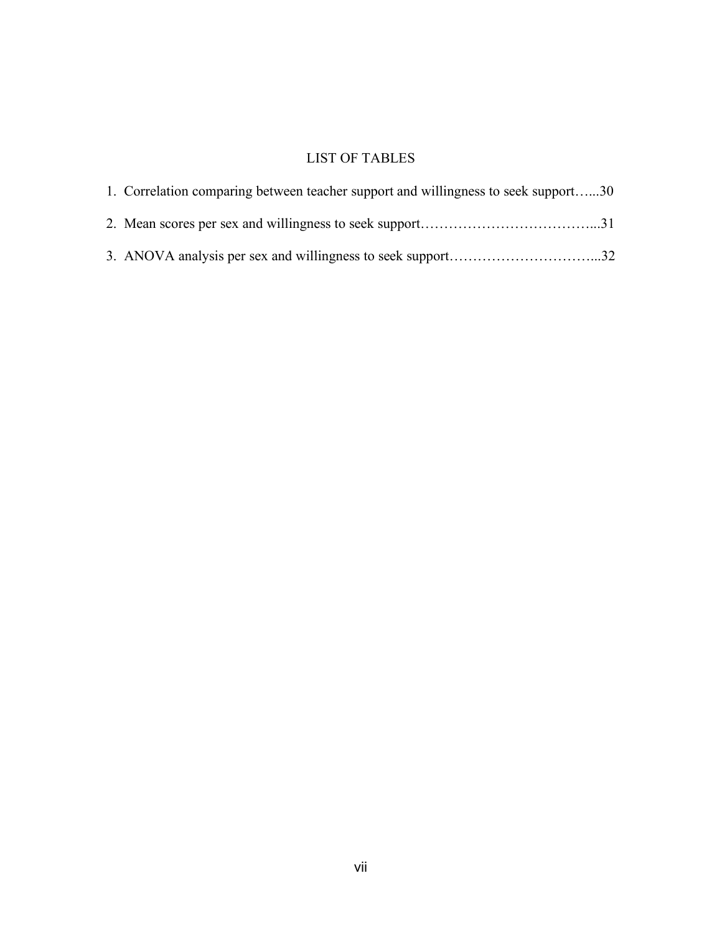# LIST OF TABLES

| 1. Correlation comparing between teacher support and willingness to seek support30 |  |
|------------------------------------------------------------------------------------|--|
|                                                                                    |  |
|                                                                                    |  |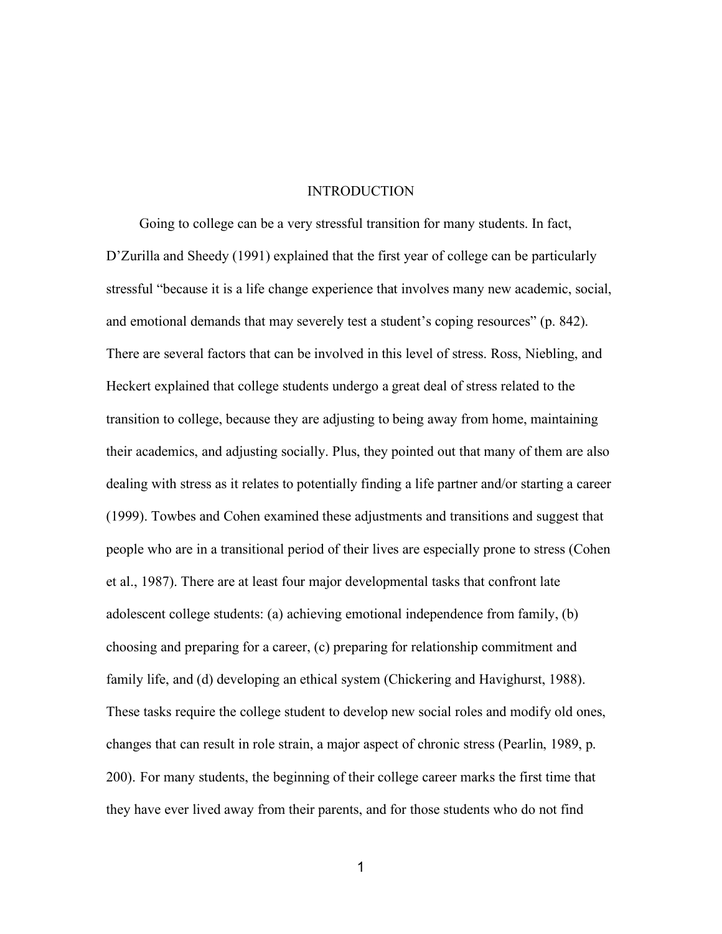#### INTRODUCTION

Going to college can be a very stressful transition for many students. In fact, D'Zurilla and Sheedy (1991) explained that the first year of college can be particularly stressful "because it is a life change experience that involves many new academic, social, and emotional demands that may severely test a student's coping resources" (p. 842). There are several factors that can be involved in this level of stress. Ross, Niebling, and Heckert explained that college students undergo a great deal of stress related to the transition to college, because they are adjusting to being away from home, maintaining their academics, and adjusting socially. Plus, they pointed out that many of them are also dealing with stress as it relates to potentially finding a life partner and/or starting a career (1999). Towbes and Cohen examined these adjustments and transitions and suggest that people who are in a transitional period of their lives are especially prone to stress (Cohen et al., 1987). There are at least four major developmental tasks that confront late adolescent college students: (a) achieving emotional independence from family, (b) choosing and preparing for a career, (c) preparing for relationship commitment and family life, and (d) developing an ethical system (Chickering and Havighurst, 1988). These tasks require the college student to develop new social roles and modify old ones, changes that can result in role strain, a major aspect of chronic stress (Pearlin, 1989, p. 200). For many students, the beginning of their college career marks the first time that they have ever lived away from their parents, and for those students who do not find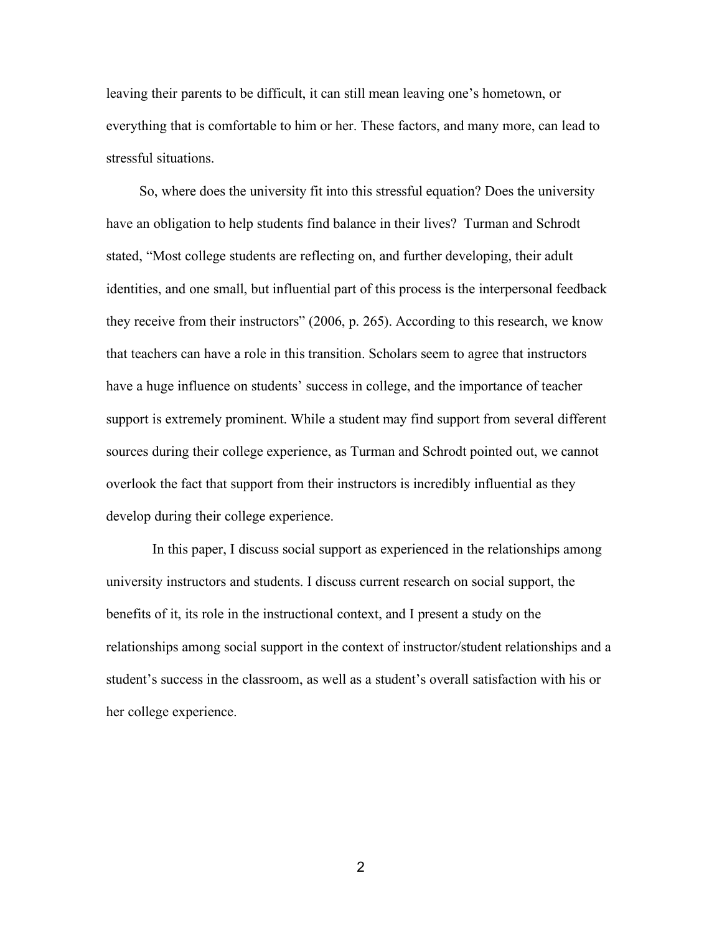leaving their parents to be difficult, it can still mean leaving one's hometown, or everything that is comfortable to him or her. These factors, and many more, can lead to stressful situations.

So, where does the university fit into this stressful equation? Does the university have an obligation to help students find balance in their lives? Turman and Schrodt stated, "Most college students are reflecting on, and further developing, their adult identities, and one small, but influential part of this process is the interpersonal feedback they receive from their instructors" (2006, p. 265). According to this research, we know that teachers can have a role in this transition. Scholars seem to agree that instructors have a huge influence on students' success in college, and the importance of teacher support is extremely prominent. While a student may find support from several different sources during their college experience, as Turman and Schrodt pointed out, we cannot overlook the fact that support from their instructors is incredibly influential as they develop during their college experience.

In this paper, I discuss social support as experienced in the relationships among university instructors and students. I discuss current research on social support, the benefits of it, its role in the instructional context, and I present a study on the relationships among social support in the context of instructor/student relationships and a student's success in the classroom, as well as a student's overall satisfaction with his or her college experience.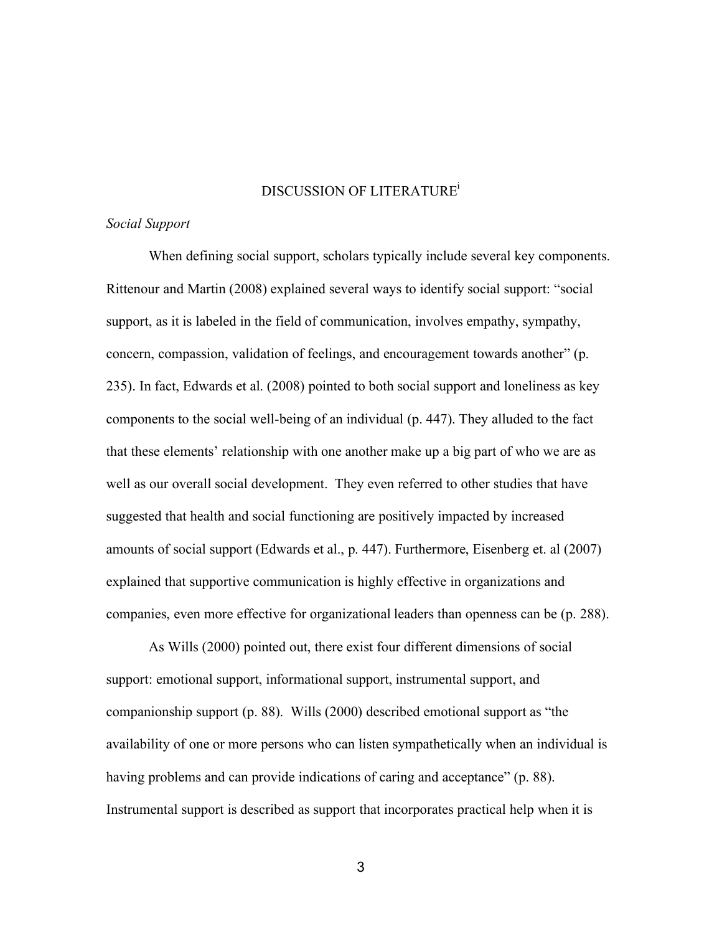#### DISCUSSION OF LITERATUREi

#### *Social Support*

When defining social support, scholars typically include several key components. Rittenour and Martin (2008) explained several ways to identify social support: "social support, as it is labeled in the field of communication, involves empathy, sympathy, concern, compassion, validation of feelings, and encouragement towards another" (p. 235). In fact, Edwards et al. (2008) pointed to both social support and loneliness as key components to the social well-being of an individual (p. 447). They alluded to the fact that these elements' relationship with one another make up a big part of who we are as well as our overall social development. They even referred to other studies that have suggested that health and social functioning are positively impacted by increased amounts of social support (Edwards et al., p. 447). Furthermore, Eisenberg et. al (2007) explained that supportive communication is highly effective in organizations and companies, even more effective for organizational leaders than openness can be (p. 288).

As Wills (2000) pointed out, there exist four different dimensions of social support: emotional support, informational support, instrumental support, and companionship support (p. 88). Wills (2000) described emotional support as "the availability of one or more persons who can listen sympathetically when an individual is having problems and can provide indications of caring and acceptance" (p. 88). Instrumental support is described as support that incorporates practical help when it is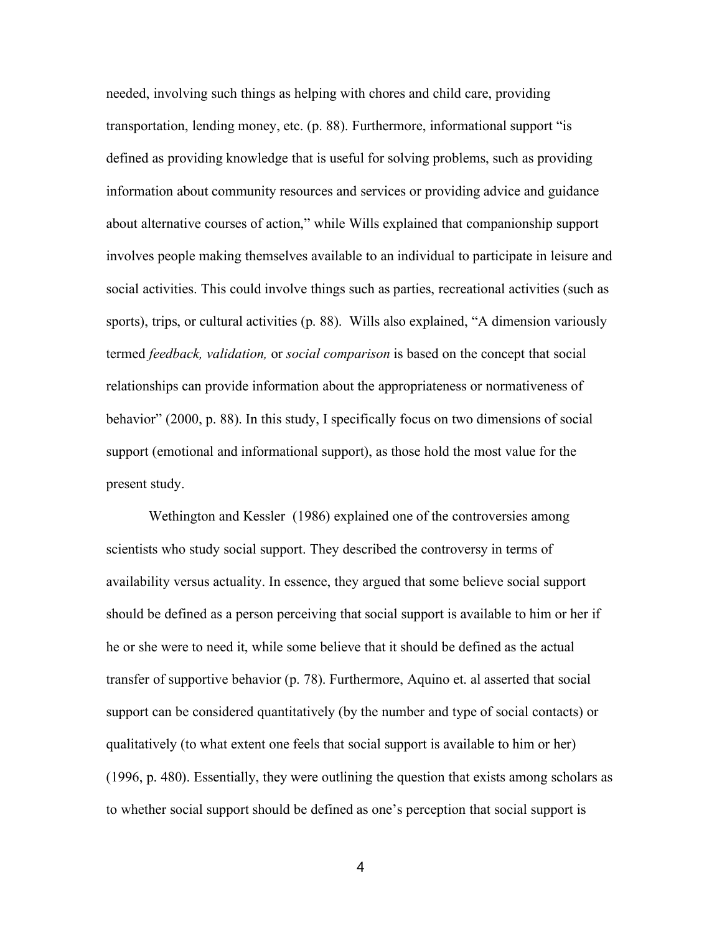needed, involving such things as helping with chores and child care, providing transportation, lending money, etc. (p. 88). Furthermore, informational support "is defined as providing knowledge that is useful for solving problems, such as providing information about community resources and services or providing advice and guidance about alternative courses of action," while Wills explained that companionship support involves people making themselves available to an individual to participate in leisure and social activities. This could involve things such as parties, recreational activities (such as sports), trips, or cultural activities (p. 88). Wills also explained, "A dimension variously termed *feedback, validation,* or *social comparison* is based on the concept that social relationships can provide information about the appropriateness or normativeness of behavior" (2000, p. 88). In this study, I specifically focus on two dimensions of social support (emotional and informational support), as those hold the most value for the present study.

Wethington and Kessler (1986) explained one of the controversies among scientists who study social support. They described the controversy in terms of availability versus actuality. In essence, they argued that some believe social support should be defined as a person perceiving that social support is available to him or her if he or she were to need it, while some believe that it should be defined as the actual transfer of supportive behavior (p. 78). Furthermore, Aquino et. al asserted that social support can be considered quantitatively (by the number and type of social contacts) or qualitatively (to what extent one feels that social support is available to him or her) (1996, p. 480). Essentially, they were outlining the question that exists among scholars as to whether social support should be defined as one's perception that social support is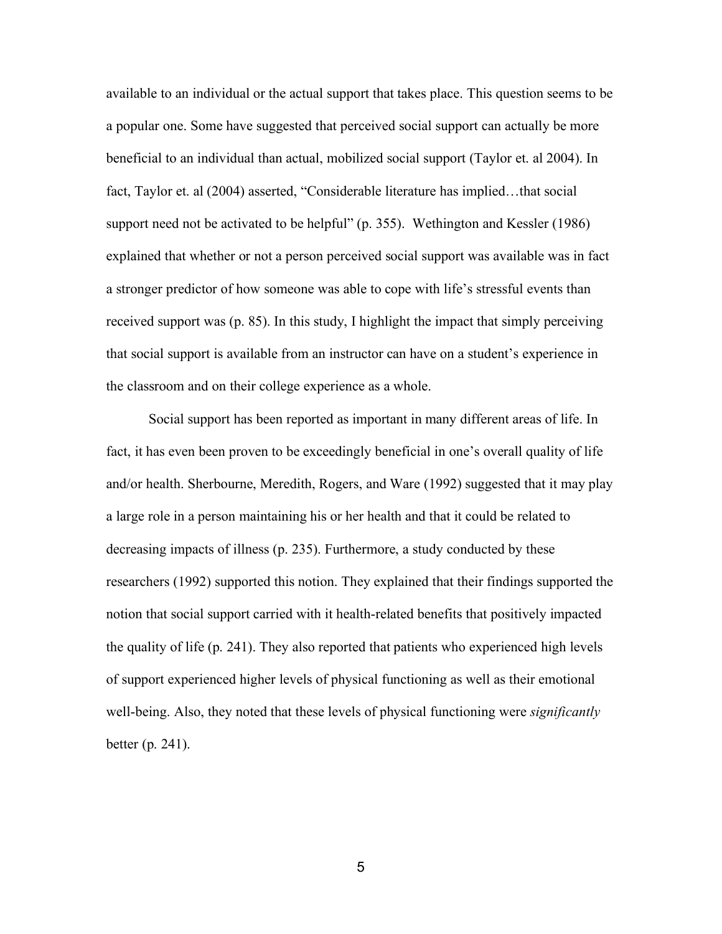available to an individual or the actual support that takes place. This question seems to be a popular one. Some have suggested that perceived social support can actually be more beneficial to an individual than actual, mobilized social support (Taylor et. al 2004). In fact, Taylor et. al (2004) asserted, "Considerable literature has implied…that social support need not be activated to be helpful" (p. 355). Wethington and Kessler (1986) explained that whether or not a person perceived social support was available was in fact a stronger predictor of how someone was able to cope with life's stressful events than received support was (p. 85). In this study, I highlight the impact that simply perceiving that social support is available from an instructor can have on a student's experience in the classroom and on their college experience as a whole.

Social support has been reported as important in many different areas of life. In fact, it has even been proven to be exceedingly beneficial in one's overall quality of life and/or health. Sherbourne, Meredith, Rogers, and Ware (1992) suggested that it may play a large role in a person maintaining his or her health and that it could be related to decreasing impacts of illness (p. 235). Furthermore, a study conducted by these researchers (1992) supported this notion. They explained that their findings supported the notion that social support carried with it health-related benefits that positively impacted the quality of life (p. 241). They also reported that patients who experienced high levels of support experienced higher levels of physical functioning as well as their emotional well-being. Also, they noted that these levels of physical functioning were *significantly* better (p. 241).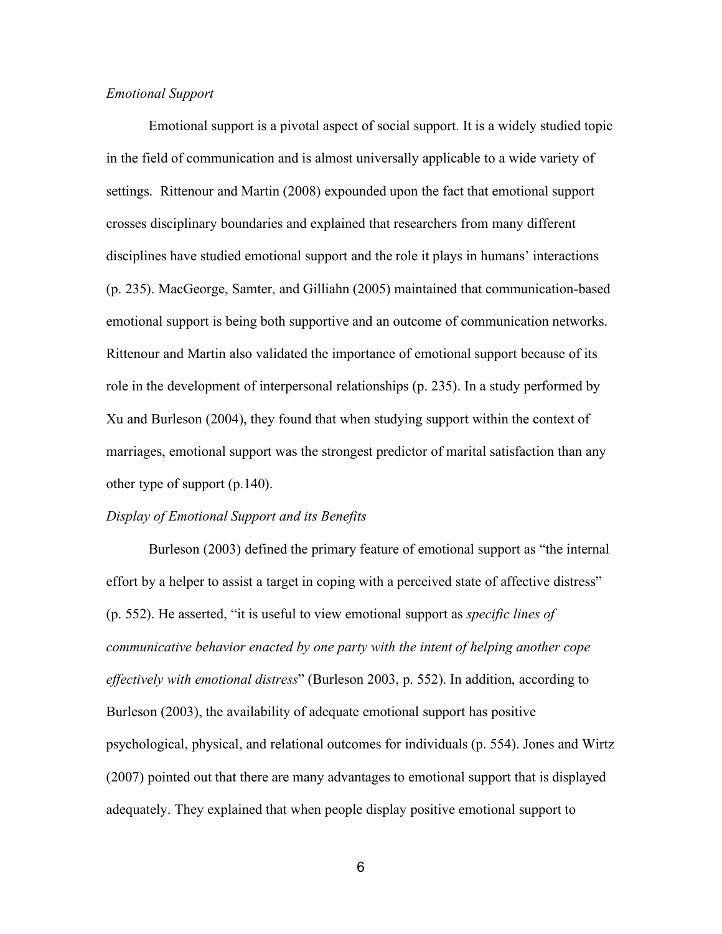### *Emotional Support*

Emotional support is a pivotal aspect of social support. It is a widely studied topic in the field of communication and is almost universally applicable to a wide variety of settings. Rittenour and Martin (2008) expounded upon the fact that emotional support crosses disciplinary boundaries and explained that researchers from many different disciplines have studied emotional support and the role it plays in humans' interactions (p. 235). MacGeorge, Samter, and Gilliahn (2005) maintained that communication-based emotional support is being both supportive and an outcome of communication networks. Rittenour and Martin also validated the importance of emotional support because of its role in the development of interpersonal relationships (p. 235). In a study performed by Xu and Burleson (2004), they found that when studying support within the context of marriages, emotional support was the strongest predictor of marital satisfaction than any other type of support (p.140).

#### *Display of Emotional Support and its Benefits*

Burleson (2003) defined the primary feature of emotional support as "the internal effort by a helper to assist a target in coping with a perceived state of affective distress" (p. 552). He asserted, "it is useful to view emotional support as *specific lines of communicative behavior enacted by one party with the intent of helping another cope effectively with emotional distress*" (Burleson 2003, p. 552). In addition, according to Burleson (2003), the availability of adequate emotional support has positive psychological, physical, and relational outcomes for individuals (p. 554). Jones and Wirtz (2007) pointed out that there are many advantages to emotional support that is displayed adequately. They explained that when people display positive emotional support to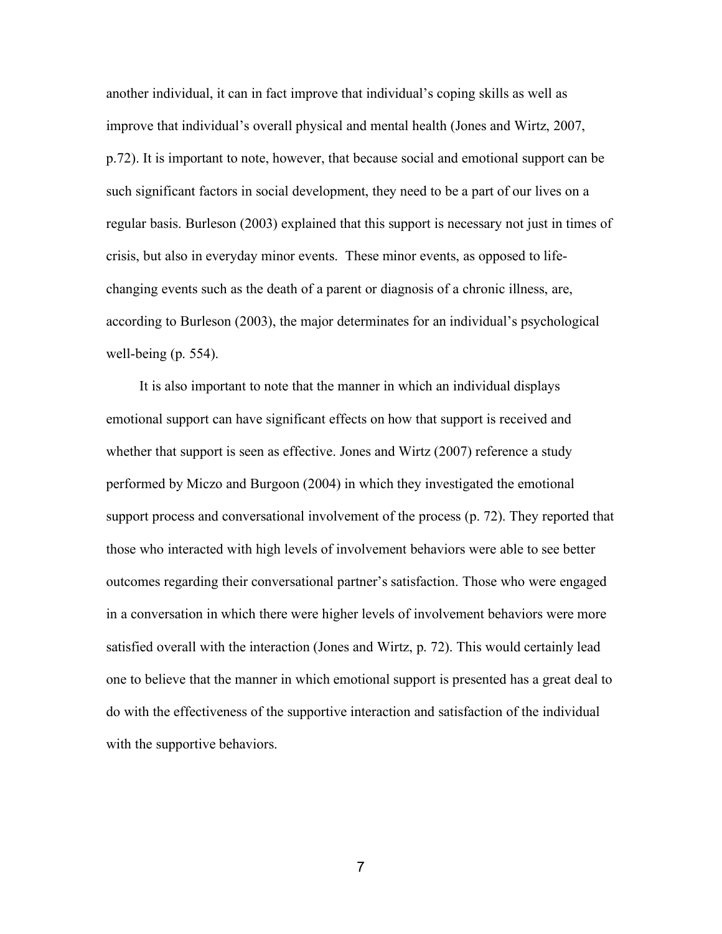another individual, it can in fact improve that individual's coping skills as well as improve that individual's overall physical and mental health (Jones and Wirtz, 2007, p.72). It is important to note, however, that because social and emotional support can be such significant factors in social development, they need to be a part of our lives on a regular basis. Burleson (2003) explained that this support is necessary not just in times of crisis, but also in everyday minor events. These minor events, as opposed to lifechanging events such as the death of a parent or diagnosis of a chronic illness, are, according to Burleson (2003), the major determinates for an individual's psychological well-being (p. 554).

It is also important to note that the manner in which an individual displays emotional support can have significant effects on how that support is received and whether that support is seen as effective. Jones and Wirtz (2007) reference a study performed by Miczo and Burgoon (2004) in which they investigated the emotional support process and conversational involvement of the process (p. 72). They reported that those who interacted with high levels of involvement behaviors were able to see better outcomes regarding their conversational partner's satisfaction. Those who were engaged in a conversation in which there were higher levels of involvement behaviors were more satisfied overall with the interaction (Jones and Wirtz, p. 72). This would certainly lead one to believe that the manner in which emotional support is presented has a great deal to do with the effectiveness of the supportive interaction and satisfaction of the individual with the supportive behaviors.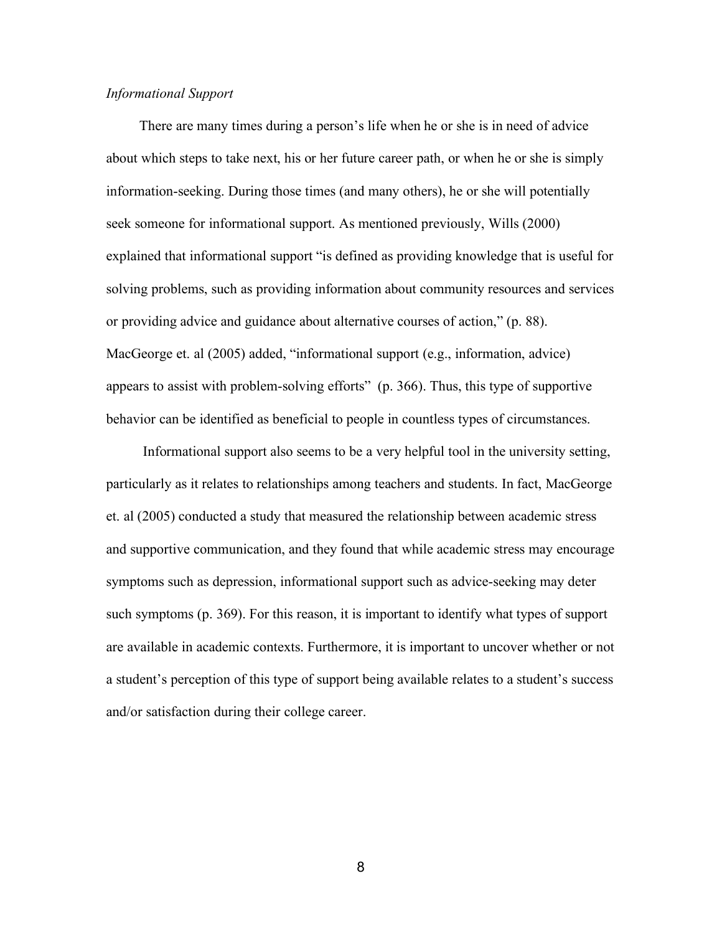## *Informational Support*

There are many times during a person's life when he or she is in need of advice about which steps to take next, his or her future career path, or when he or she is simply information-seeking. During those times (and many others), he or she will potentially seek someone for informational support. As mentioned previously, Wills (2000) explained that informational support "is defined as providing knowledge that is useful for solving problems, such as providing information about community resources and services or providing advice and guidance about alternative courses of action," (p. 88). MacGeorge et. al (2005) added, "informational support (e.g., information, advice) appears to assist with problem-solving efforts" (p. 366). Thus, this type of supportive behavior can be identified as beneficial to people in countless types of circumstances.

Informational support also seems to be a very helpful tool in the university setting, particularly as it relates to relationships among teachers and students. In fact, MacGeorge et. al (2005) conducted a study that measured the relationship between academic stress and supportive communication, and they found that while academic stress may encourage symptoms such as depression, informational support such as advice-seeking may deter such symptoms (p. 369). For this reason, it is important to identify what types of support are available in academic contexts. Furthermore, it is important to uncover whether or not a student's perception of this type of support being available relates to a student's success and/or satisfaction during their college career.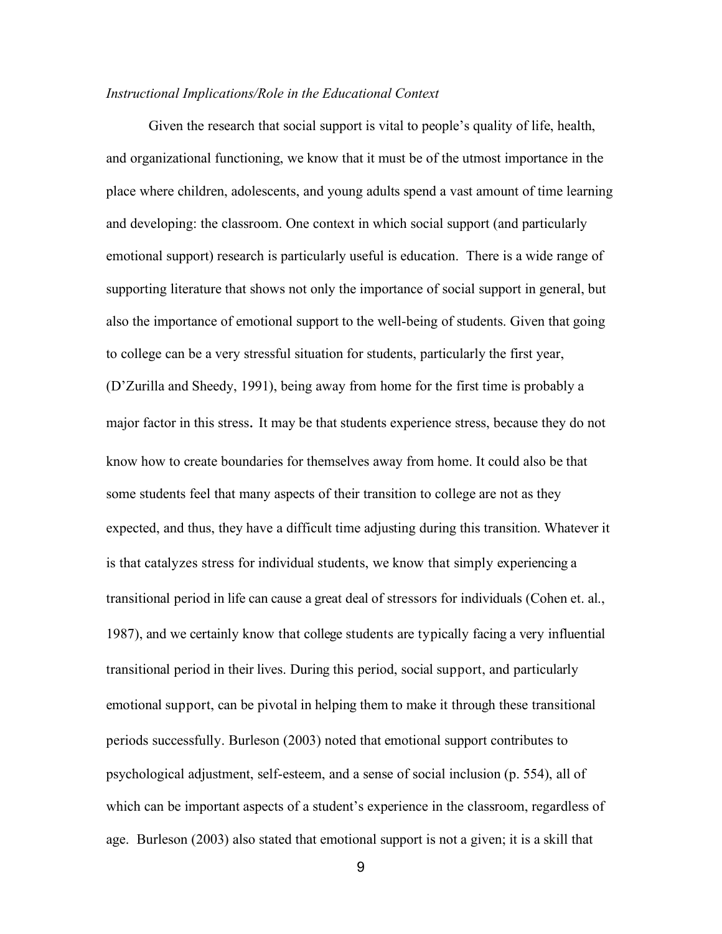#### *Instructional Implications/Role in the Educational Context*

Given the research that social support is vital to people's quality of life, health, and organizational functioning, we know that it must be of the utmost importance in the place where children, adolescents, and young adults spend a vast amount of time learning and developing: the classroom. One context in which social support (and particularly emotional support) research is particularly useful is education. There is a wide range of supporting literature that shows not only the importance of social support in general, but also the importance of emotional support to the well-being of students. Given that going to college can be a very stressful situation for students, particularly the first year, (D'Zurilla and Sheedy, 1991), being away from home for the first time is probably a major factor in this stress. It may be that students experience stress, because they do not know how to create boundaries for themselves away from home. It could also be that some students feel that many aspects of their transition to college are not as they expected, and thus, they have a difficult time adjusting during this transition. Whatever it is that catalyzes stress for individual students, we know that simply experiencing a transitional period in life can cause a great deal of stressors for individuals (Cohen et. al., 1987), and we certainly know that college students are typically facing a very influential transitional period in their lives. During this period, social support, and particularly emotional support, can be pivotal in helping them to make it through these transitional periods successfully. Burleson (2003) noted that emotional support contributes to psychological adjustment, self-esteem, and a sense of social inclusion (p. 554), all of which can be important aspects of a student's experience in the classroom, regardless of age. Burleson (2003) also stated that emotional support is not a given; it is a skill that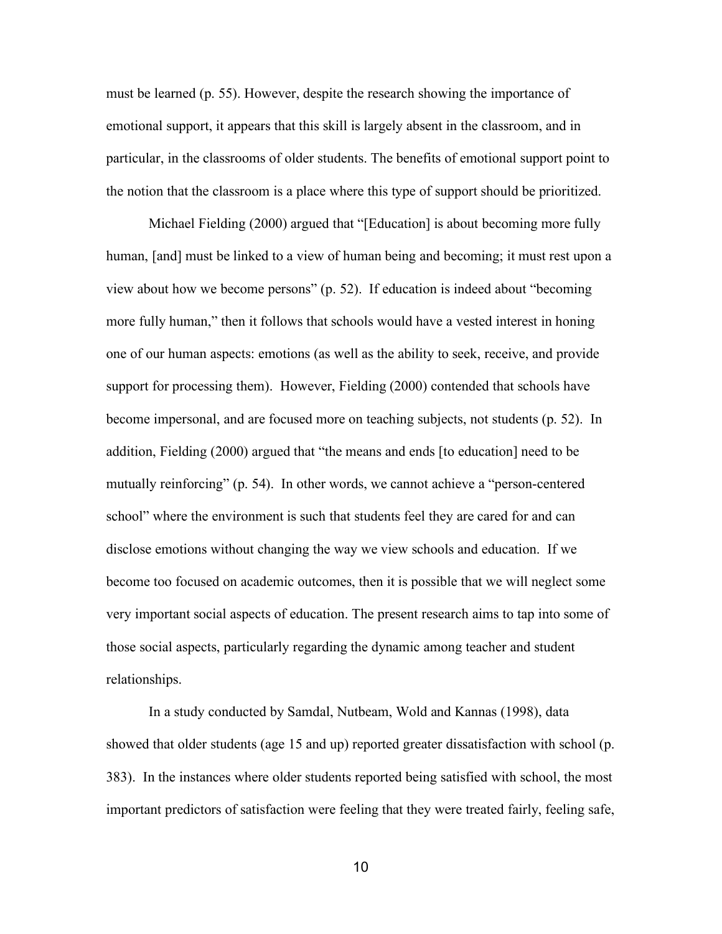must be learned (p. 55). However, despite the research showing the importance of emotional support, it appears that this skill is largely absent in the classroom, and in particular, in the classrooms of older students. The benefits of emotional support point to the notion that the classroom is a place where this type of support should be prioritized.

Michael Fielding (2000) argued that "[Education] is about becoming more fully human, [and] must be linked to a view of human being and becoming; it must rest upon a view about how we become persons" (p. 52). If education is indeed about "becoming more fully human," then it follows that schools would have a vested interest in honing one of our human aspects: emotions (as well as the ability to seek, receive, and provide support for processing them). However, Fielding (2000) contended that schools have become impersonal, and are focused more on teaching subjects, not students (p. 52). In addition, Fielding (2000) argued that "the means and ends [to education] need to be mutually reinforcing" (p. 54). In other words, we cannot achieve a "person-centered school" where the environment is such that students feel they are cared for and can disclose emotions without changing the way we view schools and education. If we become too focused on academic outcomes, then it is possible that we will neglect some very important social aspects of education. The present research aims to tap into some of those social aspects, particularly regarding the dynamic among teacher and student relationships.

In a study conducted by Samdal, Nutbeam, Wold and Kannas (1998), data showed that older students (age 15 and up) reported greater dissatisfaction with school (p. 383). In the instances where older students reported being satisfied with school, the most important predictors of satisfaction were feeling that they were treated fairly, feeling safe,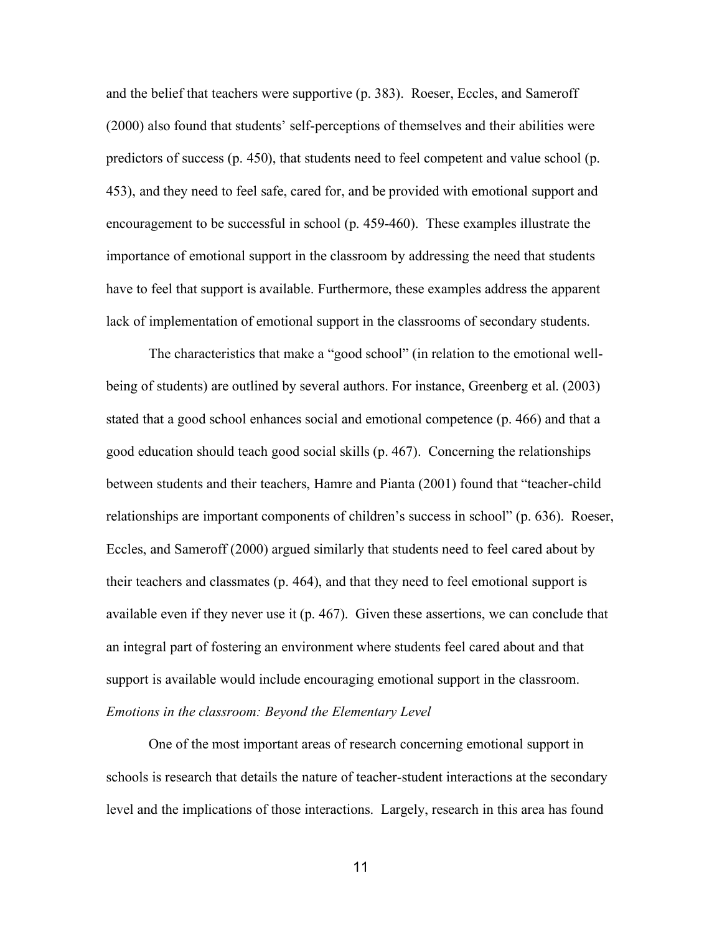and the belief that teachers were supportive (p. 383). Roeser, Eccles, and Sameroff (2000) also found that students' self-perceptions of themselves and their abilities were predictors of success (p. 450), that students need to feel competent and value school (p. 453), and they need to feel safe, cared for, and be provided with emotional support and encouragement to be successful in school (p. 459-460). These examples illustrate the importance of emotional support in the classroom by addressing the need that students have to feel that support is available. Furthermore, these examples address the apparent lack of implementation of emotional support in the classrooms of secondary students.

The characteristics that make a "good school" (in relation to the emotional wellbeing of students) are outlined by several authors. For instance, Greenberg et al. (2003) stated that a good school enhances social and emotional competence (p. 466) and that a good education should teach good social skills (p. 467). Concerning the relationships between students and their teachers, Hamre and Pianta (2001) found that "teacher-child relationships are important components of children's success in school" (p. 636). Roeser, Eccles, and Sameroff (2000) argued similarly that students need to feel cared about by their teachers and classmates (p. 464), and that they need to feel emotional support is available even if they never use it (p. 467). Given these assertions, we can conclude that an integral part of fostering an environment where students feel cared about and that support is available would include encouraging emotional support in the classroom. *Emotions in the classroom: Beyond the Elementary Level*

One of the most important areas of research concerning emotional support in schools is research that details the nature of teacher-student interactions at the secondary level and the implications of those interactions. Largely, research in this area has found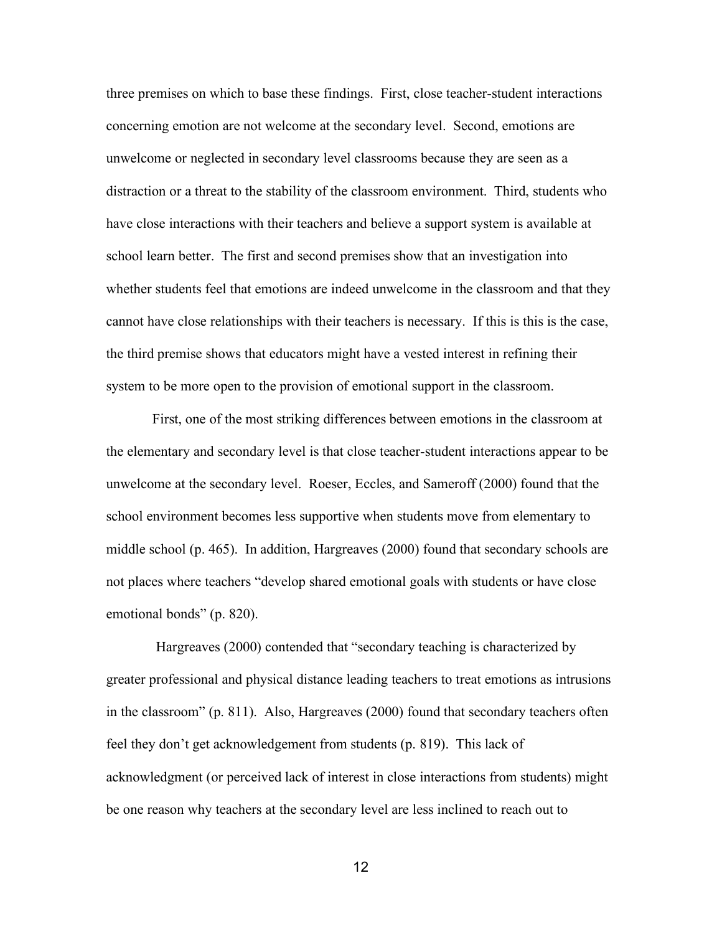three premises on which to base these findings. First, close teacher-student interactions concerning emotion are not welcome at the secondary level. Second, emotions are unwelcome or neglected in secondary level classrooms because they are seen as a distraction or a threat to the stability of the classroom environment. Third, students who have close interactions with their teachers and believe a support system is available at school learn better. The first and second premises show that an investigation into whether students feel that emotions are indeed unwelcome in the classroom and that they cannot have close relationships with their teachers is necessary. If this is this is the case, the third premise shows that educators might have a vested interest in refining their system to be more open to the provision of emotional support in the classroom.

First, one of the most striking differences between emotions in the classroom at the elementary and secondary level is that close teacher-student interactions appear to be unwelcome at the secondary level. Roeser, Eccles, and Sameroff (2000) found that the school environment becomes less supportive when students move from elementary to middle school (p. 465). In addition, Hargreaves (2000) found that secondary schools are not places where teachers "develop shared emotional goals with students or have close emotional bonds" (p. 820).

Hargreaves (2000) contended that "secondary teaching is characterized by greater professional and physical distance leading teachers to treat emotions as intrusions in the classroom" (p. 811). Also, Hargreaves (2000) found that secondary teachers often feel they don't get acknowledgement from students (p. 819). This lack of acknowledgment (or perceived lack of interest in close interactions from students) might be one reason why teachers at the secondary level are less inclined to reach out to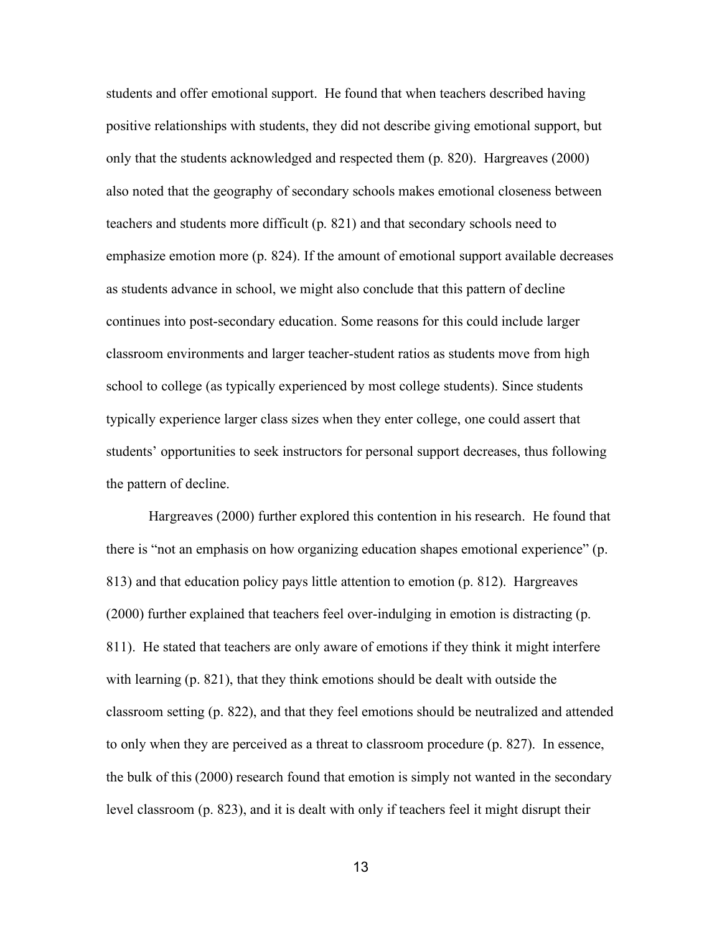students and offer emotional support. He found that when teachers described having positive relationships with students, they did not describe giving emotional support, but only that the students acknowledged and respected them (p. 820). Hargreaves (2000) also noted that the geography of secondary schools makes emotional closeness between teachers and students more difficult (p. 821) and that secondary schools need to emphasize emotion more (p. 824). If the amount of emotional support available decreases as students advance in school, we might also conclude that this pattern of decline continues into post-secondary education. Some reasons for this could include larger classroom environments and larger teacher-student ratios as students move from high school to college (as typically experienced by most college students). Since students typically experience larger class sizes when they enter college, one could assert that students' opportunities to seek instructors for personal support decreases, thus following the pattern of decline.

Hargreaves (2000) further explored this contention in his research. He found that there is "not an emphasis on how organizing education shapes emotional experience" (p. 813) and that education policy pays little attention to emotion (p. 812). Hargreaves (2000) further explained that teachers feel over-indulging in emotion is distracting (p. 811). He stated that teachers are only aware of emotions if they think it might interfere with learning (p. 821), that they think emotions should be dealt with outside the classroom setting (p. 822), and that they feel emotions should be neutralized and attended to only when they are perceived as a threat to classroom procedure (p. 827). In essence, the bulk of this (2000) research found that emotion is simply not wanted in the secondary level classroom (p. 823), and it is dealt with only if teachers feel it might disrupt their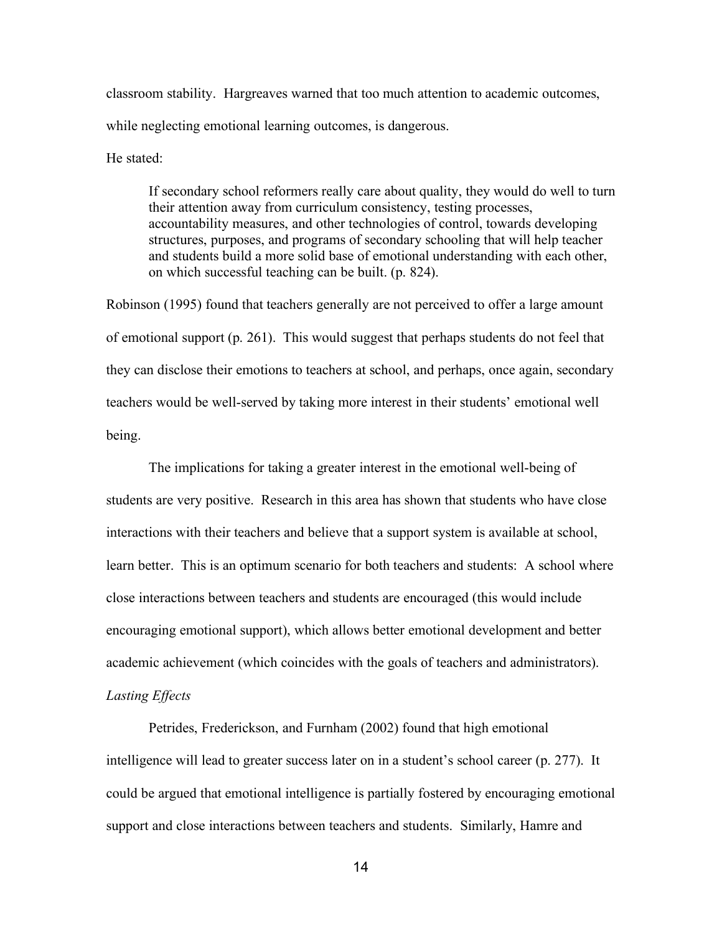classroom stability. Hargreaves warned that too much attention to academic outcomes, while neglecting emotional learning outcomes, is dangerous.

He stated:

If secondary school reformers really care about quality, they would do well to turn their attention away from curriculum consistency, testing processes, accountability measures, and other technologies of control, towards developing structures, purposes, and programs of secondary schooling that will help teacher and students build a more solid base of emotional understanding with each other, on which successful teaching can be built. (p. 824).

Robinson (1995) found that teachers generally are not perceived to offer a large amount of emotional support (p. 261). This would suggest that perhaps students do not feel that they can disclose their emotions to teachers at school, and perhaps, once again, secondary teachers would be well-served by taking more interest in their students' emotional well being.

The implications for taking a greater interest in the emotional well-being of students are very positive. Research in this area has shown that students who have close interactions with their teachers and believe that a support system is available at school, learn better. This is an optimum scenario for both teachers and students: A school where close interactions between teachers and students are encouraged (this would include encouraging emotional support), which allows better emotional development and better academic achievement (which coincides with the goals of teachers and administrators). *Lasting Effects*

Petrides, Frederickson, and Furnham (2002) found that high emotional intelligence will lead to greater success later on in a student's school career (p. 277). It could be argued that emotional intelligence is partially fostered by encouraging emotional support and close interactions between teachers and students. Similarly, Hamre and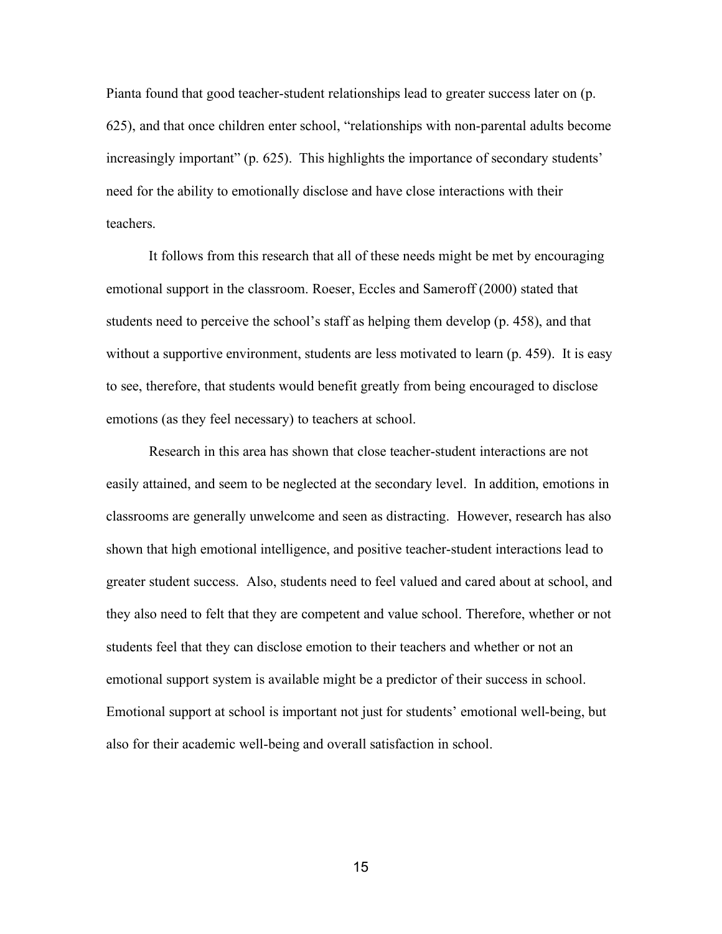Pianta found that good teacher-student relationships lead to greater success later on (p. 625), and that once children enter school, "relationships with non-parental adults become increasingly important" (p. 625). This highlights the importance of secondary students' need for the ability to emotionally disclose and have close interactions with their teachers.

It follows from this research that all of these needs might be met by encouraging emotional support in the classroom. Roeser, Eccles and Sameroff (2000) stated that students need to perceive the school's staff as helping them develop (p. 458), and that without a supportive environment, students are less motivated to learn (p. 459). It is easy to see, therefore, that students would benefit greatly from being encouraged to disclose emotions (as they feel necessary) to teachers at school.

Research in this area has shown that close teacher-student interactions are not easily attained, and seem to be neglected at the secondary level. In addition, emotions in classrooms are generally unwelcome and seen as distracting. However, research has also shown that high emotional intelligence, and positive teacher-student interactions lead to greater student success. Also, students need to feel valued and cared about at school, and they also need to felt that they are competent and value school. Therefore, whether or not students feel that they can disclose emotion to their teachers and whether or not an emotional support system is available might be a predictor of their success in school. Emotional support at school is important not just for students' emotional well-being, but also for their academic well-being and overall satisfaction in school.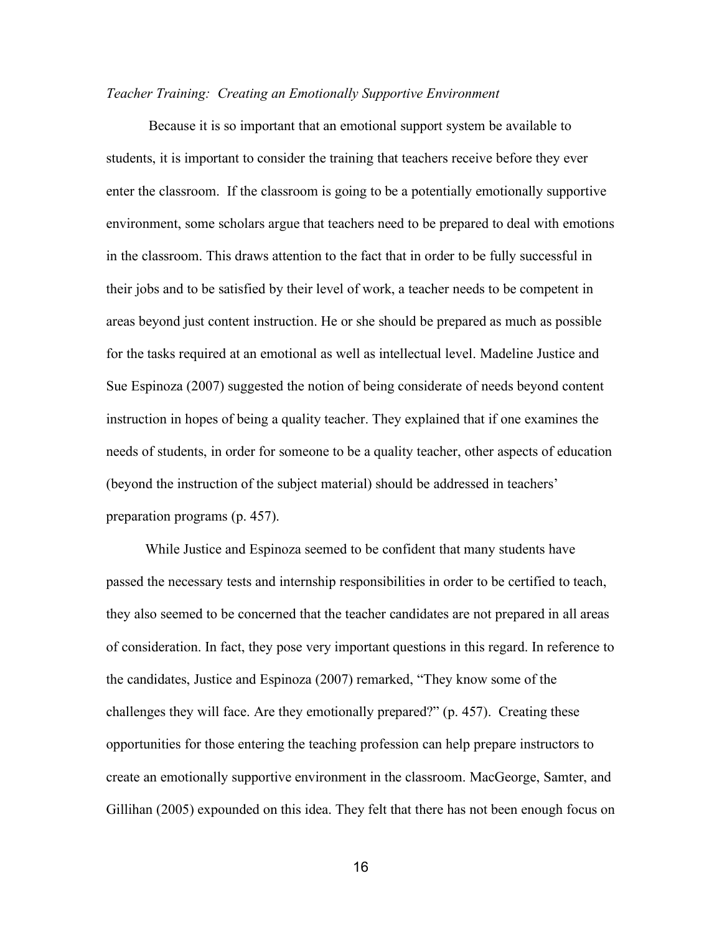#### *Teacher Training: Creating an Emotionally Supportive Environment*

Because it is so important that an emotional support system be available to students, it is important to consider the training that teachers receive before they ever enter the classroom. If the classroom is going to be a potentially emotionally supportive environment, some scholars argue that teachers need to be prepared to deal with emotions in the classroom. This draws attention to the fact that in order to be fully successful in their jobs and to be satisfied by their level of work, a teacher needs to be competent in areas beyond just content instruction. He or she should be prepared as much as possible for the tasks required at an emotional as well as intellectual level. Madeline Justice and Sue Espinoza (2007) suggested the notion of being considerate of needs beyond content instruction in hopes of being a quality teacher. They explained that if one examines the needs of students, in order for someone to be a quality teacher, other aspects of education (beyond the instruction of the subject material) should be addressed in teachers' preparation programs (p. 457).

While Justice and Espinoza seemed to be confident that many students have passed the necessary tests and internship responsibilities in order to be certified to teach, they also seemed to be concerned that the teacher candidates are not prepared in all areas of consideration. In fact, they pose very important questions in this regard. In reference to the candidates, Justice and Espinoza (2007) remarked, "They know some of the challenges they will face. Are they emotionally prepared?" (p. 457). Creating these opportunities for those entering the teaching profession can help prepare instructors to create an emotionally supportive environment in the classroom. MacGeorge, Samter, and Gillihan (2005) expounded on this idea. They felt that there has not been enough focus on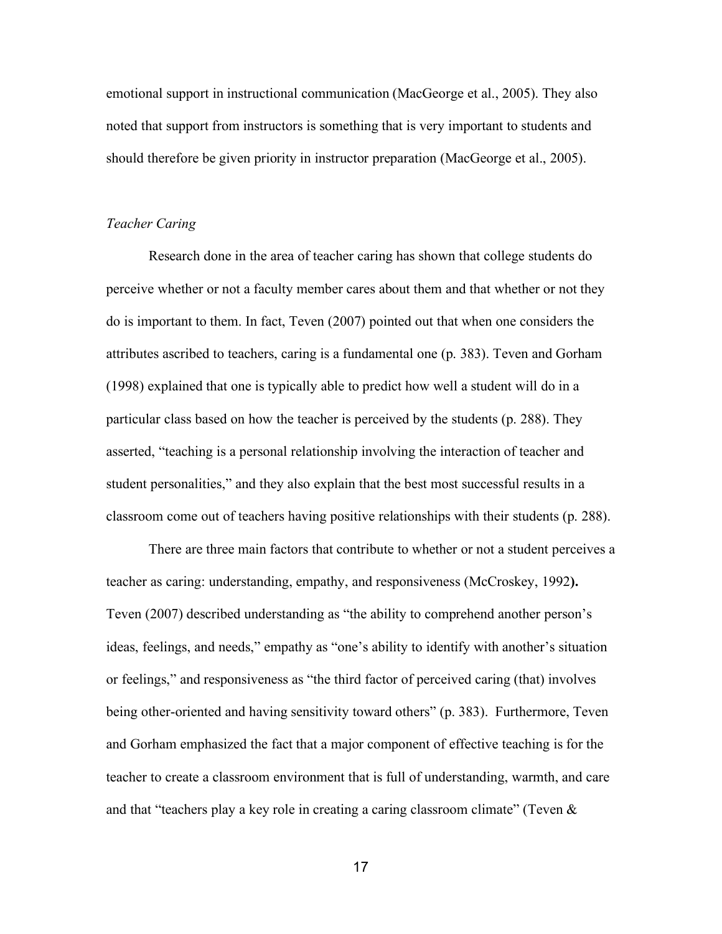emotional support in instructional communication (MacGeorge et al., 2005). They also noted that support from instructors is something that is very important to students and should therefore be given priority in instructor preparation (MacGeorge et al., 2005).

#### *Teacher Caring*

Research done in the area of teacher caring has shown that college students do perceive whether or not a faculty member cares about them and that whether or not they do is important to them. In fact, Teven (2007) pointed out that when one considers the attributes ascribed to teachers, caring is a fundamental one (p. 383). Teven and Gorham (1998) explained that one is typically able to predict how well a student will do in a particular class based on how the teacher is perceived by the students (p. 288). They asserted, "teaching is a personal relationship involving the interaction of teacher and student personalities," and they also explain that the best most successful results in a classroom come out of teachers having positive relationships with their students (p. 288).

There are three main factors that contribute to whether or not a student perceives a teacher as caring: understanding, empathy, and responsiveness (McCroskey, 1992**).** Teven (2007) described understanding as "the ability to comprehend another person's ideas, feelings, and needs," empathy as "one's ability to identify with another's situation or feelings," and responsiveness as "the third factor of perceived caring (that) involves being other-oriented and having sensitivity toward others" (p. 383). Furthermore, Teven and Gorham emphasized the fact that a major component of effective teaching is for the teacher to create a classroom environment that is full of understanding, warmth, and care and that "teachers play a key role in creating a caring classroom climate" (Teven  $\&$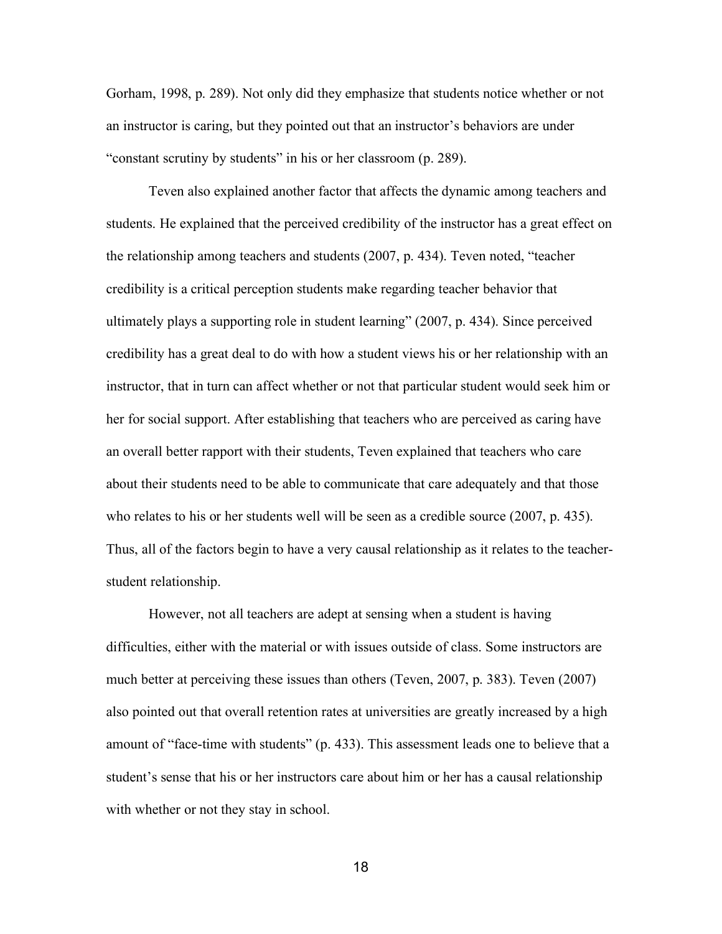Gorham, 1998, p. 289). Not only did they emphasize that students notice whether or not an instructor is caring, but they pointed out that an instructor's behaviors are under "constant scrutiny by students" in his or her classroom (p. 289).

Teven also explained another factor that affects the dynamic among teachers and students. He explained that the perceived credibility of the instructor has a great effect on the relationship among teachers and students (2007, p. 434). Teven noted, "teacher credibility is a critical perception students make regarding teacher behavior that ultimately plays a supporting role in student learning" (2007, p. 434). Since perceived credibility has a great deal to do with how a student views his or her relationship with an instructor, that in turn can affect whether or not that particular student would seek him or her for social support. After establishing that teachers who are perceived as caring have an overall better rapport with their students, Teven explained that teachers who care about their students need to be able to communicate that care adequately and that those who relates to his or her students well will be seen as a credible source (2007, p. 435). Thus, all of the factors begin to have a very causal relationship as it relates to the teacherstudent relationship.

However, not all teachers are adept at sensing when a student is having difficulties, either with the material or with issues outside of class. Some instructors are much better at perceiving these issues than others (Teven, 2007, p. 383). Teven (2007) also pointed out that overall retention rates at universities are greatly increased by a high amount of "face-time with students" (p. 433). This assessment leads one to believe that a student's sense that his or her instructors care about him or her has a causal relationship with whether or not they stay in school.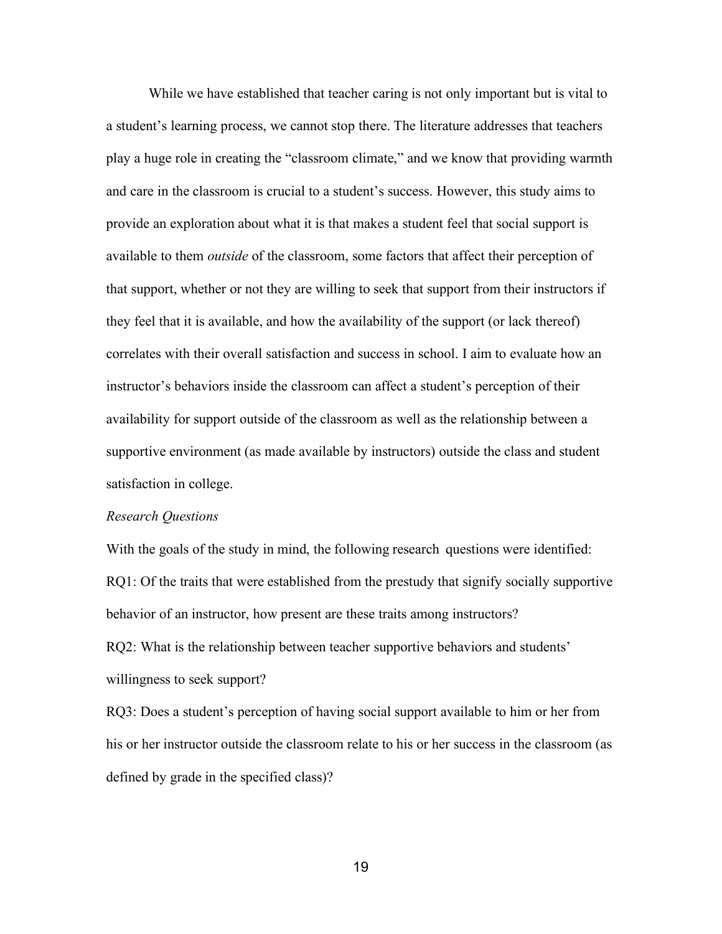While we have established that teacher caring is not only important but is vital to a student's learning process, we cannot stop there. The literature addresses that teachers play a huge role in creating the "classroom climate," and we know that providing warmth and care in the classroom is crucial to a student's success. However, this study aims to provide an exploration about what it is that makes a student feel that social support is available to them *outside* of the classroom, some factors that affect their perception of that support, whether or not they are willing to seek that support from their instructors if they feel that it is available, and how the availability of the support (or lack thereof) correlates with their overall satisfaction and success in school. I aim to evaluate how an instructor's behaviors inside the classroom can affect a student's perception of their availability for support outside of the classroom as well as the relationship between a supportive environment (as made available by instructors) outside the class and student satisfaction in college.

#### *Research Questions*

With the goals of the study in mind, the following research questions were identified: RQ1: Of the traits that were established from the prestudy that signify socially supportive behavior of an instructor, how present are these traits among instructors? RQ2: What is the relationship between teacher supportive behaviors and students' willingness to seek support?

RQ3: Does a student's perception of having social support available to him or her from his or her instructor outside the classroom relate to his or her success in the classroom (as defined by grade in the specified class)?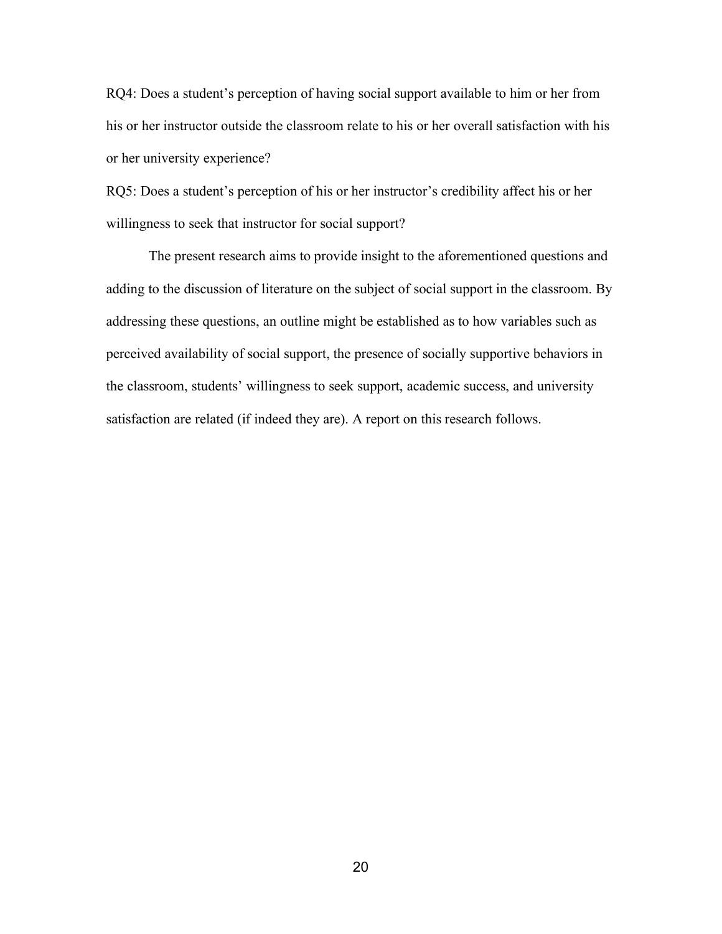RQ4: Does a student's perception of having social support available to him or her from his or her instructor outside the classroom relate to his or her overall satisfaction with his or her university experience?

RQ5: Does a student's perception of his or her instructor's credibility affect his or her willingness to seek that instructor for social support?

The present research aims to provide insight to the aforementioned questions and adding to the discussion of literature on the subject of social support in the classroom. By addressing these questions, an outline might be established as to how variables such as perceived availability of social support, the presence of socially supportive behaviors in the classroom, students' willingness to seek support, academic success, and university satisfaction are related (if indeed they are). A report on this research follows.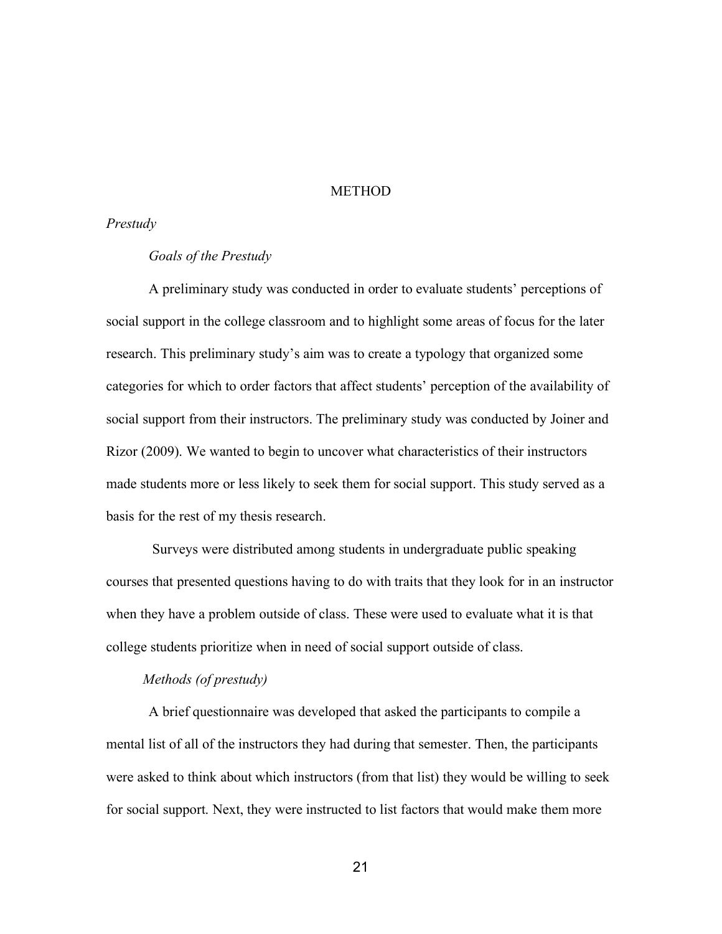#### **METHOD**

## *Prestudy*

#### *Goals of the Prestudy*

A preliminary study was conducted in order to evaluate students' perceptions of social support in the college classroom and to highlight some areas of focus for the later research. This preliminary study's aim was to create a typology that organized some categories for which to order factors that affect students' perception of the availability of social support from their instructors. The preliminary study was conducted by Joiner and Rizor (2009). We wanted to begin to uncover what characteristics of their instructors made students more or less likely to seek them for social support. This study served as a basis for the rest of my thesis research.

Surveys were distributed among students in undergraduate public speaking courses that presented questions having to do with traits that they look for in an instructor when they have a problem outside of class. These were used to evaluate what it is that college students prioritize when in need of social support outside of class.

# *Methods (of prestudy)*

A brief questionnaire was developed that asked the participants to compile a mental list of all of the instructors they had during that semester. Then, the participants were asked to think about which instructors (from that list) they would be willing to seek for social support. Next, they were instructed to list factors that would make them more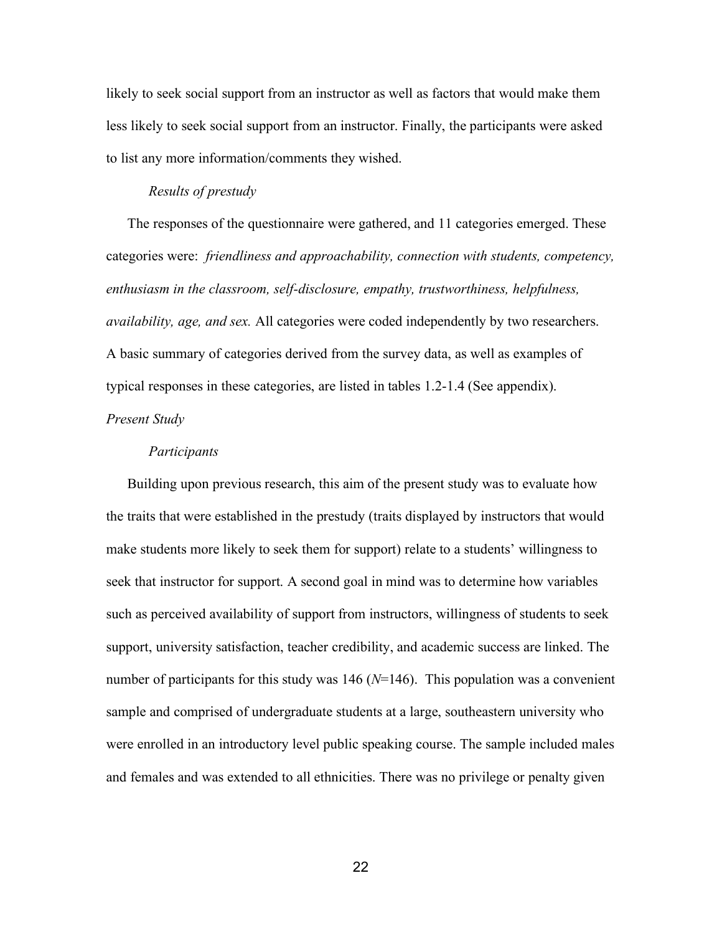likely to seek social support from an instructor as well as factors that would make them less likely to seek social support from an instructor. Finally, the participants were asked to list any more information/comments they wished.

#### *Results of prestudy*

The responses of the questionnaire were gathered, and 11 categories emerged. These categories were: *friendliness and approachability, connection with students, competency, enthusiasm in the classroom, self-disclosure, empathy, trustworthiness, helpfulness, availability, age, and sex.* All categories were coded independently by two researchers. A basic summary of categories derived from the survey data, as well as examples of typical responses in these categories, are listed in tables 1.2-1.4 (See appendix). *Present Study*

#### *Participants*

Building upon previous research, this aim of the present study was to evaluate how the traits that were established in the prestudy (traits displayed by instructors that would make students more likely to seek them for support) relate to a students' willingness to seek that instructor for support. A second goal in mind was to determine how variables such as perceived availability of support from instructors, willingness of students to seek support, university satisfaction, teacher credibility, and academic success are linked. The number of participants for this study was 146 (*N*=146). This population was a convenient sample and comprised of undergraduate students at a large, southeastern university who were enrolled in an introductory level public speaking course. The sample included males and females and was extended to all ethnicities. There was no privilege or penalty given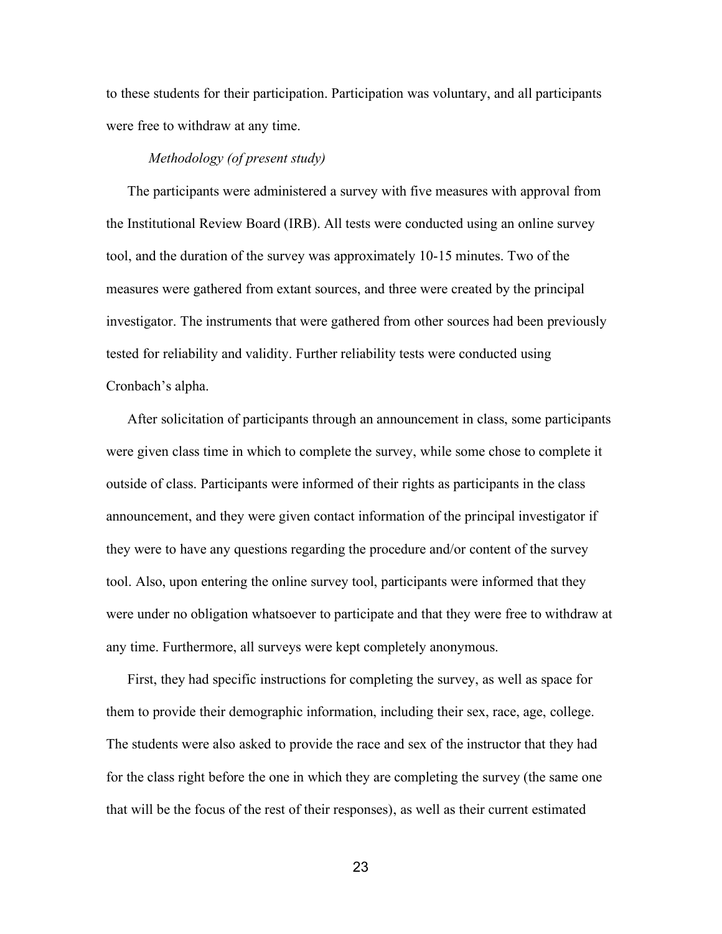to these students for their participation. Participation was voluntary, and all participants were free to withdraw at any time.

#### *Methodology (of present study)*

The participants were administered a survey with five measures with approval from the Institutional Review Board (IRB). All tests were conducted using an online survey tool, and the duration of the survey was approximately 10-15 minutes. Two of the measures were gathered from extant sources, and three were created by the principal investigator. The instruments that were gathered from other sources had been previously tested for reliability and validity. Further reliability tests were conducted using Cronbach's alpha.

After solicitation of participants through an announcement in class, some participants were given class time in which to complete the survey, while some chose to complete it outside of class. Participants were informed of their rights as participants in the class announcement, and they were given contact information of the principal investigator if they were to have any questions regarding the procedure and/or content of the survey tool. Also, upon entering the online survey tool, participants were informed that they were under no obligation whatsoever to participate and that they were free to withdraw at any time. Furthermore, all surveys were kept completely anonymous.

First, they had specific instructions for completing the survey, as well as space for them to provide their demographic information, including their sex, race, age, college. The students were also asked to provide the race and sex of the instructor that they had for the class right before the one in which they are completing the survey (the same one that will be the focus of the rest of their responses), as well as their current estimated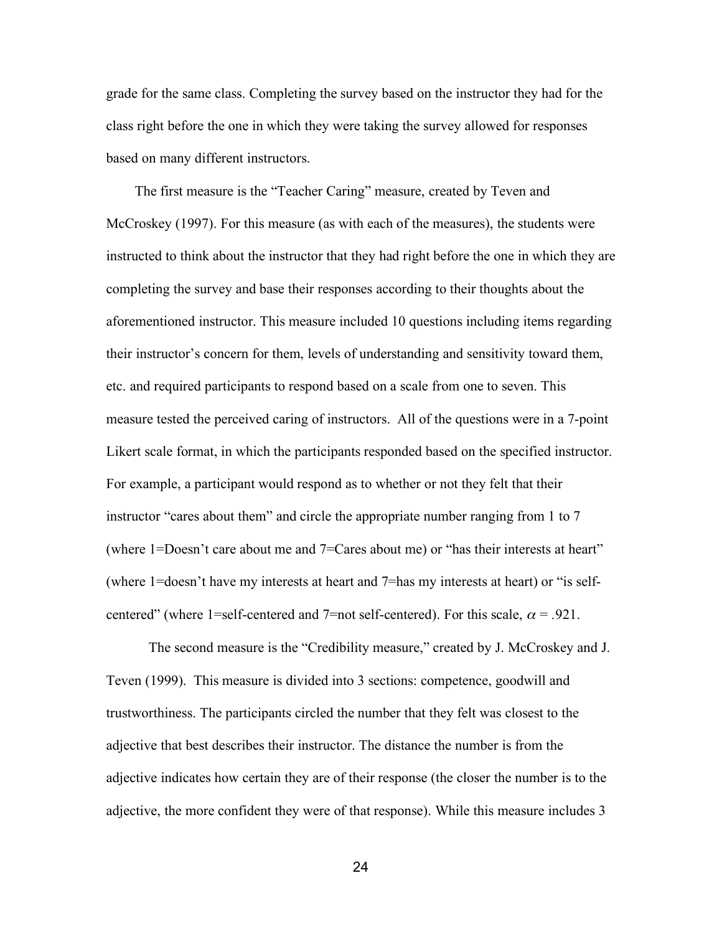grade for the same class. Completing the survey based on the instructor they had for the class right before the one in which they were taking the survey allowed for responses based on many different instructors.

The first measure is the "Teacher Caring" measure, created by Teven and McCroskey (1997). For this measure (as with each of the measures), the students were instructed to think about the instructor that they had right before the one in which they are completing the survey and base their responses according to their thoughts about the aforementioned instructor. This measure included 10 questions including items regarding their instructor's concern for them, levels of understanding and sensitivity toward them, etc. and required participants to respond based on a scale from one to seven. This measure tested the perceived caring of instructors. All of the questions were in a 7-point Likert scale format, in which the participants responded based on the specified instructor. For example, a participant would respond as to whether or not they felt that their instructor "cares about them" and circle the appropriate number ranging from 1 to 7 (where 1=Doesn't care about me and 7=Cares about me) or "has their interests at heart" (where 1=doesn't have my interests at heart and 7=has my interests at heart) or "is selfcentered" (where 1=self-centered and 7=not self-centered). For this scale,  $\alpha$  = .921.

The second measure is the "Credibility measure," created by J. McCroskey and J. Teven (1999). This measure is divided into 3 sections: competence, goodwill and trustworthiness. The participants circled the number that they felt was closest to the adjective that best describes their instructor. The distance the number is from the adjective indicates how certain they are of their response (the closer the number is to the adjective, the more confident they were of that response). While this measure includes 3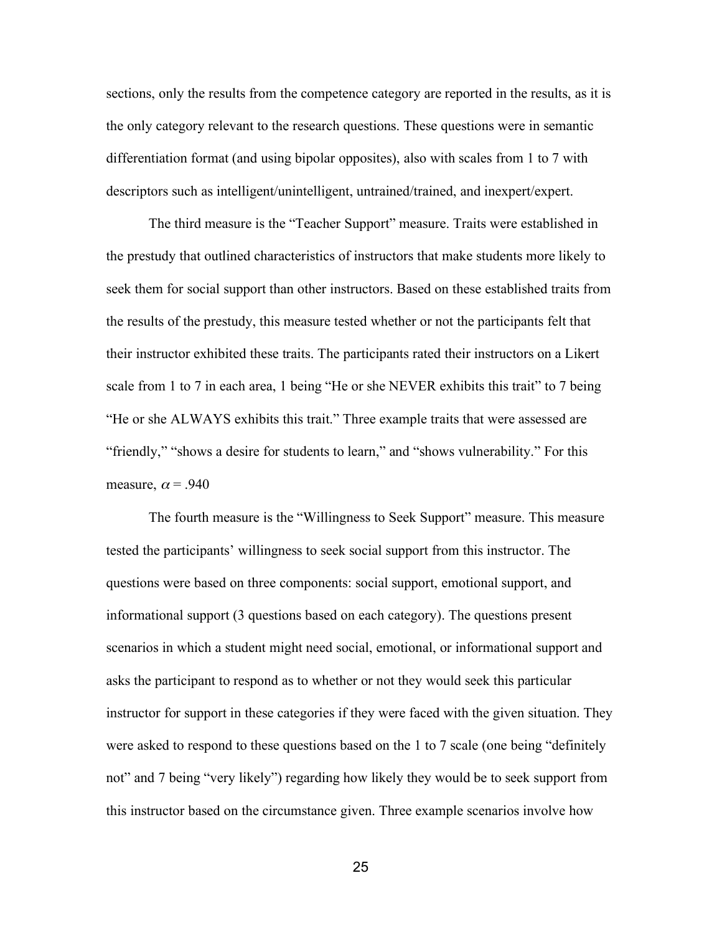sections, only the results from the competence category are reported in the results, as it is the only category relevant to the research questions. These questions were in semantic differentiation format (and using bipolar opposites), also with scales from 1 to 7 with descriptors such as intelligent/unintelligent, untrained/trained, and inexpert/expert.

The third measure is the "Teacher Support" measure. Traits were established in the prestudy that outlined characteristics of instructors that make students more likely to seek them for social support than other instructors. Based on these established traits from the results of the prestudy, this measure tested whether or not the participants felt that their instructor exhibited these traits. The participants rated their instructors on a Likert scale from 1 to 7 in each area, 1 being "He or she NEVER exhibits this trait" to 7 being "He or she ALWAYS exhibits this trait." Three example traits that were assessed are "friendly," "shows a desire for students to learn," and "shows vulnerability." For this measure,  $\alpha$  = .940

The fourth measure is the "Willingness to Seek Support" measure. This measure tested the participants' willingness to seek social support from this instructor. The questions were based on three components: social support, emotional support, and informational support (3 questions based on each category). The questions present scenarios in which a student might need social, emotional, or informational support and asks the participant to respond as to whether or not they would seek this particular instructor for support in these categories if they were faced with the given situation. They were asked to respond to these questions based on the 1 to 7 scale (one being "definitely not" and 7 being "very likely") regarding how likely they would be to seek support from this instructor based on the circumstance given. Three example scenarios involve how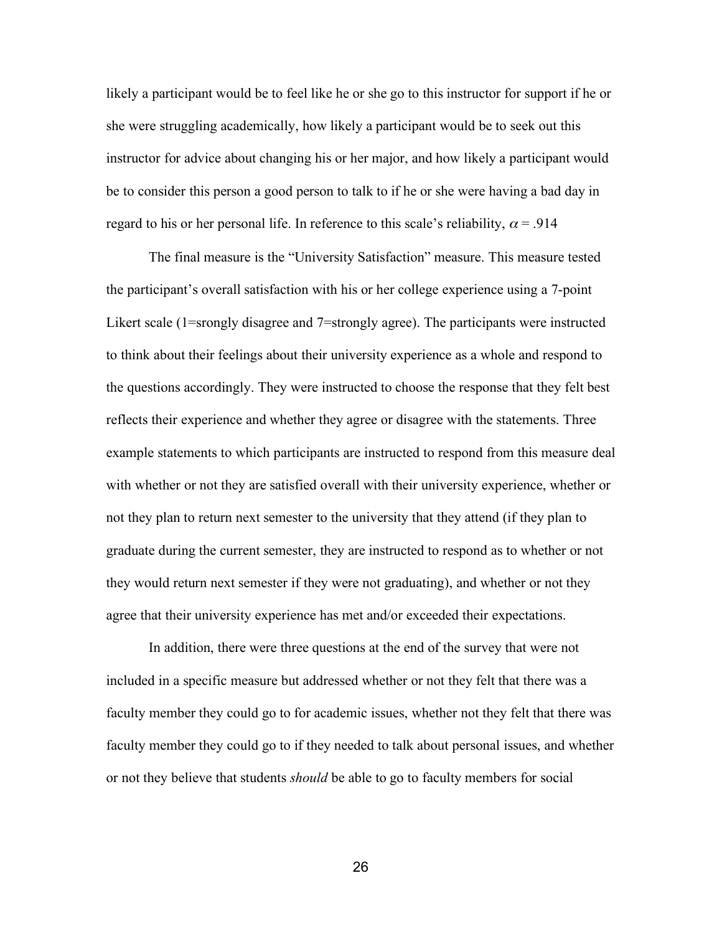likely a participant would be to feel like he or she go to this instructor for support if he or she were struggling academically, how likely a participant would be to seek out this instructor for advice about changing his or her major, and how likely a participant would be to consider this person a good person to talk to if he or she were having a bad day in regard to his or her personal life. In reference to this scale's reliability,  $\alpha$  = .914

The final measure is the "University Satisfaction" measure. This measure tested the participant's overall satisfaction with his or her college experience using a 7-point Likert scale (1=srongly disagree and 7=strongly agree). The participants were instructed to think about their feelings about their university experience as a whole and respond to the questions accordingly. They were instructed to choose the response that they felt best reflects their experience and whether they agree or disagree with the statements. Three example statements to which participants are instructed to respond from this measure deal with whether or not they are satisfied overall with their university experience, whether or not they plan to return next semester to the university that they attend (if they plan to graduate during the current semester, they are instructed to respond as to whether or not they would return next semester if they were not graduating), and whether or not they agree that their university experience has met and/or exceeded their expectations.

In addition, there were three questions at the end of the survey that were not included in a specific measure but addressed whether or not they felt that there was a faculty member they could go to for academic issues, whether not they felt that there was faculty member they could go to if they needed to talk about personal issues, and whether or not they believe that students *should* be able to go to faculty members for social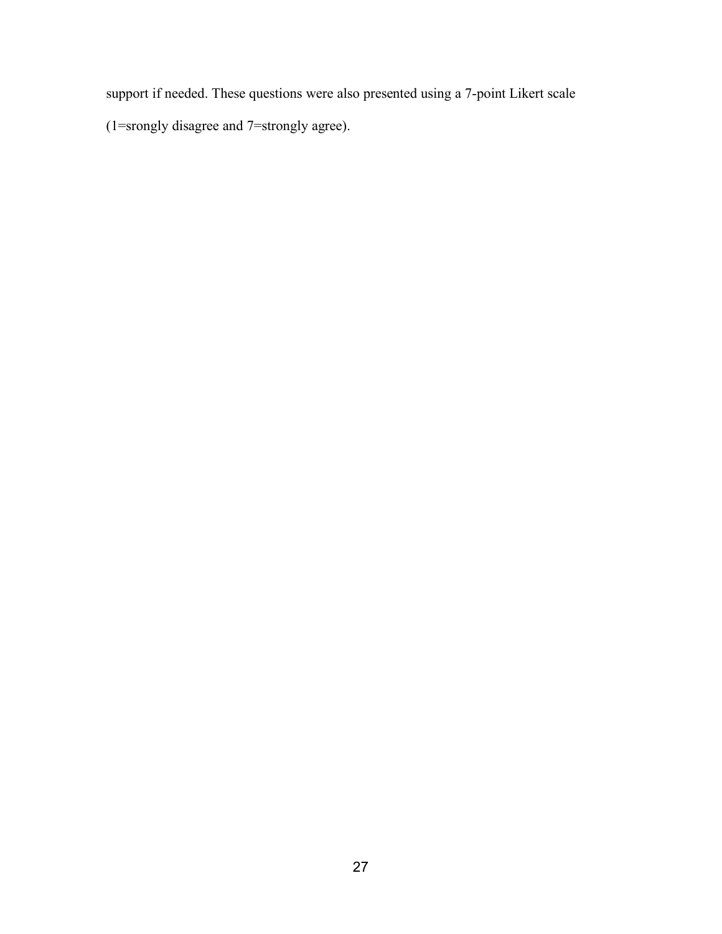support if needed. These questions were also presented using a 7-point Likert scale

(1=srongly disagree and 7=strongly agree).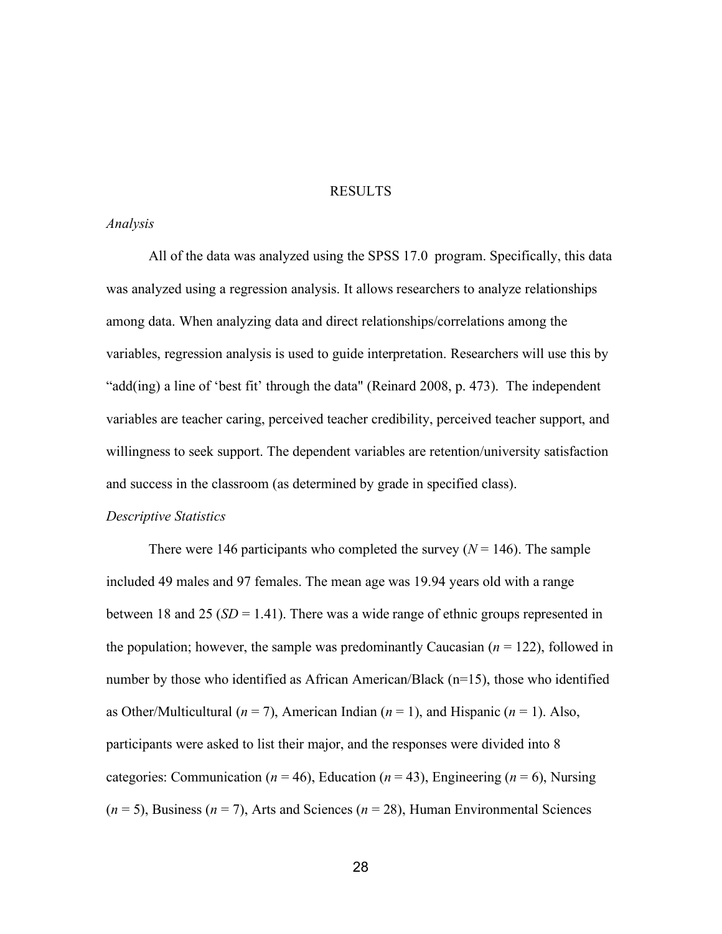#### RESULTS

#### *Analysis*

All of the data was analyzed using the SPSS 17.0 program. Specifically, this data was analyzed using a regression analysis. It allows researchers to analyze relationships among data. When analyzing data and direct relationships/correlations among the variables, regression analysis is used to guide interpretation. Researchers will use this by "add(ing) a line of 'best fit' through the data" (Reinard 2008, p. 473). The independent variables are teacher caring, perceived teacher credibility, perceived teacher support, and willingness to seek support. The dependent variables are retention/university satisfaction and success in the classroom (as determined by grade in specified class).

#### *Descriptive Statistics*

There were 146 participants who completed the survey  $(N = 146)$ . The sample included 49 males and 97 females. The mean age was 19.94 years old with a range between 18 and 25 ( $SD = 1.41$ ). There was a wide range of ethnic groups represented in the population; however, the sample was predominantly Caucasian  $(n = 122)$ , followed in number by those who identified as African American/Black (n=15), those who identified as Other/Multicultural ( $n = 7$ ), American Indian ( $n = 1$ ), and Hispanic ( $n = 1$ ). Also, participants were asked to list their major, and the responses were divided into 8 categories: Communication ( $n = 46$ ), Education ( $n = 43$ ), Engineering ( $n = 6$ ), Nursing (*n* = 5), Business (*n* = 7), Arts and Sciences (*n* = 28), Human Environmental Sciences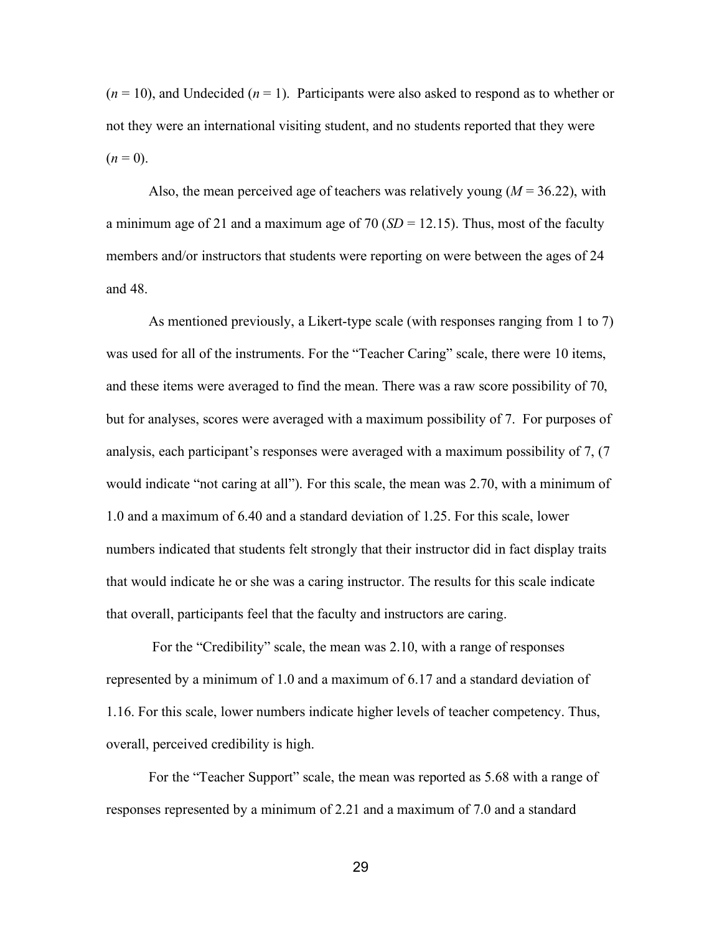$(n = 10)$ , and Undecided  $(n = 1)$ . Participants were also asked to respond as to whether or not they were an international visiting student, and no students reported that they were  $(n = 0)$ .

Also, the mean perceived age of teachers was relatively young  $(M = 36.22)$ , with a minimum age of 21 and a maximum age of 70  $(SD = 12.15)$ . Thus, most of the faculty members and/or instructors that students were reporting on were between the ages of 24 and 48.

As mentioned previously, a Likert-type scale (with responses ranging from 1 to 7) was used for all of the instruments. For the "Teacher Caring" scale, there were 10 items, and these items were averaged to find the mean. There was a raw score possibility of 70, but for analyses, scores were averaged with a maximum possibility of 7. For purposes of analysis, each participant's responses were averaged with a maximum possibility of 7, (7 would indicate "not caring at all"). For this scale, the mean was 2.70, with a minimum of 1.0 and a maximum of 6.40 and a standard deviation of 1.25. For this scale, lower numbers indicated that students felt strongly that their instructor did in fact display traits that would indicate he or she was a caring instructor. The results for this scale indicate that overall, participants feel that the faculty and instructors are caring.

For the "Credibility" scale, the mean was 2.10, with a range of responses represented by a minimum of 1.0 and a maximum of 6.17 and a standard deviation of 1.16. For this scale, lower numbers indicate higher levels of teacher competency. Thus, overall, perceived credibility is high.

For the "Teacher Support" scale, the mean was reported as 5.68 with a range of responses represented by a minimum of 2.21 and a maximum of 7.0 and a standard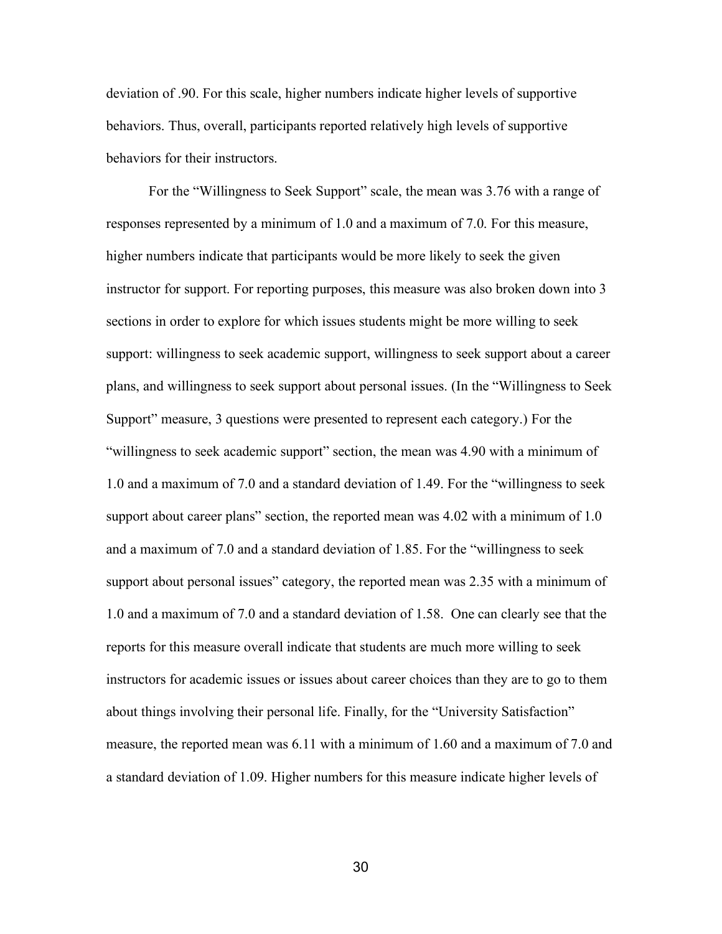deviation of .90. For this scale, higher numbers indicate higher levels of supportive behaviors. Thus, overall, participants reported relatively high levels of supportive behaviors for their instructors.

For the "Willingness to Seek Support" scale, the mean was 3.76 with a range of responses represented by a minimum of 1.0 and a maximum of 7.0. For this measure, higher numbers indicate that participants would be more likely to seek the given instructor for support. For reporting purposes, this measure was also broken down into 3 sections in order to explore for which issues students might be more willing to seek support: willingness to seek academic support, willingness to seek support about a career plans, and willingness to seek support about personal issues. (In the "Willingness to Seek Support" measure, 3 questions were presented to represent each category.) For the "willingness to seek academic support" section, the mean was 4.90 with a minimum of 1.0 and a maximum of 7.0 and a standard deviation of 1.49. For the "willingness to seek support about career plans" section, the reported mean was 4.02 with a minimum of 1.0 and a maximum of 7.0 and a standard deviation of 1.85. For the "willingness to seek support about personal issues" category, the reported mean was 2.35 with a minimum of 1.0 and a maximum of 7.0 and a standard deviation of 1.58. One can clearly see that the reports for this measure overall indicate that students are much more willing to seek instructors for academic issues or issues about career choices than they are to go to them about things involving their personal life. Finally, for the "University Satisfaction" measure, the reported mean was 6.11 with a minimum of 1.60 and a maximum of 7.0 and a standard deviation of 1.09. Higher numbers for this measure indicate higher levels of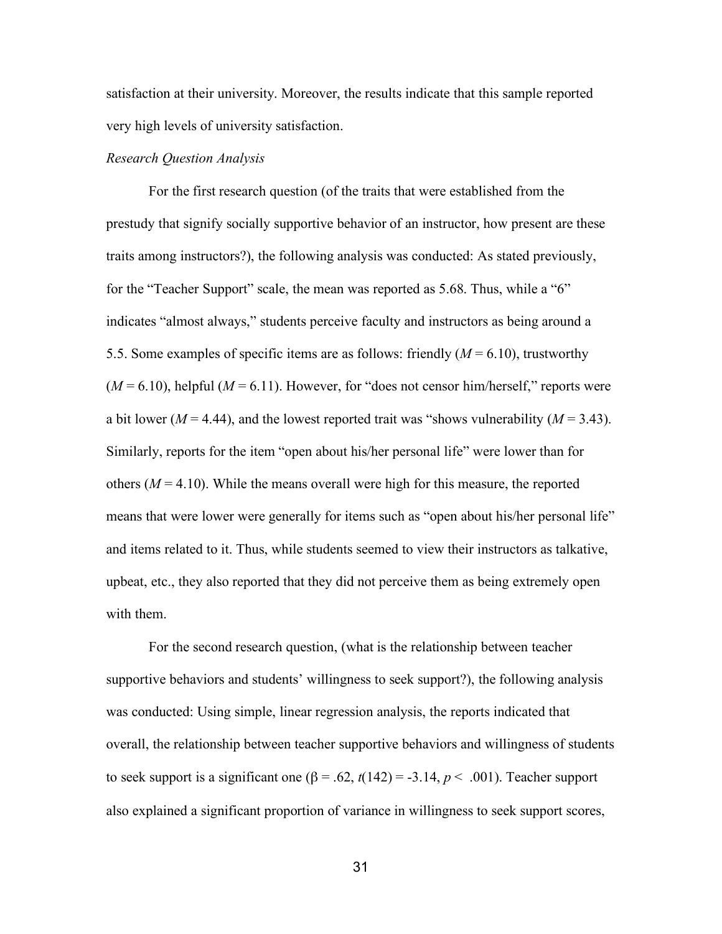satisfaction at their university. Moreover, the results indicate that this sample reported very high levels of university satisfaction.

## *Research Question Analysis*

For the first research question (of the traits that were established from the prestudy that signify socially supportive behavior of an instructor, how present are these traits among instructors?), the following analysis was conducted: As stated previously, for the "Teacher Support" scale, the mean was reported as 5.68. Thus, while a "6" indicates "almost always," students perceive faculty and instructors as being around a 5.5. Some examples of specific items are as follows: friendly (*M* = 6.10), trustworthy  $(M = 6.10)$ , helpful  $(M = 6.11)$ . However, for "does not censor him/herself," reports were a bit lower ( $M = 4.44$ ), and the lowest reported trait was "shows vulnerability ( $M = 3.43$ ). Similarly, reports for the item "open about his/her personal life" were lower than for others  $(M = 4.10)$ . While the means overall were high for this measure, the reported means that were lower were generally for items such as "open about his/her personal life" and items related to it. Thus, while students seemed to view their instructors as talkative, upbeat, etc., they also reported that they did not perceive them as being extremely open with them.

For the second research question, (what is the relationship between teacher supportive behaviors and students' willingness to seek support?), the following analysis was conducted: Using simple, linear regression analysis, the reports indicated that overall, the relationship between teacher supportive behaviors and willingness of students to seek support is a significant one ( $\beta$  = .62,  $t(142)$  = -3.14,  $p < .001$ ). Teacher support also explained a significant proportion of variance in willingness to seek support scores,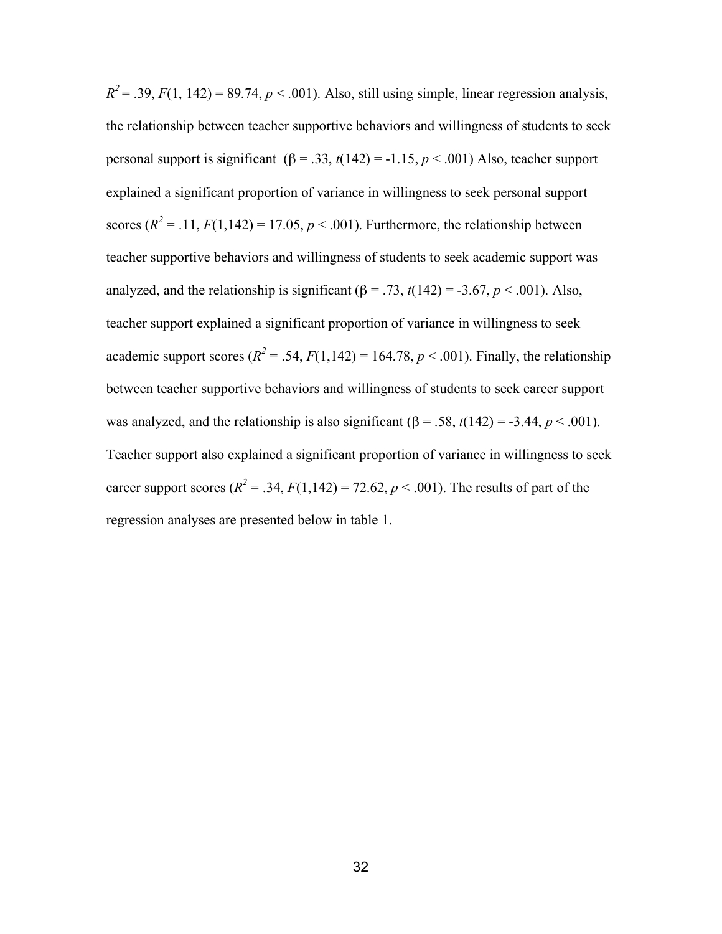$R^2 = 0.39$ ,  $F(1, 142) = 89.74$ ,  $p < 0.001$ ). Also, still using simple, linear regression analysis, the relationship between teacher supportive behaviors and willingness of students to seek personal support is significant (β = .33, *t*(142) = -1.15, *p* < .001) Also, teacher support explained a significant proportion of variance in willingness to seek personal support scores  $(R^2 = .11, F(1,142) = 17.05, p < .001)$ . Furthermore, the relationship between teacher supportive behaviors and willingness of students to seek academic support was analyzed, and the relationship is significant ( $\beta$  = .73,  $t(142)$  = -3.67,  $p < .001$ ). Also, teacher support explained a significant proportion of variance in willingness to seek academic support scores ( $R^2$  = .54,  $F(1,142)$  = 164.78,  $p < .001$ ). Finally, the relationship between teacher supportive behaviors and willingness of students to seek career support was analyzed, and the relationship is also significant ( $\beta$  = .58,  $t(142)$  = -3.44,  $p < .001$ ). Teacher support also explained a significant proportion of variance in willingness to seek career support scores ( $R^2 = .34$ ,  $F(1,142) = 72.62$ ,  $p < .001$ ). The results of part of the regression analyses are presented below in table 1.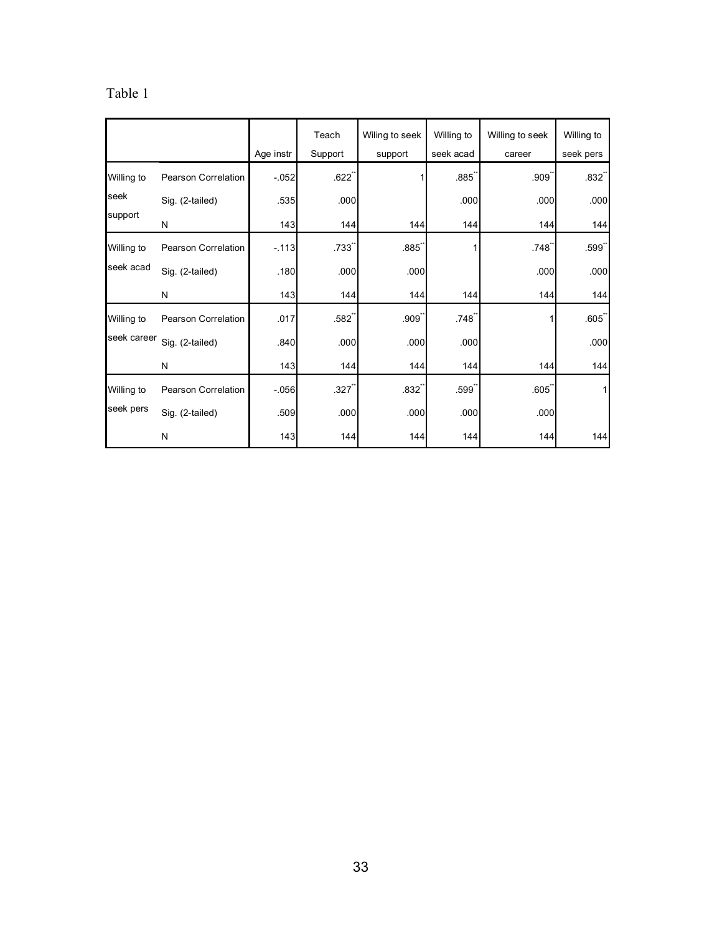# Table 1

|             |                     |           | Teach               | Wiling to seek      | Willing to          | Willing to seek | Willing to          |
|-------------|---------------------|-----------|---------------------|---------------------|---------------------|-----------------|---------------------|
|             |                     | Age instr | Support             | support             | seek acad           | career          | seek pers           |
| Willing to  | Pearson Correlation | $-052$    | .622                |                     | .885                | .909            | $.832$ <sup>"</sup> |
| seek        | Sig. (2-tailed)     | .535      | .000                |                     | .000                | .000            | .000                |
| support     | N                   | 143       | 144                 | 144                 | 144                 | 144             | 144                 |
| Willing to  | Pearson Correlation | $-113$    | .733                | .885                |                     | .748            | $.599$ <sup>"</sup> |
| seek acad   | Sig. (2-tailed)     | .180      | .000                | .000                |                     | .000            | .000                |
|             | N                   | 143       | 144                 | 144                 | 144                 | 144             | 144                 |
| Willing to  | Pearson Correlation | .017      | $.582$ <sup>"</sup> | .909                | .748                |                 | .605                |
| seek career | Sig. (2-tailed)     | .840      | .000                | .000                | .000                |                 | .000                |
|             | N                   | 143       | 144                 | 144                 | 144                 | 144             | 144                 |
| Willing to  | Pearson Correlation | $-0.056$  | $.327$ <sup>*</sup> | $.832$ <sup>"</sup> | $.599$ <sup>"</sup> | .605            | 1                   |
| seek pers   | Sig. (2-tailed)     | .509      | .000                | .000                | .000                | .000            |                     |
|             | N                   | 143       | 144                 | 144                 | 144                 | 144             | 144                 |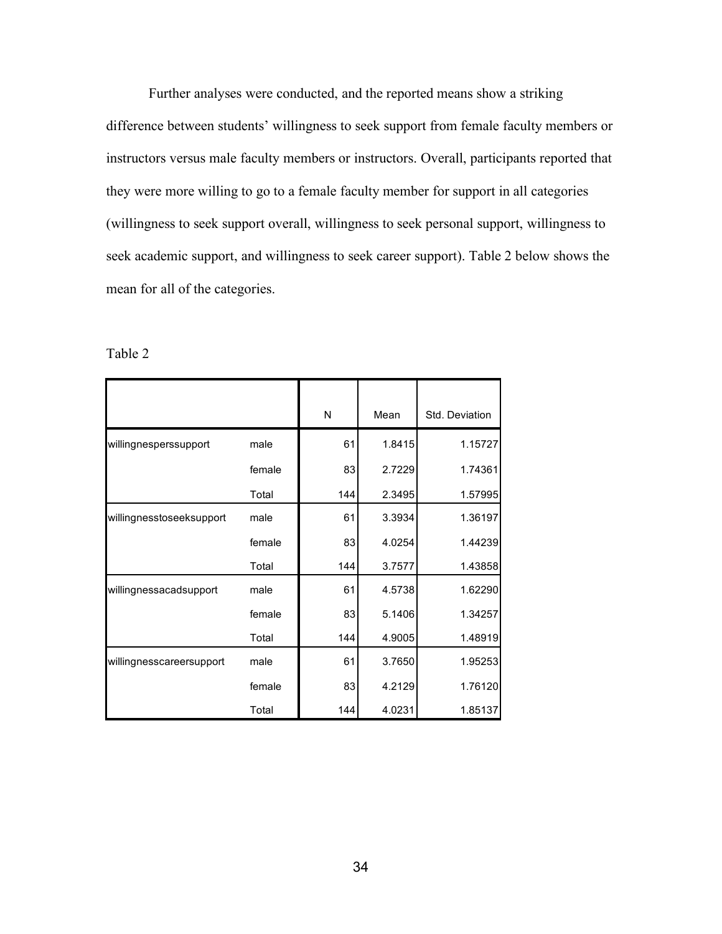Further analyses were conducted, and the reported means show a striking difference between students' willingness to seek support from female faculty members or instructors versus male faculty members or instructors. Overall, participants reported that they were more willing to go to a female faculty member for support in all categories (willingness to seek support overall, willingness to seek personal support, willingness to seek academic support, and willingness to seek career support). Table 2 below shows the mean for all of the categories.

| able | ₽ |
|------|---|
|------|---|

|                          |        | N   | Mean   | Std. Deviation |
|--------------------------|--------|-----|--------|----------------|
| willingnesperssupport    | male   | 61  | 1.8415 | 1.15727        |
|                          | female | 83  | 2.7229 | 1.74361        |
|                          | Total  | 144 | 2.3495 | 1.57995        |
| willingnesstoseeksupport | male   | 61  | 3.3934 | 1.36197        |
|                          | female | 83  | 4.0254 | 1.44239        |
|                          | Total  | 144 | 3.7577 | 1.43858        |
| willingnessacadsupport   | male   | 61  | 4.5738 | 1.62290        |
|                          | female | 83  | 5.1406 | 1.34257        |
|                          | Total  | 144 | 4.9005 | 1.48919        |
| willingnesscareersupport | male   | 61  | 3.7650 | 1.95253        |
|                          | female | 83  | 4.2129 | 1.76120        |
|                          | Total  | 144 | 4.0231 | 1.85137        |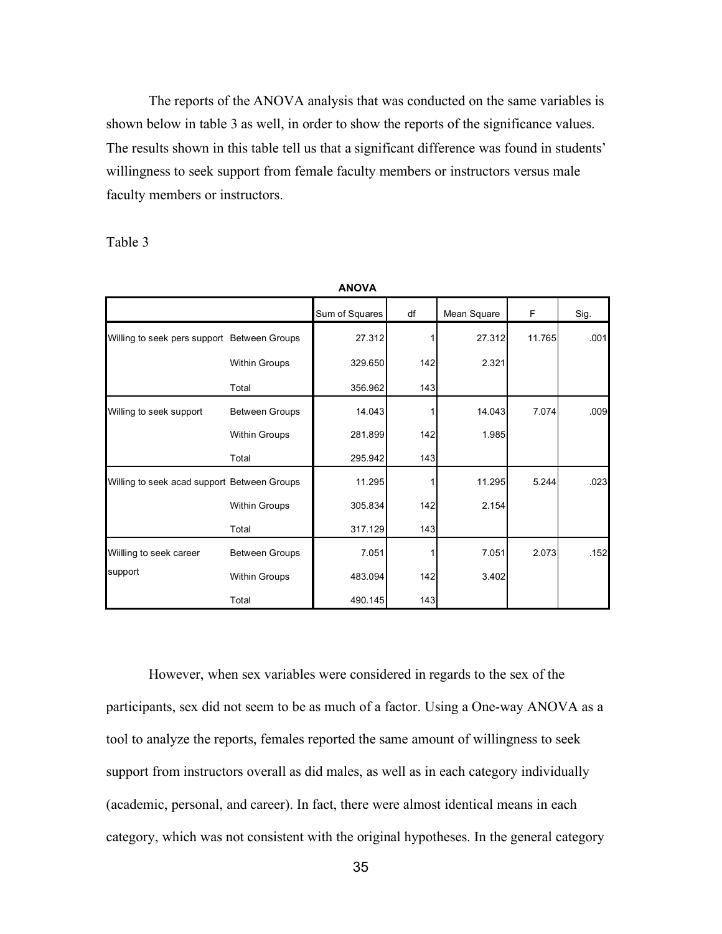The reports of the ANOVA analysis that was conducted on the same variables is shown below in table 3 as well, in order to show the reports of the significance values. The results shown in this table tell us that a significant difference was found in students' willingness to seek support from female faculty members or instructors versus male faculty members or instructors.

**ANOVA**

Table 3

|                                             |                       | AIVUVA         |     |             |        |      |
|---------------------------------------------|-----------------------|----------------|-----|-------------|--------|------|
|                                             |                       | Sum of Squares | df  | Mean Square | F      | Sig. |
| Willing to seek pers support Between Groups |                       | 27.312         |     | 27.312      | 11.765 | .001 |
|                                             | Within Groups         | 329.650        | 142 | 2.321       |        |      |
|                                             | Total                 | 356.962        | 143 |             |        |      |
| Willing to seek support                     | <b>Between Groups</b> | 14.043         |     | 14.043      | 7.074  | .009 |
|                                             | <b>Within Groups</b>  | 281.899        | 142 | 1.985       |        |      |
|                                             | Total                 | 295.942        | 143 |             |        |      |
| Willing to seek acad support Between Groups |                       | 11.295         |     | 11.295      | 5.244  | .023 |
|                                             | <b>Within Groups</b>  | 305.834        | 142 | 2.154       |        |      |
|                                             | Total                 | 317.129        | 143 |             |        |      |
| Wiilling to seek career                     | <b>Between Groups</b> | 7.051          |     | 7.051       | 2.073  | .152 |
| support                                     | <b>Within Groups</b>  | 483.094        | 142 | 3.402       |        |      |
|                                             | Total                 | 490.145        | 143 |             |        |      |

However, when sex variables were considered in regards to the sex of the participants, sex did not seem to be as much of a factor. Using a One-way ANOVA as a tool to analyze the reports, females reported the same amount of willingness to seek support from instructors overall as did males, as well as in each category individually (academic, personal, and career). In fact, there were almost identical means in each category, which was not consistent with the original hypotheses. In the general category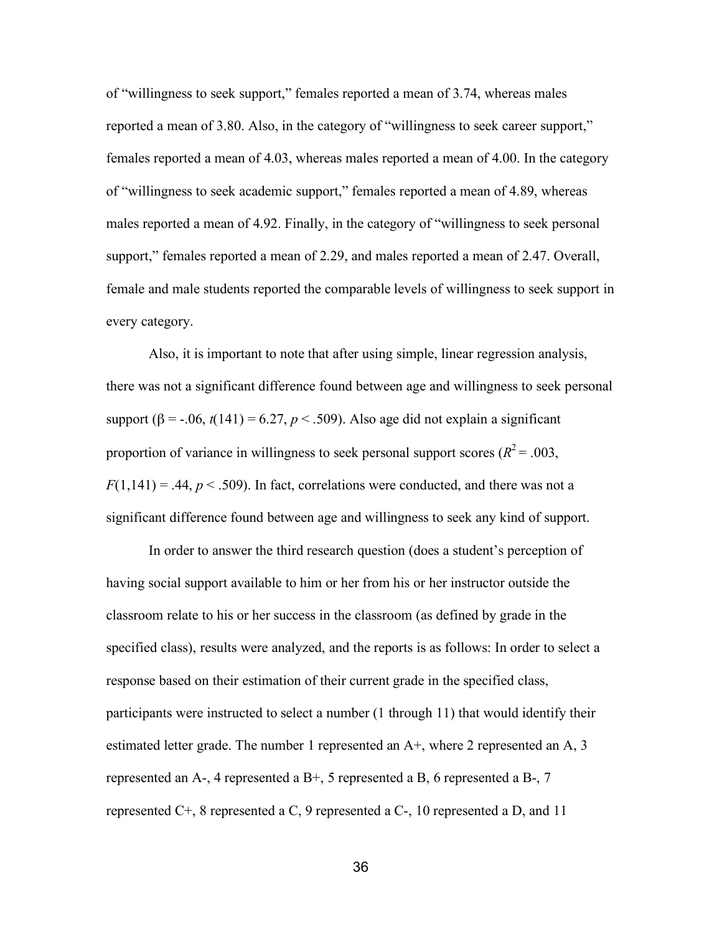of "willingness to seek support," females reported a mean of 3.74, whereas males reported a mean of 3.80. Also, in the category of "willingness to seek career support," females reported a mean of 4.03, whereas males reported a mean of 4.00. In the category of "willingness to seek academic support," females reported a mean of 4.89, whereas males reported a mean of 4.92. Finally, in the category of "willingness to seek personal support," females reported a mean of 2.29, and males reported a mean of 2.47. Overall, female and male students reported the comparable levels of willingness to seek support in every category.

Also, it is important to note that after using simple, linear regression analysis, there was not a significant difference found between age and willingness to seek personal support ( $\beta$  = -.06,  $t(141)$  = 6.27,  $p < .509$ ). Also age did not explain a significant proportion of variance in willingness to seek personal support scores ( $R^2$  = .003,  $F(1,141) = .44$ ,  $p < .509$ ). In fact, correlations were conducted, and there was not a significant difference found between age and willingness to seek any kind of support.

In order to answer the third research question (does a student's perception of having social support available to him or her from his or her instructor outside the classroom relate to his or her success in the classroom (as defined by grade in the specified class), results were analyzed, and the reports is as follows: In order to select a response based on their estimation of their current grade in the specified class, participants were instructed to select a number (1 through 11) that would identify their estimated letter grade. The number 1 represented an A+, where 2 represented an A, 3 represented an A-, 4 represented a B+, 5 represented a B, 6 represented a B-, 7 represented C+, 8 represented a C, 9 represented a C-, 10 represented a D, and 11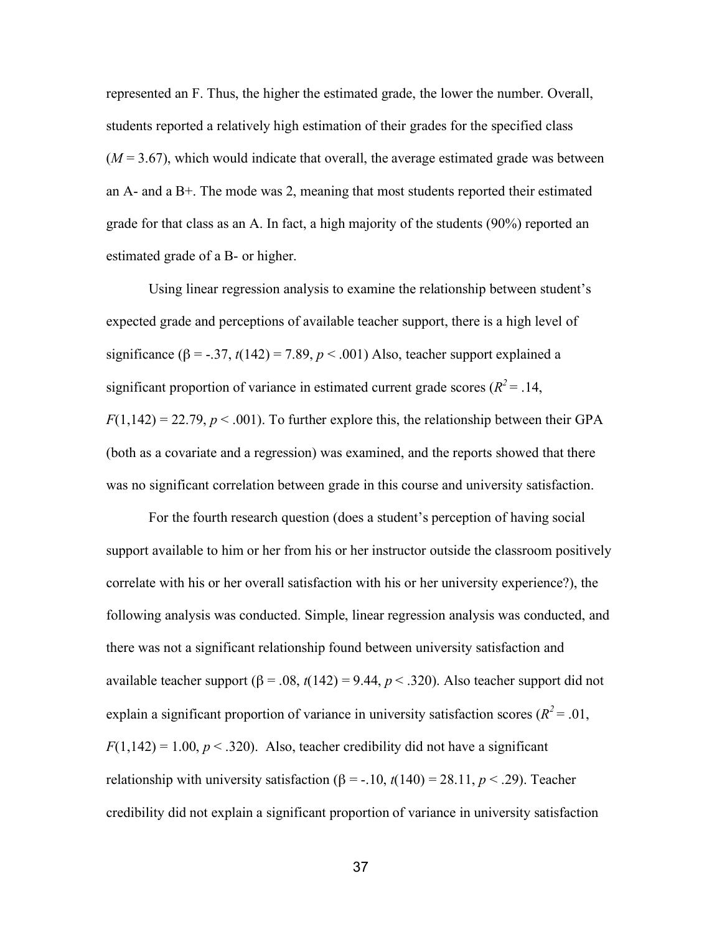represented an F. Thus, the higher the estimated grade, the lower the number. Overall, students reported a relatively high estimation of their grades for the specified class  $(M = 3.67)$ , which would indicate that overall, the average estimated grade was between an A- and a B+. The mode was 2, meaning that most students reported their estimated grade for that class as an A. In fact, a high majority of the students (90%) reported an estimated grade of a B- or higher.

Using linear regression analysis to examine the relationship between student's expected grade and perceptions of available teacher support, there is a high level of significance ( $\beta$  = -.37, *t*(142) = 7.89, *p* < .001) Also, teacher support explained a significant proportion of variance in estimated current grade scores ( $R^2$  = .14,  $F(1,142) = 22.79, p < .001$ . To further explore this, the relationship between their GPA (both as a covariate and a regression) was examined, and the reports showed that there was no significant correlation between grade in this course and university satisfaction.

For the fourth research question (does a student's perception of having social support available to him or her from his or her instructor outside the classroom positively correlate with his or her overall satisfaction with his or her university experience?), the following analysis was conducted. Simple, linear regression analysis was conducted, and there was not a significant relationship found between university satisfaction and available teacher support ( $β = .08$ ,  $t(142) = 9.44$ ,  $p < .320$ ). Also teacher support did not explain a significant proportion of variance in university satisfaction scores ( $R^2$  = .01,  $F(1,142) = 1.00, p < .320$ . Also, teacher credibility did not have a significant relationship with university satisfaction  $(\beta = -10, t(140) = 28.11, p < .29)$ . Teacher credibility did not explain a significant proportion of variance in university satisfaction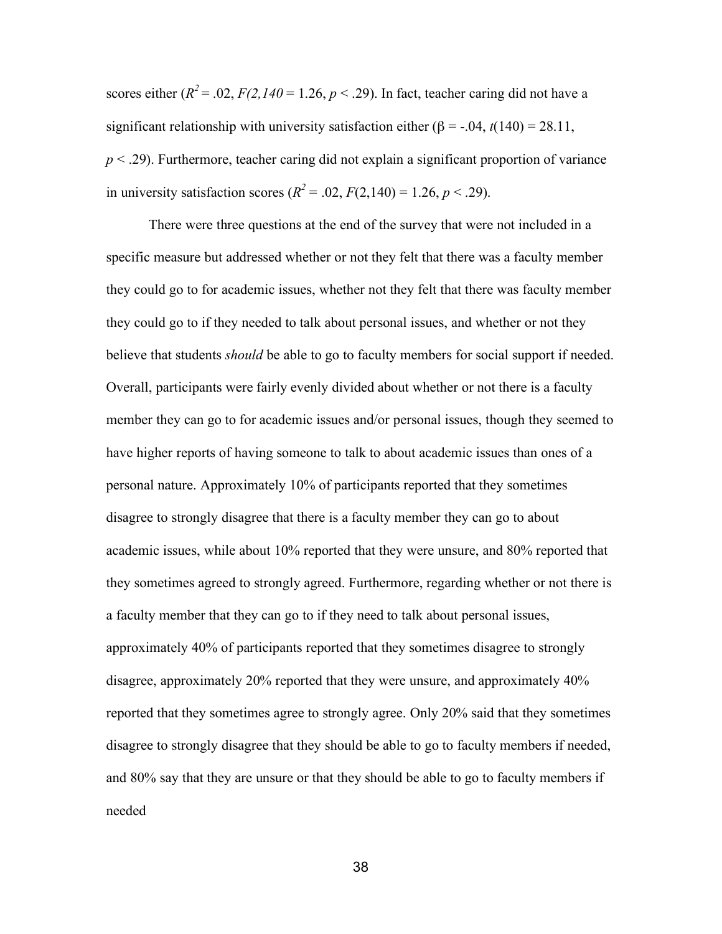scores either  $(R^2 = .02, F(2,140 = 1.26, p < .29)$ . In fact, teacher caring did not have a significant relationship with university satisfaction either ( $\beta$  = -.04, *t*(140) = 28.11, *p* < .29). Furthermore, teacher caring did not explain a significant proportion of variance in university satisfaction scores  $(R^2 = .02, F(2,140) = 1.26, p < .29)$ .

There were three questions at the end of the survey that were not included in a specific measure but addressed whether or not they felt that there was a faculty member they could go to for academic issues, whether not they felt that there was faculty member they could go to if they needed to talk about personal issues, and whether or not they believe that students *should* be able to go to faculty members for social support if needed. Overall, participants were fairly evenly divided about whether or not there is a faculty member they can go to for academic issues and/or personal issues, though they seemed to have higher reports of having someone to talk to about academic issues than ones of a personal nature. Approximately 10% of participants reported that they sometimes disagree to strongly disagree that there is a faculty member they can go to about academic issues, while about 10% reported that they were unsure, and 80% reported that they sometimes agreed to strongly agreed. Furthermore, regarding whether or not there is a faculty member that they can go to if they need to talk about personal issues, approximately 40% of participants reported that they sometimes disagree to strongly disagree, approximately 20% reported that they were unsure, and approximately 40% reported that they sometimes agree to strongly agree. Only 20% said that they sometimes disagree to strongly disagree that they should be able to go to faculty members if needed, and 80% say that they are unsure or that they should be able to go to faculty members if needed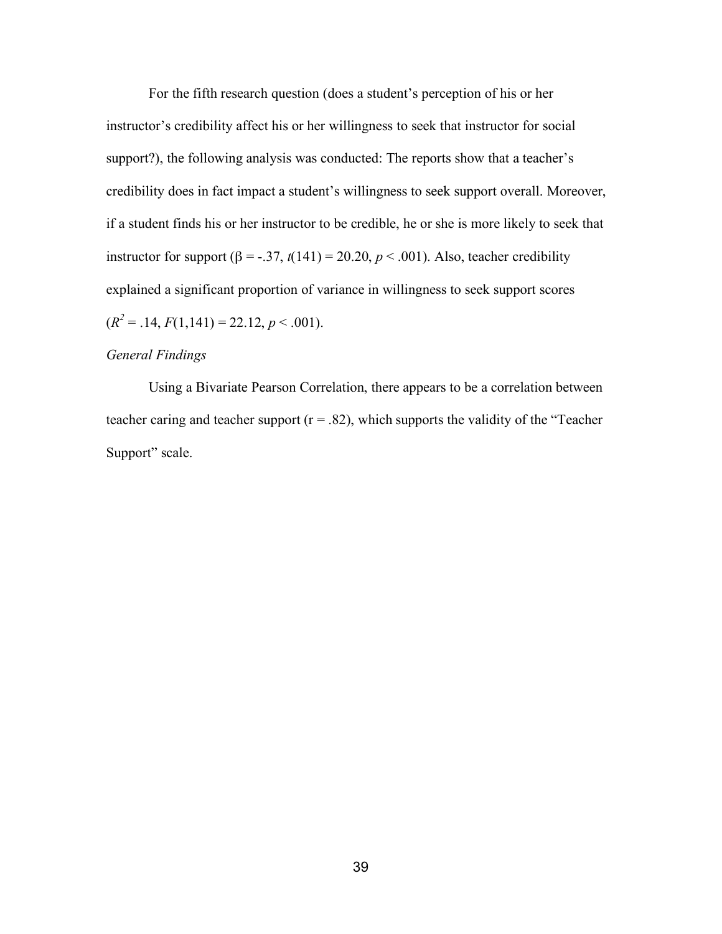For the fifth research question (does a student's perception of his or her instructor's credibility affect his or her willingness to seek that instructor for social support?), the following analysis was conducted: The reports show that a teacher's credibility does in fact impact a student's willingness to seek support overall. Moreover, if a student finds his or her instructor to be credible, he or she is more likely to seek that instructor for support ( $\beta$  = -.37,  $t(141)$  = 20.20,  $p < .001$ ). Also, teacher credibility explained a significant proportion of variance in willingness to seek support scores  $(R^{2} = .14, F(1,141) = 22.12, p < .001).$ 

## *General Findings*

Using a Bivariate Pearson Correlation, there appears to be a correlation between teacher caring and teacher support ( $r = .82$ ), which supports the validity of the "Teacher" Support" scale.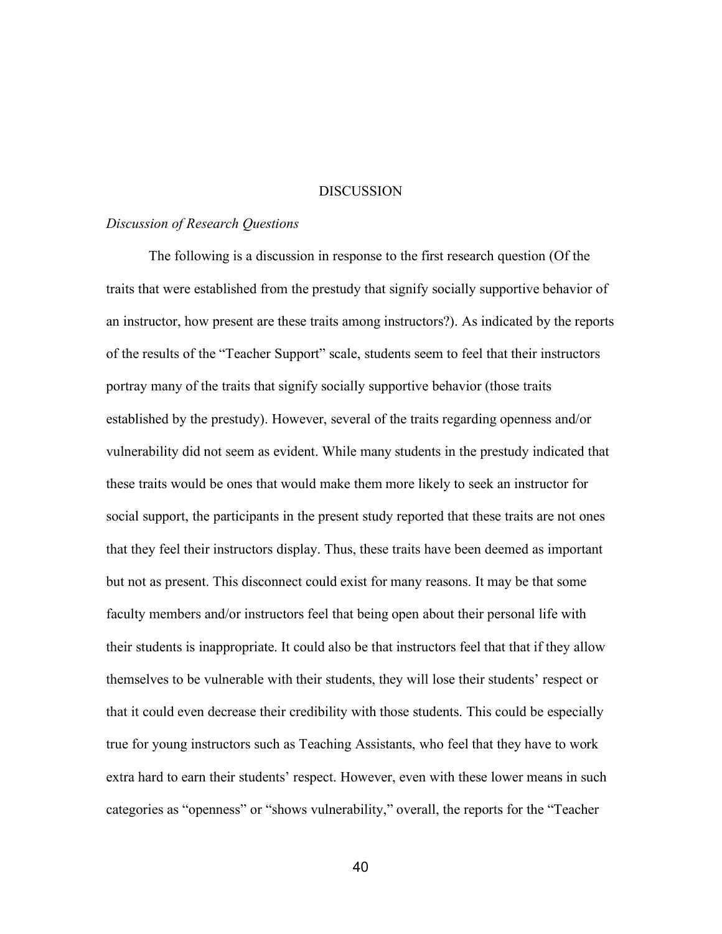## **DISCUSSION**

#### *Discussion of Research Questions*

The following is a discussion in response to the first research question (Of the traits that were established from the prestudy that signify socially supportive behavior of an instructor, how present are these traits among instructors?). As indicated by the reports of the results of the "Teacher Support" scale, students seem to feel that their instructors portray many of the traits that signify socially supportive behavior (those traits established by the prestudy). However, several of the traits regarding openness and/or vulnerability did not seem as evident. While many students in the prestudy indicated that these traits would be ones that would make them more likely to seek an instructor for social support, the participants in the present study reported that these traits are not ones that they feel their instructors display. Thus, these traits have been deemed as important but not as present. This disconnect could exist for many reasons. It may be that some faculty members and/or instructors feel that being open about their personal life with their students is inappropriate. It could also be that instructors feel that that if they allow themselves to be vulnerable with their students, they will lose their students' respect or that it could even decrease their credibility with those students. This could be especially true for young instructors such as Teaching Assistants, who feel that they have to work extra hard to earn their students' respect. However, even with these lower means in such categories as "openness" or "shows vulnerability," overall, the reports for the "Teacher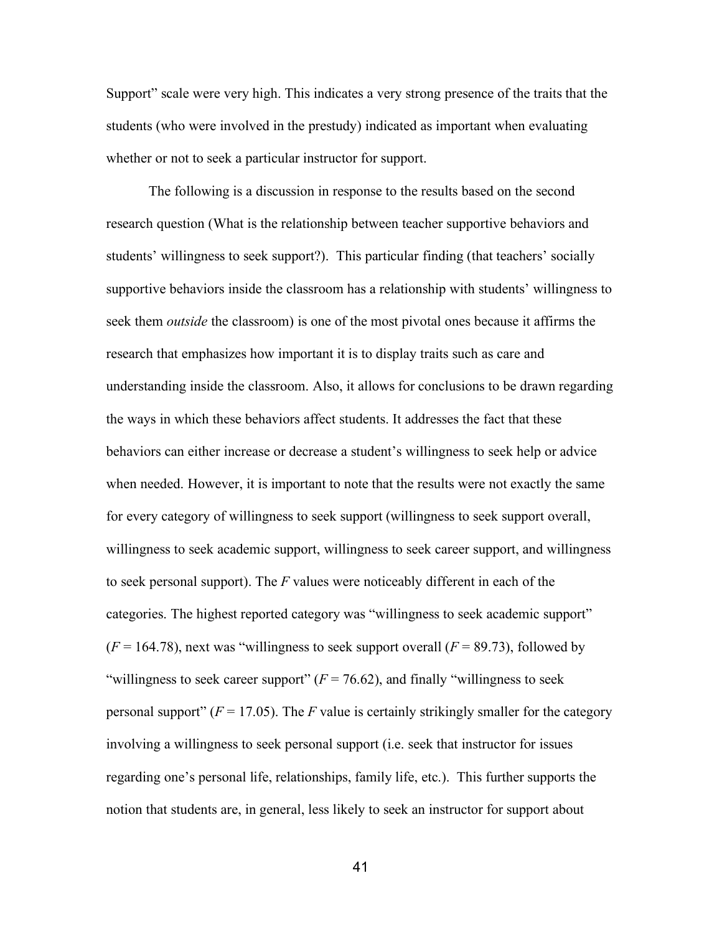Support" scale were very high. This indicates a very strong presence of the traits that the students (who were involved in the prestudy) indicated as important when evaluating whether or not to seek a particular instructor for support.

The following is a discussion in response to the results based on the second research question (What is the relationship between teacher supportive behaviors and students' willingness to seek support?). This particular finding (that teachers' socially supportive behaviors inside the classroom has a relationship with students' willingness to seek them *outside* the classroom) is one of the most pivotal ones because it affirms the research that emphasizes how important it is to display traits such as care and understanding inside the classroom. Also, it allows for conclusions to be drawn regarding the ways in which these behaviors affect students. It addresses the fact that these behaviors can either increase or decrease a student's willingness to seek help or advice when needed. However, it is important to note that the results were not exactly the same for every category of willingness to seek support (willingness to seek support overall, willingness to seek academic support, willingness to seek career support, and willingness to seek personal support). The *F* values were noticeably different in each of the categories. The highest reported category was "willingness to seek academic support"  $(F = 164.78)$ , next was "willingness to seek support overall  $(F = 89.73)$ , followed by "willingness to seek career support"  $(F = 76.62)$ , and finally "willingness to seek" personal support" ( $F = 17.05$ ). The *F* value is certainly strikingly smaller for the category involving a willingness to seek personal support (i.e. seek that instructor for issues regarding one's personal life, relationships, family life, etc.). This further supports the notion that students are, in general, less likely to seek an instructor for support about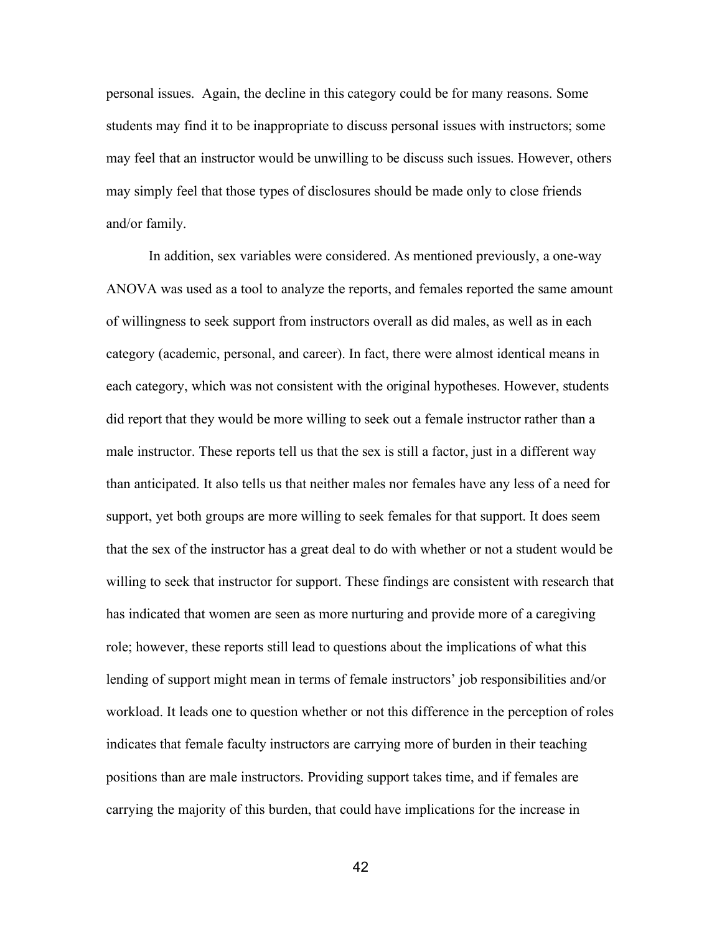personal issues. Again, the decline in this category could be for many reasons. Some students may find it to be inappropriate to discuss personal issues with instructors; some may feel that an instructor would be unwilling to be discuss such issues. However, others may simply feel that those types of disclosures should be made only to close friends and/or family.

In addition, sex variables were considered. As mentioned previously, a one-way ANOVA was used as a tool to analyze the reports, and females reported the same amount of willingness to seek support from instructors overall as did males, as well as in each category (academic, personal, and career). In fact, there were almost identical means in each category, which was not consistent with the original hypotheses. However, students did report that they would be more willing to seek out a female instructor rather than a male instructor. These reports tell us that the sex is still a factor, just in a different way than anticipated. It also tells us that neither males nor females have any less of a need for support, yet both groups are more willing to seek females for that support. It does seem that the sex of the instructor has a great deal to do with whether or not a student would be willing to seek that instructor for support. These findings are consistent with research that has indicated that women are seen as more nurturing and provide more of a caregiving role; however, these reports still lead to questions about the implications of what this lending of support might mean in terms of female instructors' job responsibilities and/or workload. It leads one to question whether or not this difference in the perception of roles indicates that female faculty instructors are carrying more of burden in their teaching positions than are male instructors. Providing support takes time, and if females are carrying the majority of this burden, that could have implications for the increase in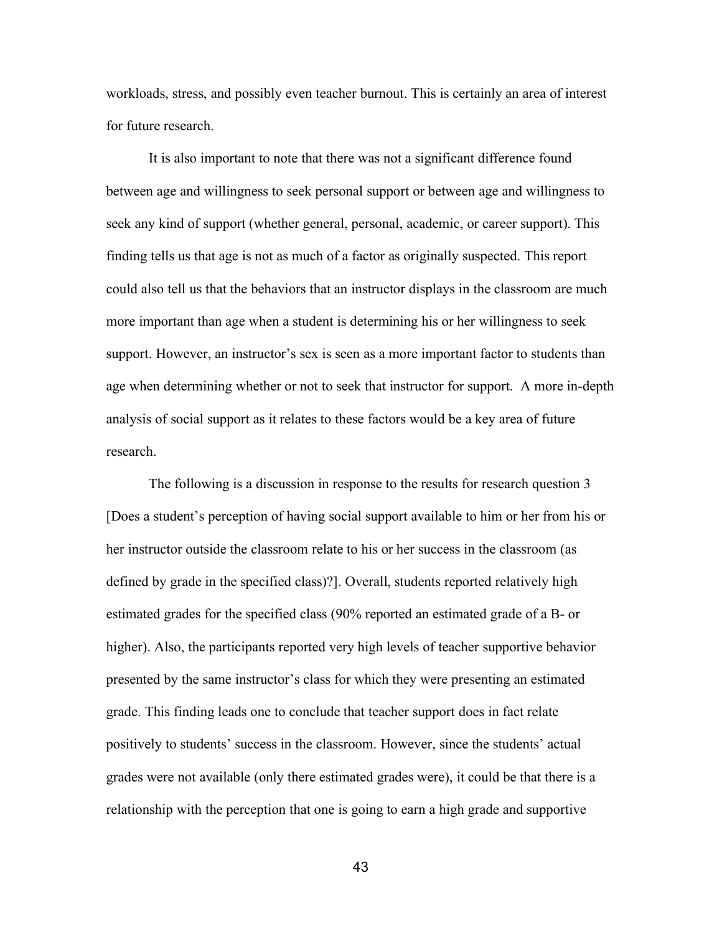workloads, stress, and possibly even teacher burnout. This is certainly an area of interest for future research.

It is also important to note that there was not a significant difference found between age and willingness to seek personal support or between age and willingness to seek any kind of support (whether general, personal, academic, or career support). This finding tells us that age is not as much of a factor as originally suspected. This report could also tell us that the behaviors that an instructor displays in the classroom are much more important than age when a student is determining his or her willingness to seek support. However, an instructor's sex is seen as a more important factor to students than age when determining whether or not to seek that instructor for support. A more in-depth analysis of social support as it relates to these factors would be a key area of future research.

The following is a discussion in response to the results for research question 3 [Does a student's perception of having social support available to him or her from his or her instructor outside the classroom relate to his or her success in the classroom (as defined by grade in the specified class)?]. Overall, students reported relatively high estimated grades for the specified class (90% reported an estimated grade of a B- or higher). Also, the participants reported very high levels of teacher supportive behavior presented by the same instructor's class for which they were presenting an estimated grade. This finding leads one to conclude that teacher support does in fact relate positively to students' success in the classroom. However, since the students' actual grades were not available (only there estimated grades were), it could be that there is a relationship with the perception that one is going to earn a high grade and supportive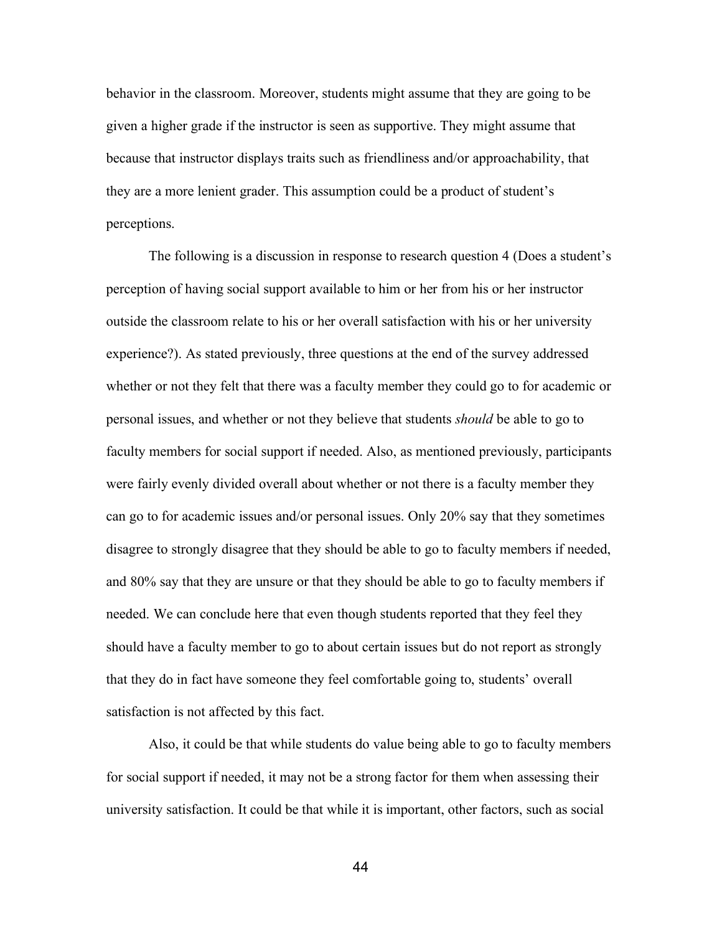behavior in the classroom. Moreover, students might assume that they are going to be given a higher grade if the instructor is seen as supportive. They might assume that because that instructor displays traits such as friendliness and/or approachability, that they are a more lenient grader. This assumption could be a product of student's perceptions.

The following is a discussion in response to research question 4 (Does a student's perception of having social support available to him or her from his or her instructor outside the classroom relate to his or her overall satisfaction with his or her university experience?). As stated previously, three questions at the end of the survey addressed whether or not they felt that there was a faculty member they could go to for academic or personal issues, and whether or not they believe that students *should* be able to go to faculty members for social support if needed. Also, as mentioned previously, participants were fairly evenly divided overall about whether or not there is a faculty member they can go to for academic issues and/or personal issues. Only 20% say that they sometimes disagree to strongly disagree that they should be able to go to faculty members if needed, and 80% say that they are unsure or that they should be able to go to faculty members if needed. We can conclude here that even though students reported that they feel they should have a faculty member to go to about certain issues but do not report as strongly that they do in fact have someone they feel comfortable going to, students' overall satisfaction is not affected by this fact.

Also, it could be that while students do value being able to go to faculty members for social support if needed, it may not be a strong factor for them when assessing their university satisfaction. It could be that while it is important, other factors, such as social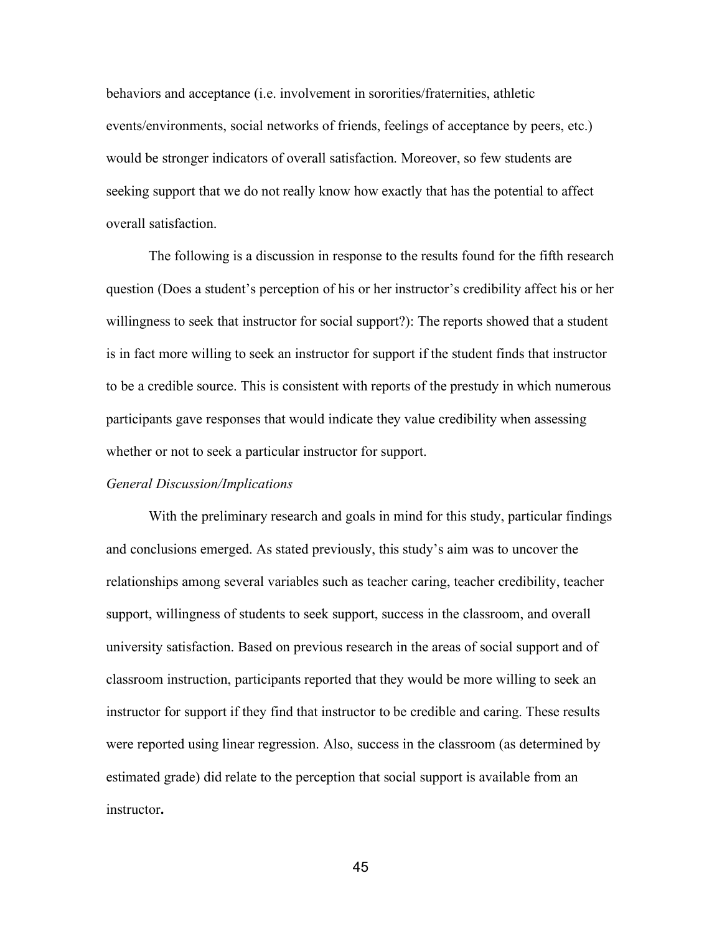behaviors and acceptance (i.e. involvement in sororities/fraternities, athletic events/environments, social networks of friends, feelings of acceptance by peers, etc.) would be stronger indicators of overall satisfaction. Moreover, so few students are seeking support that we do not really know how exactly that has the potential to affect overall satisfaction.

The following is a discussion in response to the results found for the fifth research question (Does a student's perception of his or her instructor's credibility affect his or her willingness to seek that instructor for social support?): The reports showed that a student is in fact more willing to seek an instructor for support if the student finds that instructor to be a credible source. This is consistent with reports of the prestudy in which numerous participants gave responses that would indicate they value credibility when assessing whether or not to seek a particular instructor for support.

## *General Discussion/Implications*

With the preliminary research and goals in mind for this study, particular findings and conclusions emerged. As stated previously, this study's aim was to uncover the relationships among several variables such as teacher caring, teacher credibility, teacher support, willingness of students to seek support, success in the classroom, and overall university satisfaction. Based on previous research in the areas of social support and of classroom instruction, participants reported that they would be more willing to seek an instructor for support if they find that instructor to be credible and caring. These results were reported using linear regression. Also, success in the classroom (as determined by estimated grade) did relate to the perception that social support is available from an instructor**.**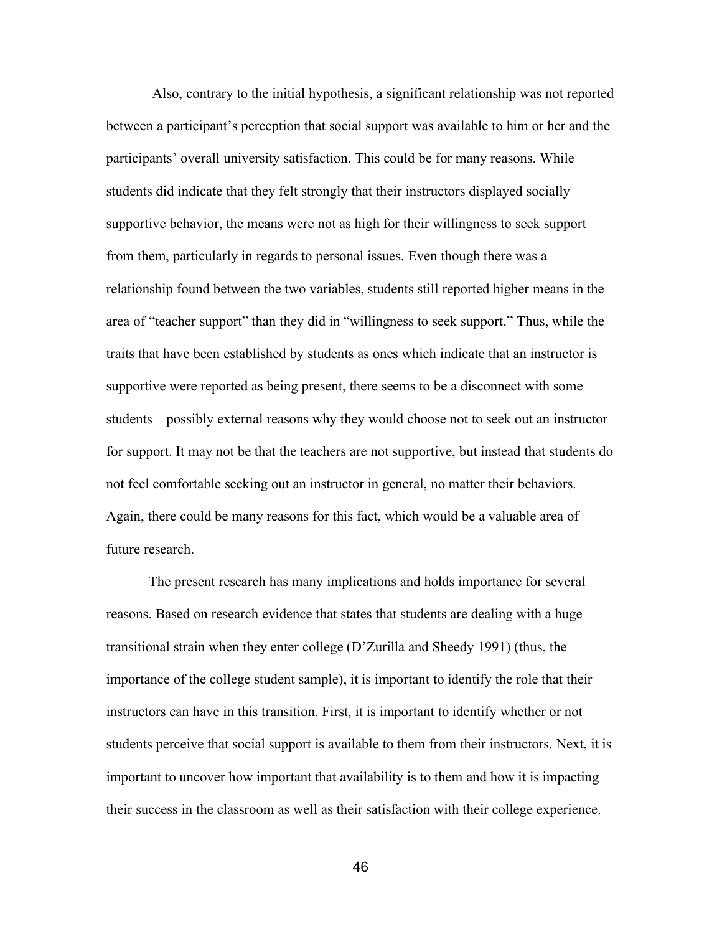Also, contrary to the initial hypothesis, a significant relationship was not reported between a participant's perception that social support was available to him or her and the participants' overall university satisfaction. This could be for many reasons. While students did indicate that they felt strongly that their instructors displayed socially supportive behavior, the means were not as high for their willingness to seek support from them, particularly in regards to personal issues. Even though there was a relationship found between the two variables, students still reported higher means in the area of "teacher support" than they did in "willingness to seek support." Thus, while the traits that have been established by students as ones which indicate that an instructor is supportive were reported as being present, there seems to be a disconnect with some students—possibly external reasons why they would choose not to seek out an instructor for support. It may not be that the teachers are not supportive, but instead that students do not feel comfortable seeking out an instructor in general, no matter their behaviors. Again, there could be many reasons for this fact, which would be a valuable area of future research.

The present research has many implications and holds importance for several reasons. Based on research evidence that states that students are dealing with a huge transitional strain when they enter college (D'Zurilla and Sheedy 1991) (thus, the importance of the college student sample), it is important to identify the role that their instructors can have in this transition. First, it is important to identify whether or not students perceive that social support is available to them from their instructors. Next, it is important to uncover how important that availability is to them and how it is impacting their success in the classroom as well as their satisfaction with their college experience.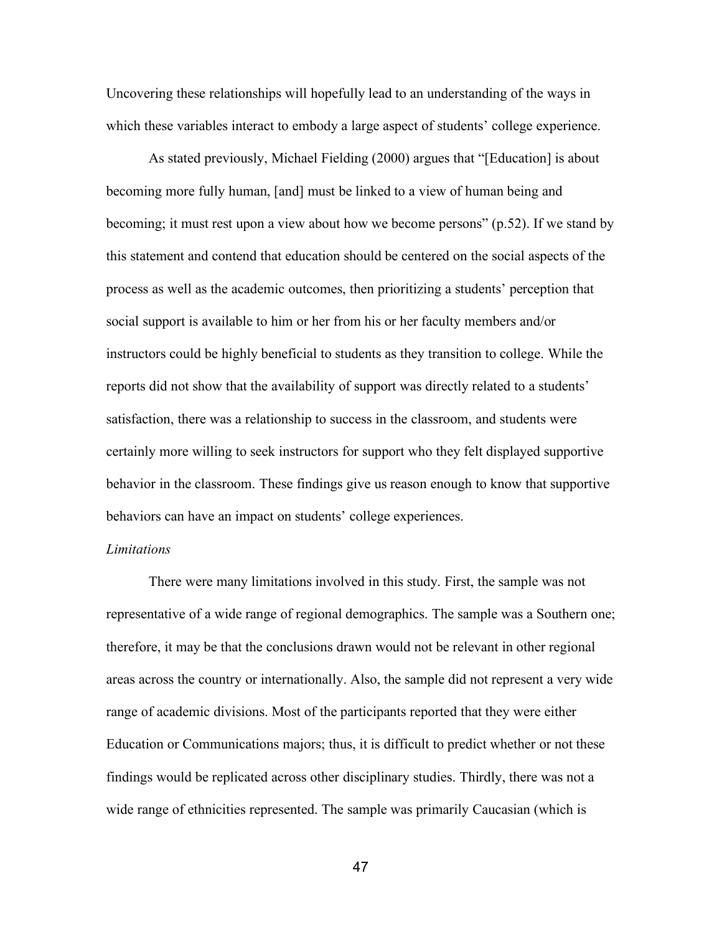Uncovering these relationships will hopefully lead to an understanding of the ways in which these variables interact to embody a large aspect of students' college experience.

As stated previously, Michael Fielding (2000) argues that "[Education] is about becoming more fully human, [and] must be linked to a view of human being and becoming; it must rest upon a view about how we become persons" (p.52). If we stand by this statement and contend that education should be centered on the social aspects of the process as well as the academic outcomes, then prioritizing a students' perception that social support is available to him or her from his or her faculty members and/or instructors could be highly beneficial to students as they transition to college. While the reports did not show that the availability of support was directly related to a students' satisfaction, there was a relationship to success in the classroom, and students were certainly more willing to seek instructors for support who they felt displayed supportive behavior in the classroom. These findings give us reason enough to know that supportive behaviors can have an impact on students' college experiences.

## *Limitations*

There were many limitations involved in this study. First, the sample was not representative of a wide range of regional demographics. The sample was a Southern one; therefore, it may be that the conclusions drawn would not be relevant in other regional areas across the country or internationally. Also, the sample did not represent a very wide range of academic divisions. Most of the participants reported that they were either Education or Communications majors; thus, it is difficult to predict whether or not these findings would be replicated across other disciplinary studies. Thirdly, there was not a wide range of ethnicities represented. The sample was primarily Caucasian (which is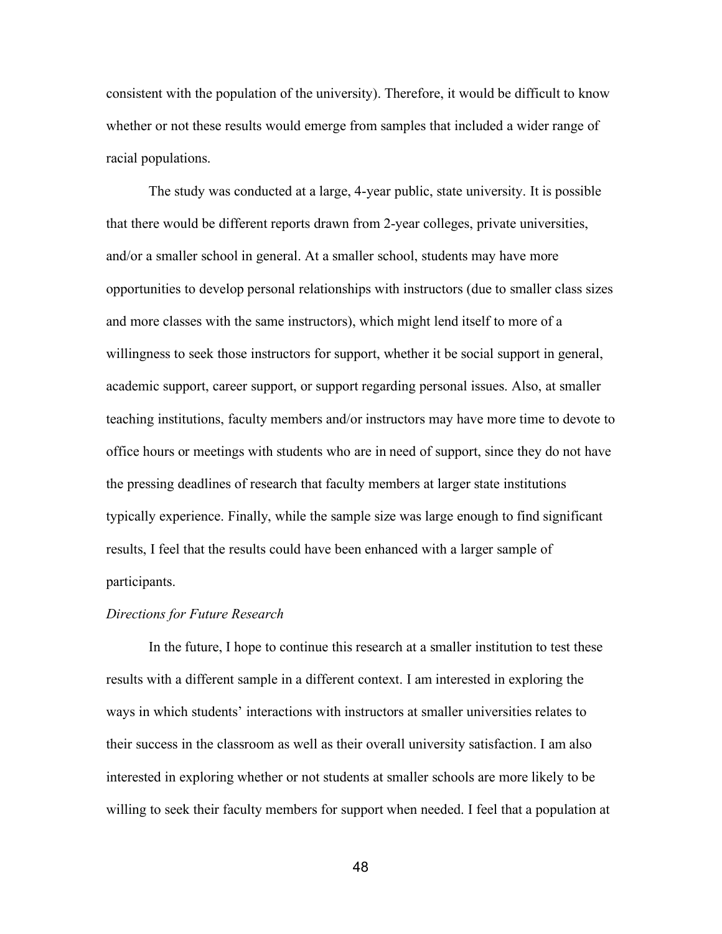consistent with the population of the university). Therefore, it would be difficult to know whether or not these results would emerge from samples that included a wider range of racial populations.

The study was conducted at a large, 4-year public, state university. It is possible that there would be different reports drawn from 2-year colleges, private universities, and/or a smaller school in general. At a smaller school, students may have more opportunities to develop personal relationships with instructors (due to smaller class sizes and more classes with the same instructors), which might lend itself to more of a willingness to seek those instructors for support, whether it be social support in general, academic support, career support, or support regarding personal issues. Also, at smaller teaching institutions, faculty members and/or instructors may have more time to devote to office hours or meetings with students who are in need of support, since they do not have the pressing deadlines of research that faculty members at larger state institutions typically experience. Finally, while the sample size was large enough to find significant results, I feel that the results could have been enhanced with a larger sample of participants.

## *Directions for Future Research*

In the future, I hope to continue this research at a smaller institution to test these results with a different sample in a different context. I am interested in exploring the ways in which students' interactions with instructors at smaller universities relates to their success in the classroom as well as their overall university satisfaction. I am also interested in exploring whether or not students at smaller schools are more likely to be willing to seek their faculty members for support when needed. I feel that a population at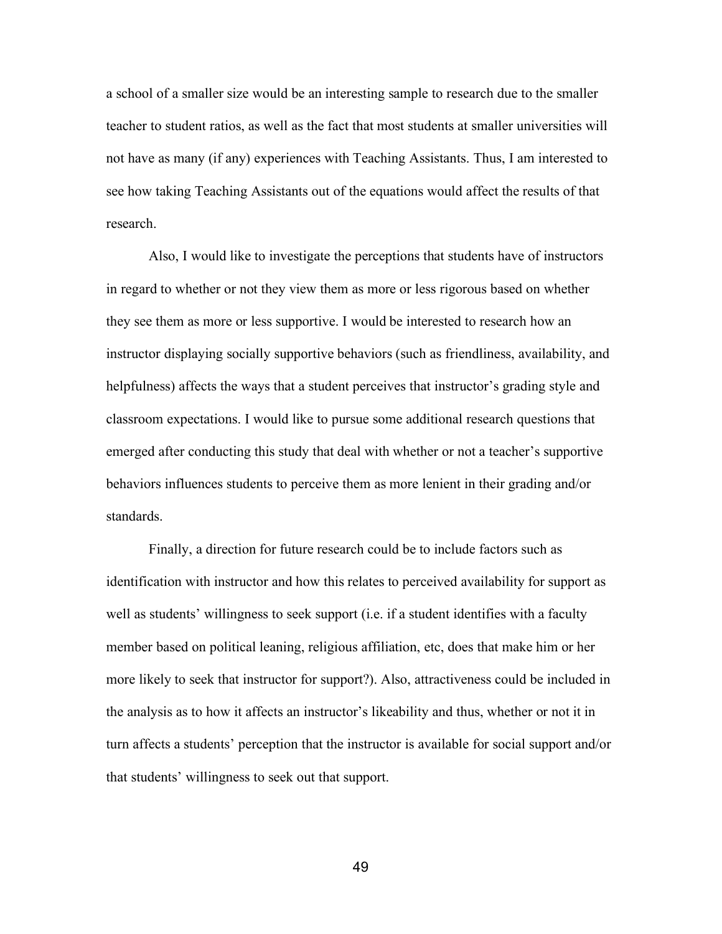a school of a smaller size would be an interesting sample to research due to the smaller teacher to student ratios, as well as the fact that most students at smaller universities will not have as many (if any) experiences with Teaching Assistants. Thus, I am interested to see how taking Teaching Assistants out of the equations would affect the results of that research.

Also, I would like to investigate the perceptions that students have of instructors in regard to whether or not they view them as more or less rigorous based on whether they see them as more or less supportive. I would be interested to research how an instructor displaying socially supportive behaviors (such as friendliness, availability, and helpfulness) affects the ways that a student perceives that instructor's grading style and classroom expectations. I would like to pursue some additional research questions that emerged after conducting this study that deal with whether or not a teacher's supportive behaviors influences students to perceive them as more lenient in their grading and/or standards.

Finally, a direction for future research could be to include factors such as identification with instructor and how this relates to perceived availability for support as well as students' willingness to seek support (i.e. if a student identifies with a faculty member based on political leaning, religious affiliation, etc, does that make him or her more likely to seek that instructor for support?). Also, attractiveness could be included in the analysis as to how it affects an instructor's likeability and thus, whether or not it in turn affects a students' perception that the instructor is available for social support and/or that students' willingness to seek out that support.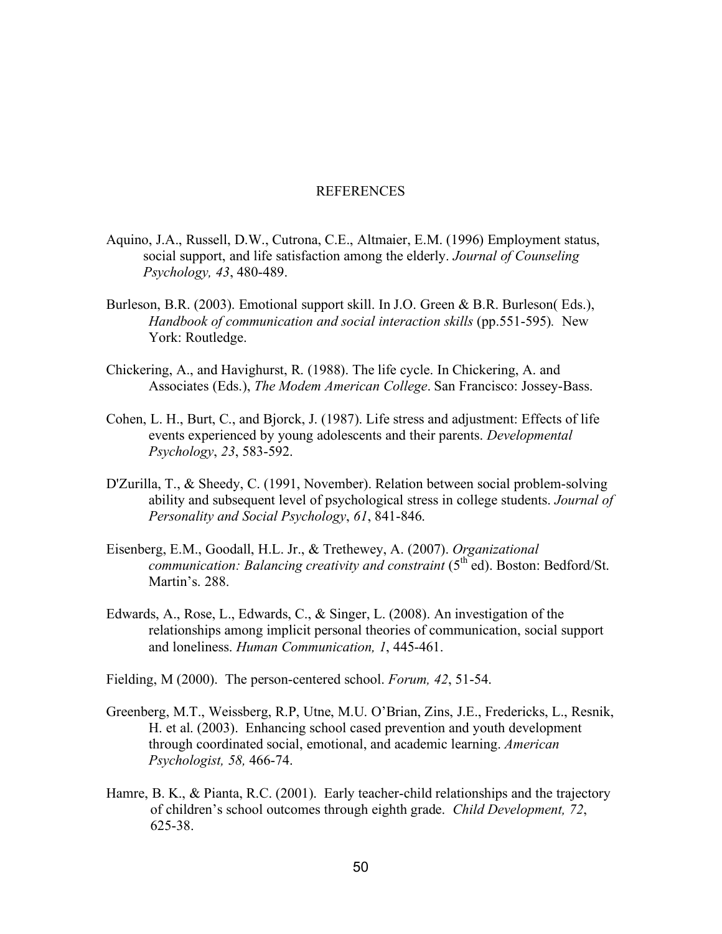## REFERENCES

- Aquino, J.A., Russell, D.W., Cutrona, C.E., Altmaier, E.M. (1996) Employment status, social support, and life satisfaction among the elderly. *Journal of Counseling Psychology, 43*, 480-489.
- Burleson, B.R. (2003). Emotional support skill. In J.O. Green & B.R. Burleson( Eds.), *Handbook of communication and social interaction skills* (pp.551-595)*.* New York: Routledge.
- Chickering, A., and Havighurst, R. (1988). The life cycle. In Chickering, A. and Associates (Eds.), *The Modem American College*. San Francisco: Jossey-Bass.
- Cohen, L. H., Burt, C., and Bjorck, J. (1987). Life stress and adjustment: Effects of life events experienced by young adolescents and their parents. *Developmental Psychology*, *23*, 583-592.
- D'Zurilla, T., & Sheedy, C. (1991, November). Relation between social problem-solving ability and subsequent level of psychological stress in college students. *Journal of Personality and Social Psychology*, *61*, 841-846.
- Eisenberg, E.M., Goodall, H.L. Jr., & Trethewey, A. (2007). *Organizational communication: Balancing creativity and constraint* (5<sup>th</sup> ed). Boston: Bedford/St. Martin's. 288.
- Edwards, A., Rose, L., Edwards, C., & Singer, L. (2008). An investigation of the relationships among implicit personal theories of communication, social support and loneliness. *Human Communication, 1*, 445-461.

Fielding, M (2000). The person-centered school. *Forum, 42*, 51-54.

- Greenberg, M.T., Weissberg, R.P, Utne, M.U. O'Brian, Zins, J.E., Fredericks, L., Resnik, H. et al. (2003). Enhancing school cased prevention and youth development through coordinated social, emotional, and academic learning. *American Psychologist, 58,* 466-74.
- Hamre, B. K., & Pianta, R.C. (2001). Early teacher-child relationships and the trajectory of children's school outcomes through eighth grade. *Child Development, 72*, 625-38.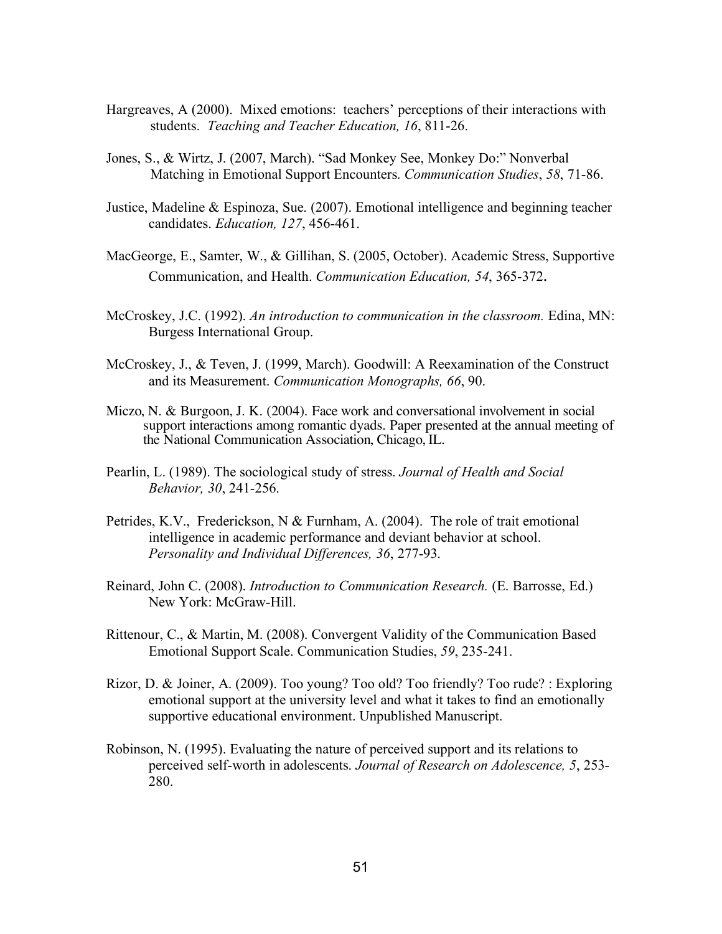- Hargreaves, A (2000). Mixed emotions: teachers' perceptions of their interactions with students. *Teaching and Teacher Education, 16*, 811-26.
- Jones, S., & Wirtz, J. (2007, March). "Sad Monkey See, Monkey Do:" Nonverbal Matching in Emotional Support Encounters. *Communication Studies*, *58*, 71-86.
- Justice, Madeline & Espinoza, Sue. (2007). Emotional intelligence and beginning teacher candidates. *Education, 127*, 456-461.
- MacGeorge, E., Samter, W., & Gillihan, S. (2005, October). Academic Stress, Supportive Communication, and Health. *Communication Education, 54*, 365-372.
- McCroskey, J.C. (1992). *An introduction to communication in the classroom.* Edina, MN: Burgess International Group.
- McCroskey, J., & Teven, J. (1999, March). Goodwill: A Reexamination of the Construct and its Measurement. *Communication Monographs, 66*, 90.
- Miczo, N. & Burgoon, J. K. (2004). Face work and conversational involvement in social support interactions among romantic dyads. Paper presented at the annual meeting of the National Communication Association, Chicago, IL.
- Pearlin, L. (1989). The sociological study of stress. *Journal of Health and Social Behavior, 30*, 241-256.
- Petrides, K.V., Frederickson, N & Furnham, A. (2004). The role of trait emotional intelligence in academic performance and deviant behavior at school. *Personality and Individual Differences, 36*, 277-93.
- Reinard, John C. (2008). *Introduction to Communication Research.* (E. Barrosse, Ed.) New York: McGraw-Hill.
- Rittenour, C., & Martin, M. (2008). Convergent Validity of the Communication Based Emotional Support Scale. Communication Studies, *59*, 235-241.
- Rizor, D. & Joiner, A. (2009). Too young? Too old? Too friendly? Too rude? : Exploring emotional support at the university level and what it takes to find an emotionally supportive educational environment. Unpublished Manuscript.
- Robinson, N. (1995). Evaluating the nature of perceived support and its relations to perceived self-worth in adolescents. *Journal of Research on Adolescence, 5*, 253- 280.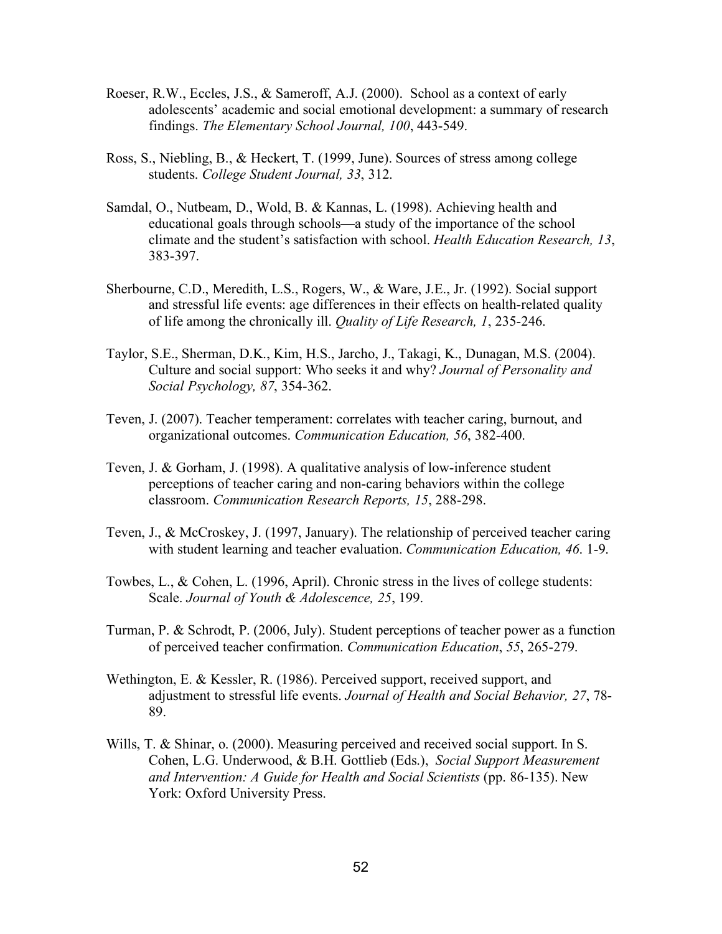- Roeser, R.W., Eccles, J.S., & Sameroff, A.J. (2000). School as a context of early adolescents' academic and social emotional development: a summary of research findings. *The Elementary School Journal, 100*, 443-549.
- Ross, S., Niebling, B., & Heckert, T. (1999, June). Sources of stress among college students. *College Student Journal, 33*, 312.
- Samdal, O., Nutbeam, D., Wold, B. & Kannas, L. (1998). Achieving health and educational goals through schools—a study of the importance of the school climate and the student's satisfaction with school. *Health Education Research, 13*, 383-397.
- Sherbourne, C.D., Meredith, L.S., Rogers, W., & Ware, J.E., Jr. (1992). Social support and stressful life events: age differences in their effects on health-related quality of life among the chronically ill. *Quality of Life Research, 1*, 235-246.
- Taylor, S.E., Sherman, D.K., Kim, H.S., Jarcho, J., Takagi, K., Dunagan, M.S. (2004). Culture and social support: Who seeks it and why? *Journal of Personality and Social Psychology, 87*, 354-362.
- Teven, J. (2007). Teacher temperament: correlates with teacher caring, burnout, and organizational outcomes. *Communication Education, 56*, 382-400.
- Teven, J. & Gorham, J. (1998). A qualitative analysis of low-inference student perceptions of teacher caring and non-caring behaviors within the college classroom. *Communication Research Reports, 15*, 288-298.
- Teven, J., & McCroskey, J. (1997, January). The relationship of perceived teacher caring with student learning and teacher evaluation. *Communication Education, 46*. 1-9.
- Towbes, L., & Cohen, L. (1996, April). Chronic stress in the lives of college students: Scale. *Journal of Youth & Adolescence, 25*, 199.
- Turman, P. & Schrodt, P. (2006, July). Student perceptions of teacher power as a function of perceived teacher confirmation. *Communication Education*, *55*, 265-279.
- Wethington, E. & Kessler, R. (1986). Perceived support, received support, and adjustment to stressful life events. *Journal of Health and Social Behavior, 27*, 78- 89.
- Wills, T. & Shinar, o. (2000). Measuring perceived and received social support. In S. Cohen, L.G. Underwood, & B.H. Gottlieb (Eds.), *Social Support Measurement and Intervention: A Guide for Health and Social Scientists* (pp. 86-135). New York: Oxford University Press.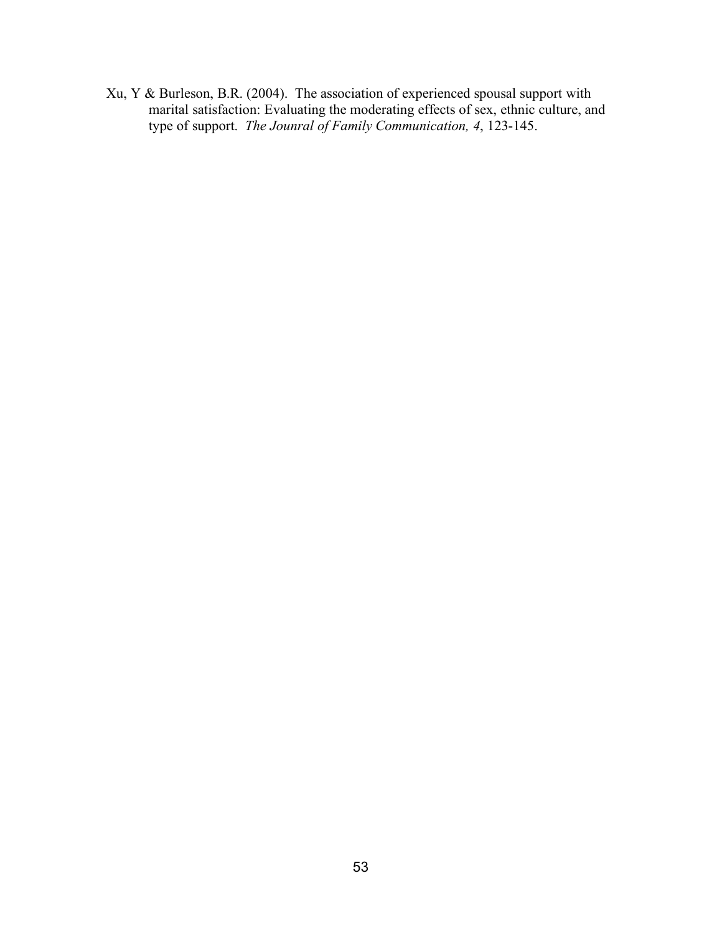Xu, Y & Burleson, B.R. (2004). The association of experienced spousal support with marital satisfaction: Evaluating the moderating effects of sex, ethnic culture, and type of support. *The Jounral of Family Communication, 4*, 123-145.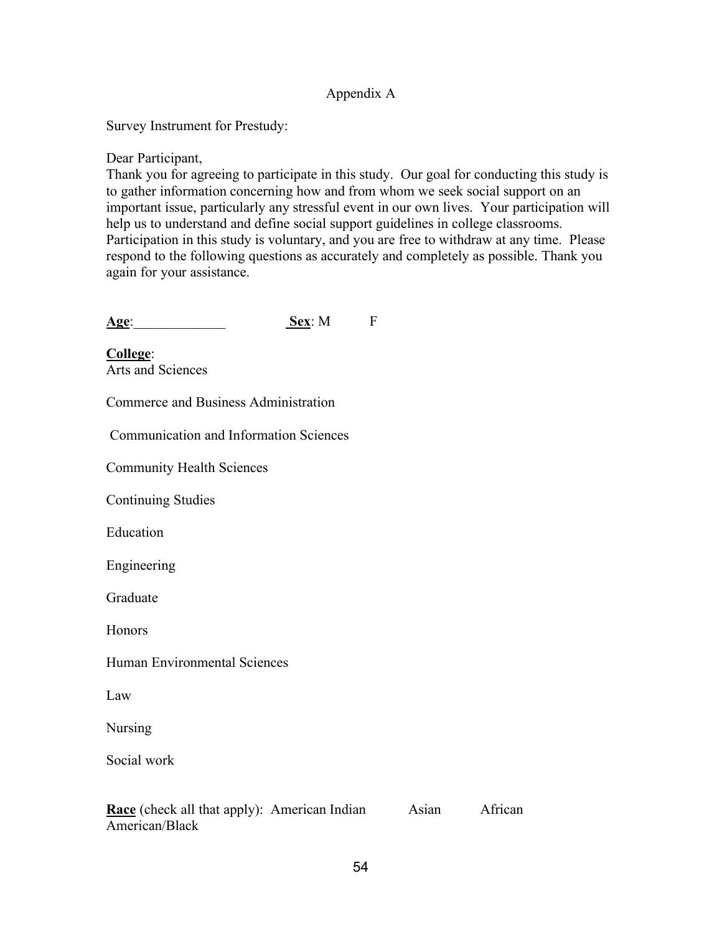## Appendix A

Survey Instrument for Prestudy:

Dear Participant,

Thank you for agreeing to participate in this study. Our goal for conducting this study is to gather information concerning how and from whom we seek social support on an important issue, particularly any stressful event in our own lives. Your participation will help us to understand and define social support guidelines in college classrooms. Participation in this study is voluntary, and you are free to withdraw at any time. Please respond to the following questions as accurately and completely as possible. Thank you again for your assistance.

| Age: | Sex: M |  |
|------|--------|--|

**College**: Arts and Sciences

Commerce and Business Administration

Communication and Information Sciences

Community Health Sciences

Continuing Studies

Education

Engineering

Graduate

Honors

Human Environmental Sciences

Law

Nursing

Social work

**Race** (check all that apply): American Indian Asian African American/Black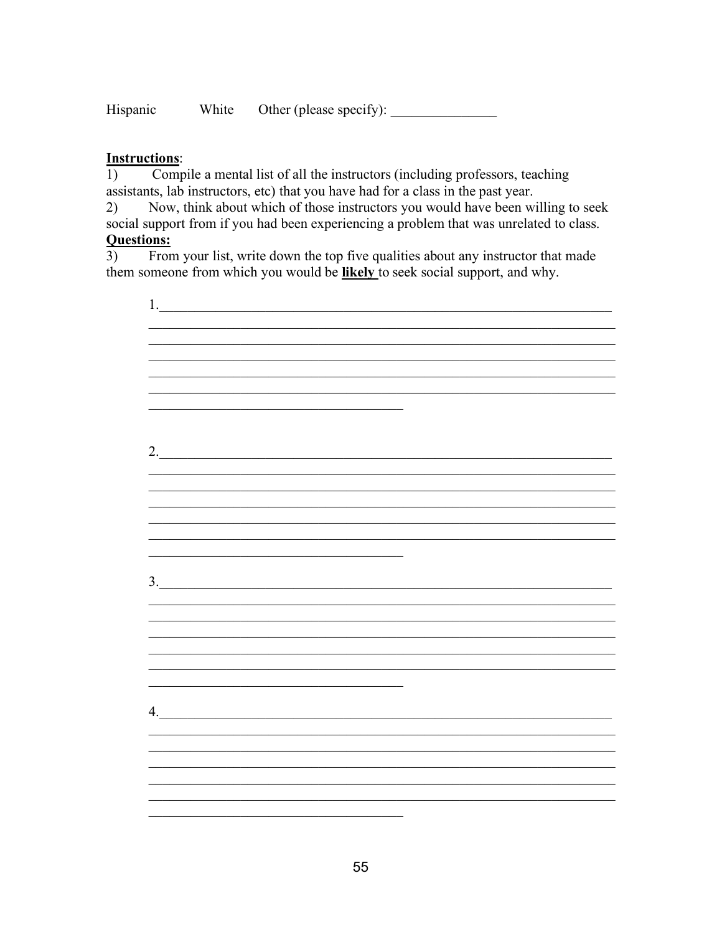White Hispanic

## **Instructions:**

Compile a mental list of all the instructors (including professors, teaching  $1)$ assistants, lab instructors, etc) that you have had for a class in the past year.

Now, think about which of those instructors you would have been willing to seek 2) social support from if you had been experiencing a problem that was unrelated to class. **Questions:** 

 $\overline{3}$ From your list, write down the top five qualities about any instructor that made them someone from which you would be likely to seek social support, and why.

| 2. |  |
|----|--|
|    |  |
|    |  |
|    |  |
|    |  |
|    |  |
|    |  |
| 3. |  |
|    |  |
|    |  |
|    |  |
|    |  |
|    |  |
|    |  |
| 4. |  |
|    |  |
|    |  |
|    |  |
|    |  |
|    |  |
|    |  |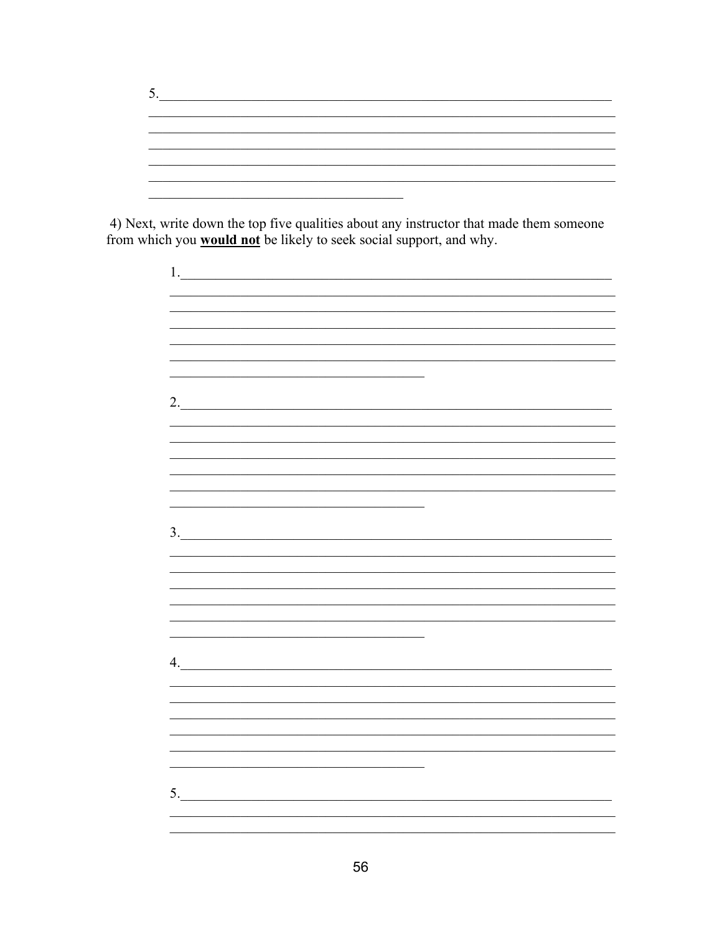4) Next, write down the top five qualities about any instructor that made them someone from which you **would not** be likely to seek social support, and why.

| <u> 1989 - Johann John Stein, market fan it ferskeart fan it ferskeart fan it ferskeart fan it ferskeart fan it f</u> |  |
|-----------------------------------------------------------------------------------------------------------------------|--|
| 2.                                                                                                                    |  |
|                                                                                                                       |  |
|                                                                                                                       |  |
|                                                                                                                       |  |
|                                                                                                                       |  |
| <u> 1989 - Johann Harry Harry Harry Harry Harry Harry Harry Harry Harry Harry Harry Harry Harry Harry Harry Harry</u> |  |
|                                                                                                                       |  |
| 3.                                                                                                                    |  |
|                                                                                                                       |  |
|                                                                                                                       |  |
|                                                                                                                       |  |
|                                                                                                                       |  |
|                                                                                                                       |  |
|                                                                                                                       |  |
|                                                                                                                       |  |
| 4.                                                                                                                    |  |
|                                                                                                                       |  |
| <u> 1989 - Johann Stoff, amerikansk politiker (d. 1989)</u>                                                           |  |
|                                                                                                                       |  |
|                                                                                                                       |  |
|                                                                                                                       |  |
|                                                                                                                       |  |
| 5.                                                                                                                    |  |
|                                                                                                                       |  |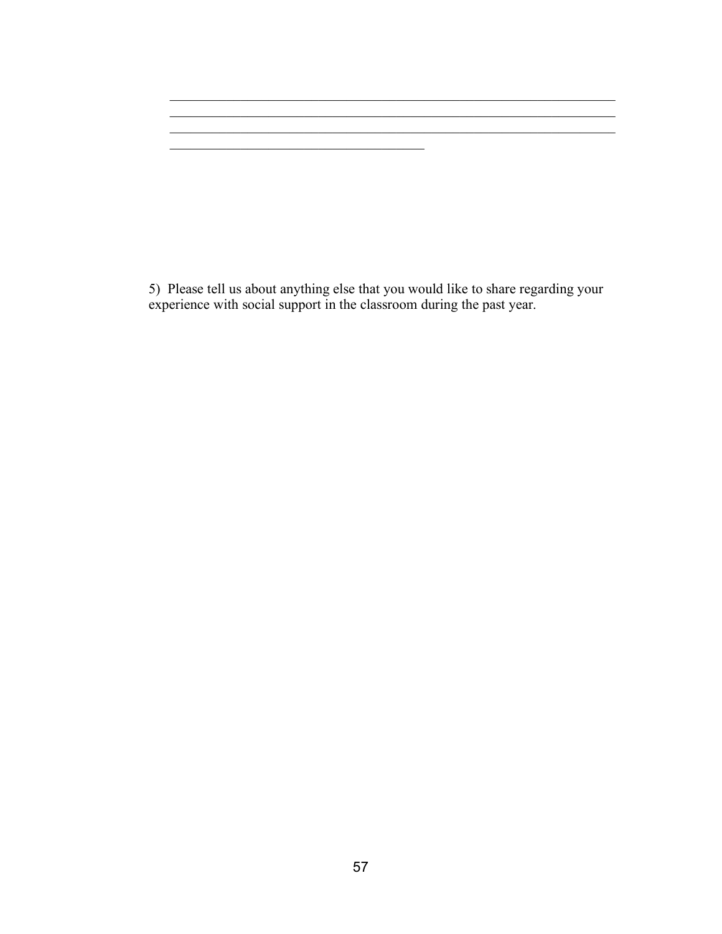5) Please tell us about anything else that you would like to share regarding your experience with social support in the classroom during the past year.

 $\mathcal{L}_\text{max} = \frac{1}{2} \sum_{i=1}^n \mathcal{L}_\text{max}(\mathbf{z}_i - \mathbf{z}_i)$ 

\_\_\_\_\_\_\_\_\_\_\_\_\_\_\_\_\_\_\_\_\_\_\_\_\_\_\_\_\_\_\_\_\_\_\_\_

 $\mathcal{L}_\text{max} = \mathcal{L}_\text{max} = \mathcal{L}_\text{max} = \mathcal{L}_\text{max} = \mathcal{L}_\text{max} = \mathcal{L}_\text{max} = \mathcal{L}_\text{max} = \mathcal{L}_\text{max} = \mathcal{L}_\text{max} = \mathcal{L}_\text{max} = \mathcal{L}_\text{max} = \mathcal{L}_\text{max} = \mathcal{L}_\text{max} = \mathcal{L}_\text{max} = \mathcal{L}_\text{max} = \mathcal{L}_\text{max} = \mathcal{L}_\text{max} = \mathcal{L}_\text{max} = \mathcal{$ \_\_\_\_\_\_\_\_\_\_\_\_\_\_\_\_\_\_\_\_\_\_\_\_\_\_\_\_\_\_\_\_\_\_\_\_\_\_\_\_\_\_\_\_\_\_\_\_\_\_\_\_\_\_\_\_\_\_\_\_\_\_\_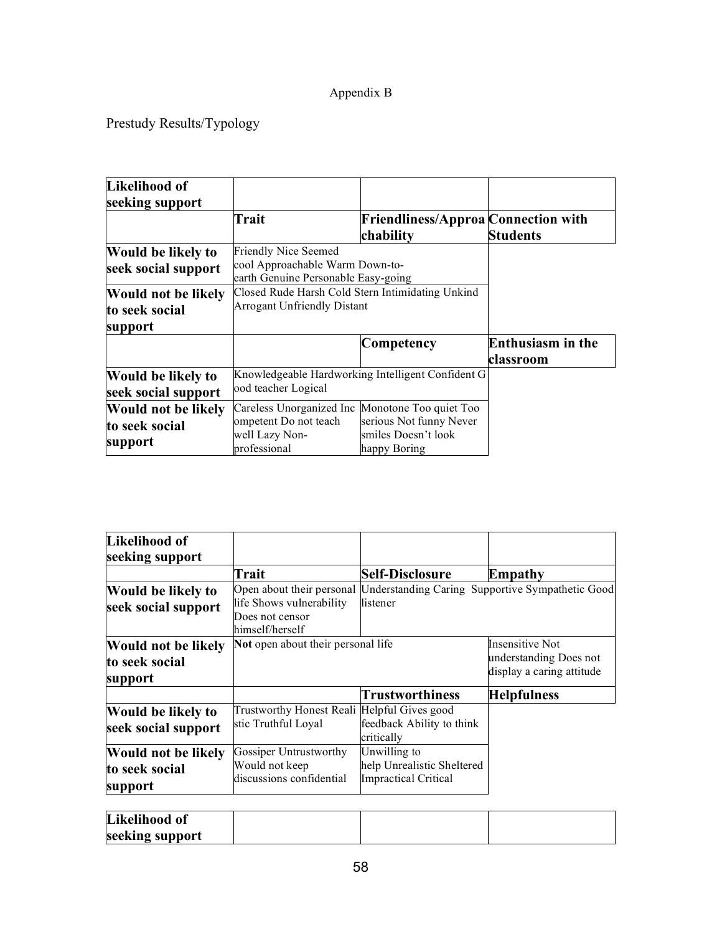## Appendix B

Prestudy Results/Typology

| Likelihood of              |                                                  |                                                   |                          |
|----------------------------|--------------------------------------------------|---------------------------------------------------|--------------------------|
| seeking support            |                                                  |                                                   |                          |
|                            | Trait                                            | <b>Friendliness/Approa Connection with</b>        |                          |
|                            |                                                  | chability                                         | <b>Students</b>          |
| Would be likely to         | <b>Friendly Nice Seemed</b>                      |                                                   |                          |
| seek social support        | cool Approachable Warm Down-to-                  |                                                   |                          |
|                            | earth Genuine Personable Easy-going              |                                                   |                          |
| <b>Would not be likely</b> | Closed Rude Harsh Cold Stern Intimidating Unkind |                                                   |                          |
| to seek social             | <b>Arrogant Unfriendly Distant</b>               |                                                   |                          |
| support                    |                                                  |                                                   |                          |
|                            |                                                  | Competency                                        | <b>Enthusiasm</b> in the |
|                            |                                                  |                                                   | classroom                |
| Would be likely to         |                                                  | Knowledgeable Hardworking Intelligent Confident G |                          |
| seek social support        | ood teacher Logical                              |                                                   |                          |
| <b>Would not be likely</b> | Careless Unorganized Inc Monotone Too quiet Too  |                                                   |                          |
| to seek social             | ompetent Do not teach                            | serious Not funny Never                           |                          |
|                            | well Lazy Non-                                   | smiles Doesn't look                               |                          |
| support                    | professional                                     | happy Boring                                      |                          |

| Likelihood of<br>seeking support |                                                                |                                                           |                                                                            |
|----------------------------------|----------------------------------------------------------------|-----------------------------------------------------------|----------------------------------------------------------------------------|
|                                  | Trait                                                          | <b>Self-Disclosure</b>                                    | Empathy                                                                    |
| Would be likely to               |                                                                |                                                           | Open about their personal Understanding Caring Supportive Sympathetic Good |
| seek social support              | life Shows vulnerability<br>Does not censor<br>himself/herself | listener                                                  |                                                                            |
| Would not be likely              | Not open about their personal life                             |                                                           | <b>Insensitive Not</b>                                                     |
| to seek social<br>support        |                                                                |                                                           | understanding Does not<br>display a caring attitude                        |
|                                  |                                                                | Trustworthiness                                           | <b>Helpfulness</b>                                                         |
| <b>Would be likely to</b>        | Trustworthy Honest Reali Helpful Gives good                    |                                                           |                                                                            |
| seek social support              | stic Truthful Loyal                                            | feedback Ability to think<br>critically                   |                                                                            |
| <b>Would not be likely</b>       | Gossiper Untrustworthy                                         | Unwilling to                                              |                                                                            |
| to seek social<br>support        | Would not keep<br>discussions confidential                     | help Unrealistic Sheltered<br><b>Impractical Critical</b> |                                                                            |

| Likelihood of   |  |  |
|-----------------|--|--|
| seeking support |  |  |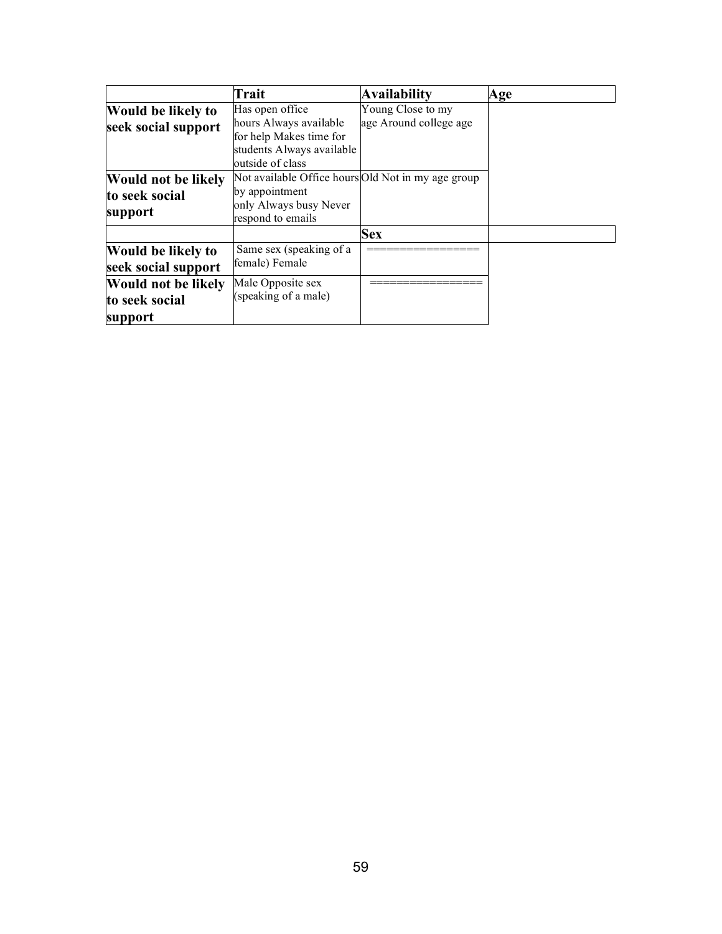|                            | <b>Trait</b>                                       | <b>Availability</b>    | Age |
|----------------------------|----------------------------------------------------|------------------------|-----|
| <b>Would be likely to</b>  | Has open office                                    | Young Close to my      |     |
| seek social support        | hours Always available                             | age Around college age |     |
|                            | for help Makes time for                            |                        |     |
|                            | students Always available                          |                        |     |
|                            | outside of class                                   |                        |     |
| <b>Would not be likely</b> | Not available Office hours Old Not in my age group |                        |     |
| to seek social             | by appointment                                     |                        |     |
|                            | only Always busy Never                             |                        |     |
| support                    | respond to emails                                  |                        |     |
|                            |                                                    | <b>Sex</b>             |     |
| <b>Would be likely to</b>  | Same sex (speaking of a                            |                        |     |
| seek social support        | female) Female                                     |                        |     |
| <b>Would not be likely</b> | Male Opposite sex                                  |                        |     |
| to seek social             | (speaking of a male)                               |                        |     |
| support                    |                                                    |                        |     |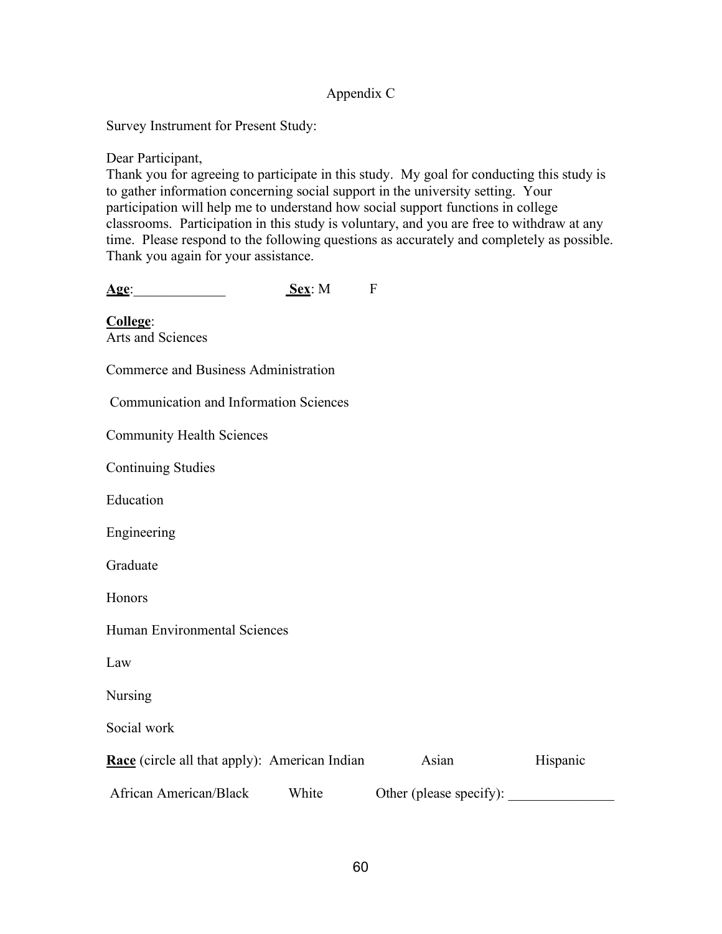## Appendix C

Survey Instrument for Present Study:

Dear Participant,

Thank you for agreeing to participate in this study. My goal for conducting this study is to gather information concerning social support in the university setting. Your participation will help me to understand how social support functions in college classrooms. Participation in this study is voluntary, and you are free to withdraw at any time. Please respond to the following questions as accurately and completely as possible. Thank you again for your assistance.

| Age:                                          | Sex: M | F |
|-----------------------------------------------|--------|---|
| College:<br>Arts and Sciences                 |        |   |
| Commerce and Business Administration          |        |   |
| <b>Communication and Information Sciences</b> |        |   |
| <b>Community Health Sciences</b>              |        |   |
| <b>Continuing Studies</b>                     |        |   |
| Education                                     |        |   |

Engineering

Graduate

Honors

Human Environmental Sciences

Law

Nursing

Social work

| <b>Race</b> (circle all that apply): American Indian |       | Asian                   | Hispanic |
|------------------------------------------------------|-------|-------------------------|----------|
| African American/Black                               | White | Other (please specify): |          |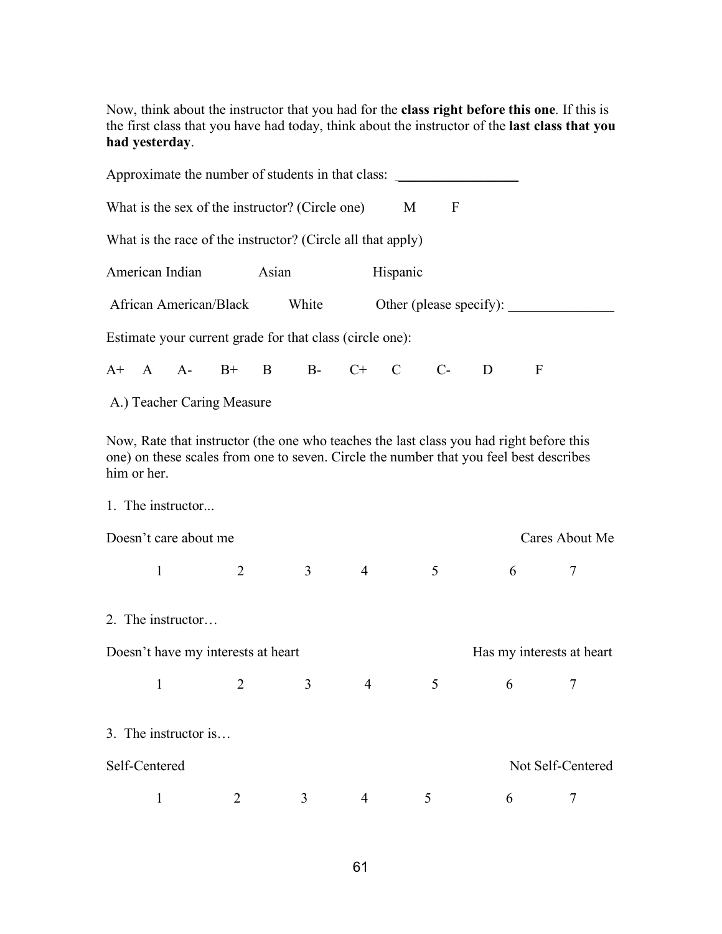Now, think about the instructor that you had for the **class right before this one**. If this is the first class that you have had today, think about the instructor of the **last class that you had yesterday**.

|               |                       | Approximate the number of students in that class:           |       |                |                |          |                         |   |                                                                                                                                                                                   |                           |
|---------------|-----------------------|-------------------------------------------------------------|-------|----------------|----------------|----------|-------------------------|---|-----------------------------------------------------------------------------------------------------------------------------------------------------------------------------------|---------------------------|
|               |                       | What is the sex of the instructor? (Circle one)             |       |                |                | M        | $\mathbf F$             |   |                                                                                                                                                                                   |                           |
|               |                       | What is the race of the instructor? (Circle all that apply) |       |                |                |          |                         |   |                                                                                                                                                                                   |                           |
|               | American Indian       |                                                             | Asian |                |                | Hispanic |                         |   |                                                                                                                                                                                   |                           |
|               |                       | African American/Black                                      |       | White          |                |          | Other (please specify): |   |                                                                                                                                                                                   |                           |
|               |                       | Estimate your current grade for that class (circle one):    |       |                |                |          |                         |   |                                                                                                                                                                                   |                           |
|               |                       | A+ A A- B+ B B- C+ C C-                                     |       |                |                |          |                         | D | $\mathbf F$                                                                                                                                                                       |                           |
|               |                       | A.) Teacher Caring Measure                                  |       |                |                |          |                         |   |                                                                                                                                                                                   |                           |
| him or her.   | 1. The instructor     |                                                             |       |                |                |          |                         |   | Now, Rate that instructor (the one who teaches the last class you had right before this<br>one) on these scales from one to seven. Circle the number that you feel best describes |                           |
|               | Doesn't care about me |                                                             |       |                |                |          |                         |   |                                                                                                                                                                                   | Cares About Me            |
| $\mathbf{1}$  |                       | 2                                                           |       | 3 <sup>1</sup> | $\overline{4}$ |          | 5                       |   | 6                                                                                                                                                                                 | 7                         |
|               | 2. The instructor     |                                                             |       |                |                |          |                         |   |                                                                                                                                                                                   |                           |
|               |                       | Doesn't have my interests at heart                          |       |                |                |          |                         |   |                                                                                                                                                                                   | Has my interests at heart |
| $\mathbf{1}$  |                       | $\overline{2}$                                              |       | 3              | 4              |          | 5                       |   | 6                                                                                                                                                                                 | 7                         |
|               | 3. The instructor is  |                                                             |       |                |                |          |                         |   |                                                                                                                                                                                   |                           |
| Self-Centered |                       |                                                             |       |                |                |          |                         |   |                                                                                                                                                                                   | Not Self-Centered         |
| 1             |                       | 2                                                           |       | 3              | 4              |          | 5                       |   | 6                                                                                                                                                                                 | 7                         |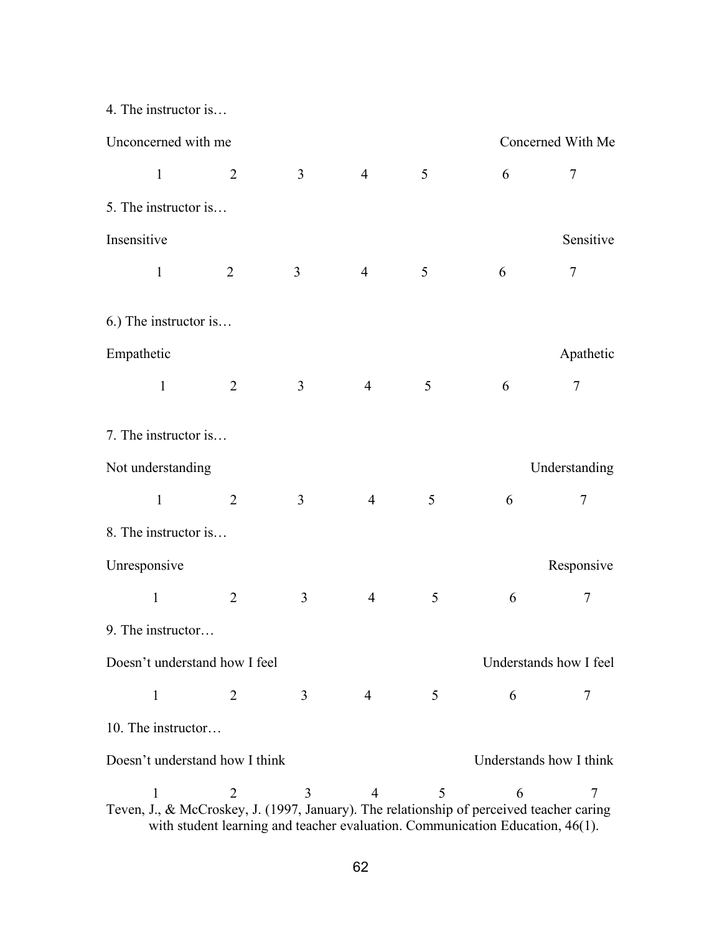4. The instructor is…

| Unconcerned with me<br>Concerned With Me                                                                                                                                                                                             |                |                |                |   |   |                |  |  |  |  |
|--------------------------------------------------------------------------------------------------------------------------------------------------------------------------------------------------------------------------------------|----------------|----------------|----------------|---|---|----------------|--|--|--|--|
| $\mathbf{1}$                                                                                                                                                                                                                         | $\overline{2}$ | $\overline{3}$ | $\overline{4}$ | 5 | 6 | 7              |  |  |  |  |
| 5. The instructor is                                                                                                                                                                                                                 |                |                |                |   |   |                |  |  |  |  |
| Insensitive                                                                                                                                                                                                                          |                |                |                |   |   | Sensitive      |  |  |  |  |
| $\mathbf{1}$                                                                                                                                                                                                                         | $\overline{2}$ | 3              | $\overline{4}$ | 5 | 6 | $\overline{7}$ |  |  |  |  |
| 6.) The instructor is                                                                                                                                                                                                                |                |                |                |   |   |                |  |  |  |  |
| Empathetic                                                                                                                                                                                                                           |                |                |                |   |   | Apathetic      |  |  |  |  |
| $\mathbf 1$                                                                                                                                                                                                                          | $\overline{2}$ | 3              | $\overline{4}$ | 5 | 6 | $\tau$         |  |  |  |  |
| 7. The instructor is                                                                                                                                                                                                                 |                |                |                |   |   |                |  |  |  |  |
| Not understanding                                                                                                                                                                                                                    |                |                |                |   |   | Understanding  |  |  |  |  |
| $\mathbf{1}$                                                                                                                                                                                                                         | $\overline{2}$ | $\overline{3}$ | $\overline{4}$ | 5 | 6 | $\overline{7}$ |  |  |  |  |
| 8. The instructor is                                                                                                                                                                                                                 |                |                |                |   |   |                |  |  |  |  |
| Unresponsive                                                                                                                                                                                                                         |                |                |                |   |   | Responsive     |  |  |  |  |
| $\mathbf{1}$                                                                                                                                                                                                                         | $\overline{2}$ | 3              | $\overline{4}$ | 5 | 6 | 7              |  |  |  |  |
| 9. The instructor                                                                                                                                                                                                                    |                |                |                |   |   |                |  |  |  |  |
| Doesn't understand how I feel<br>Understands how I feel                                                                                                                                                                              |                |                |                |   |   |                |  |  |  |  |
| $\mathbf{1}$                                                                                                                                                                                                                         | 2              | 3              | 4              | 5 | 6 | 7              |  |  |  |  |
| 10. The instructor                                                                                                                                                                                                                   |                |                |                |   |   |                |  |  |  |  |
| Doesn't understand how I think<br>Understands how I think                                                                                                                                                                            |                |                |                |   |   |                |  |  |  |  |
| 5<br>3<br>$\mathbf{1}$<br>2<br>$\overline{4}$<br>6<br>7<br>Teven, J., & McCroskey, J. (1997, January). The relationship of perceived teacher caring<br>with student learning and teacher evaluation. Communication Education, 46(1). |                |                |                |   |   |                |  |  |  |  |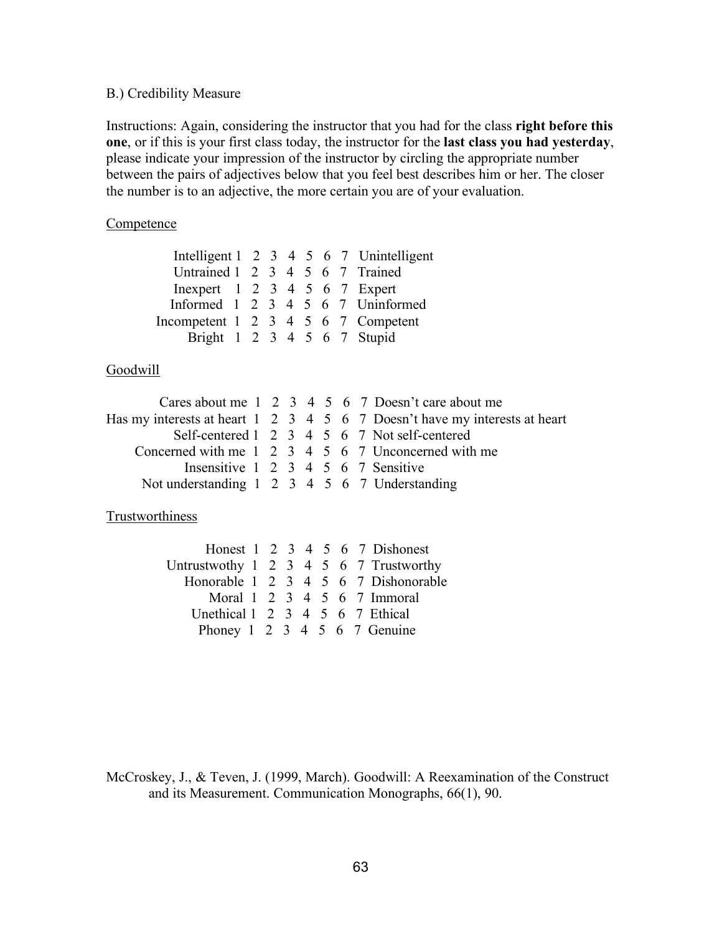## B.) Credibility Measure

Instructions: Again, considering the instructor that you had for the class **right before this one**, or if this is your first class today, the instructor for the **last class you had yesterday**, please indicate your impression of the instructor by circling the appropriate number between the pairs of adjectives below that you feel best describes him or her. The closer the number is to an adjective, the more certain you are of your evaluation.

## **Competence**

|                                                   |  |  |  | Intelligent 1 2 3 4 5 6 7 Unintelligent |                                   |
|---------------------------------------------------|--|--|--|-----------------------------------------|-----------------------------------|
| Untrained 1 2 3 4 5 6 7 Trained                   |  |  |  |                                         |                                   |
| In expert $1 \t2 \t3 \t4 \t5 \t6 \t7 \t$ Expert   |  |  |  |                                         |                                   |
|                                                   |  |  |  |                                         | Informed 1 2 3 4 5 6 7 Uninformed |
| Incompetent $1 \t2 \t3 \t4 \t5 \t6 \t7$ Competent |  |  |  |                                         |                                   |
| Bright 1 2 3 4 5 6 7 Stupid                       |  |  |  |                                         |                                   |
|                                                   |  |  |  |                                         |                                   |

## Goodwill

|                                               |  |  |  | Cares about me 1 2 3 4 5 6 7 Doesn't care about me                         |
|-----------------------------------------------|--|--|--|----------------------------------------------------------------------------|
|                                               |  |  |  | Has my interests at heart 1 2 3 4 5 6 7 Doesn't have my interests at heart |
|                                               |  |  |  | Self-centered 1 2 3 4 5 6 7 Not self-centered                              |
|                                               |  |  |  | Concerned with me 1 2 3 4 5 6 7 Unconcerned with me                        |
| Insensitive 1 2 3 4 5 6 7 Sensitive           |  |  |  |                                                                            |
| Not understanding 1 2 3 4 5 6 7 Understanding |  |  |  |                                                                            |

## **Trustworthiness**

|                                               |  |  |  | Honest $1 \t2 \t3 \t4 \t5 \t6 \t7$ Dishonest |
|-----------------------------------------------|--|--|--|----------------------------------------------|
| Untrustwothy 1 2 3 4 5 6 7 Trustworthy        |  |  |  |                                              |
|                                               |  |  |  | Honorable 1 2 3 4 5 6 7 Dishonorable         |
|                                               |  |  |  | Moral 1 2 3 4 5 6 7 Immoral                  |
| Unethical $1 \t2 \t3 \t4 \t5 \t6 \t7$ Ethical |  |  |  |                                              |
| Phoney 1 2 3 4 5 6 7 Genuine                  |  |  |  |                                              |

McCroskey, J., & Teven, J. (1999, March). Goodwill: A Reexamination of the Construct and its Measurement. Communication Monographs, 66(1), 90.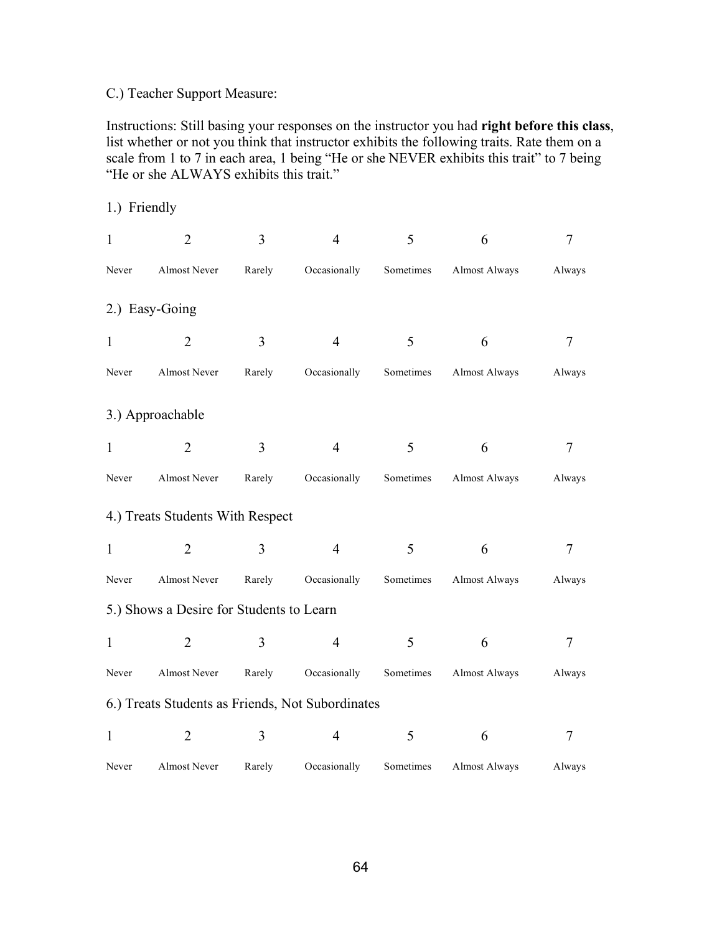## C.) Teacher Support Measure:

Instructions: Still basing your responses on the instructor you had **right before this class**, list whether or not you think that instructor exhibits the following traits. Rate them on a scale from 1 to 7 in each area, 1 being "He or she NEVER exhibits this trait" to 7 being "He or she ALWAYS exhibits this trait."

| 1.) Friendly                             |                                                  |        |                |           |               |        |  |  |  |  |  |
|------------------------------------------|--------------------------------------------------|--------|----------------|-----------|---------------|--------|--|--|--|--|--|
| $\mathbf{1}$                             | $\overline{2}$                                   | 3      | $\overline{4}$ | 5         | 6             | 7      |  |  |  |  |  |
| Never                                    | Almost Never                                     | Rarely | Occasionally   | Sometimes | Almost Always | Always |  |  |  |  |  |
|                                          | 2.) Easy-Going                                   |        |                |           |               |        |  |  |  |  |  |
| $\mathbf{1}$                             | $\overline{2}$                                   | 3      | $\overline{4}$ | 5         | 6             | 7      |  |  |  |  |  |
| Never                                    | Almost Never                                     | Rarely | Occasionally   | Sometimes | Almost Always | Always |  |  |  |  |  |
|                                          | 3.) Approachable                                 |        |                |           |               |        |  |  |  |  |  |
| $\mathbf{1}$                             | $\overline{2}$                                   | 3      | $\overline{4}$ | 5         | 6             | 7      |  |  |  |  |  |
| Never                                    | Almost Never                                     | Rarely | Occasionally   | Sometimes | Almost Always | Always |  |  |  |  |  |
|                                          | 4.) Treats Students With Respect                 |        |                |           |               |        |  |  |  |  |  |
| $\mathbf{1}$                             | $\overline{2}$                                   | 3      | $\overline{4}$ | 5         | 6             | 7      |  |  |  |  |  |
| Never                                    | Almost Never                                     | Rarely | Occasionally   | Sometimes | Almost Always | Always |  |  |  |  |  |
| 5.) Shows a Desire for Students to Learn |                                                  |        |                |           |               |        |  |  |  |  |  |
| $\mathbf{1}$                             | $\overline{2}$                                   | 3      | $\overline{4}$ | 5         | 6             | $\tau$ |  |  |  |  |  |
| Never                                    | Almost Never                                     | Rarely | Occasionally   | Sometimes | Almost Always | Always |  |  |  |  |  |
|                                          | 6.) Treats Students as Friends, Not Subordinates |        |                |           |               |        |  |  |  |  |  |
| $\mathbf{1}$                             | $\overline{2}$                                   | 3      | $\overline{4}$ | 5         | 6             | 7      |  |  |  |  |  |
| Never                                    | Almost Never                                     | Rarely | Occasionally   | Sometimes | Almost Always | Always |  |  |  |  |  |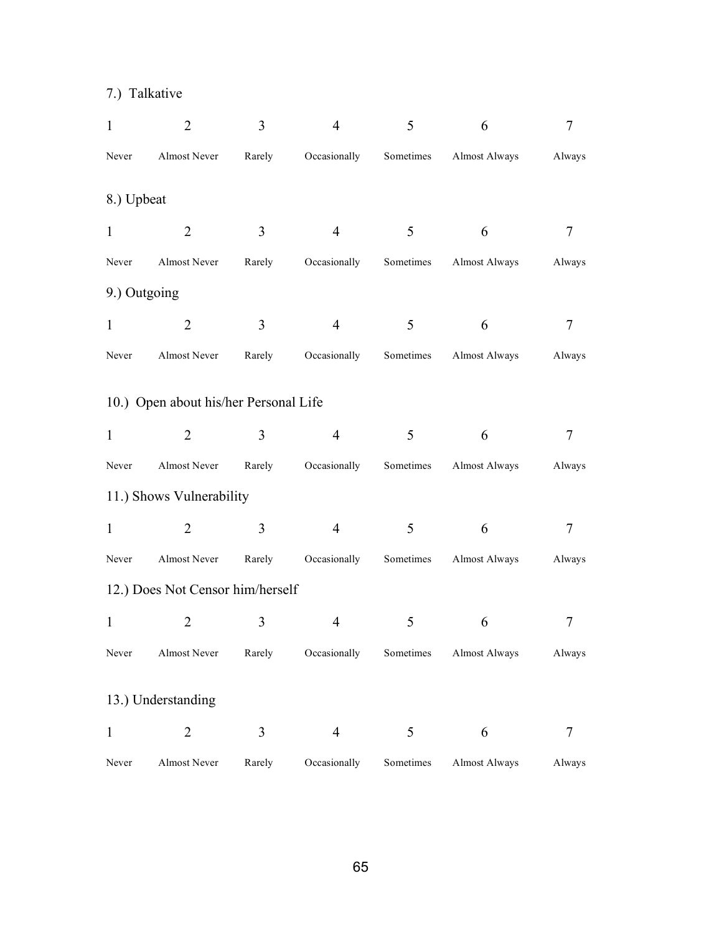### 7.) Talkative

| $\mathbf{1}$ | $\overline{2}$                        | 3      | $\overline{4}$ | 5         | 6             | 7      |
|--------------|---------------------------------------|--------|----------------|-----------|---------------|--------|
| Never        | Almost Never                          | Rarely | Occasionally   | Sometimes | Almost Always | Always |
| 8.) Upbeat   |                                       |        |                |           |               |        |
| $\mathbf{1}$ | $\overline{2}$                        | 3      | $\overline{4}$ | 5         | 6             | 7      |
| Never        | Almost Never                          | Rarely | Occasionally   | Sometimes | Almost Always | Always |
| 9.) Outgoing |                                       |        |                |           |               |        |
| $\mathbf{1}$ | $\overline{2}$                        | 3      | $\overline{4}$ | 5         | 6             | 7      |
| Never        | Almost Never                          | Rarely | Occasionally   | Sometimes | Almost Always | Always |
|              | 10.) Open about his/her Personal Life |        |                |           |               |        |
| $\mathbf{1}$ | $\overline{2}$                        | 3      | $\overline{4}$ | 5         | 6             | 7      |
| Never        | Almost Never                          | Rarely | Occasionally   | Sometimes | Almost Always | Always |
|              | 11.) Shows Vulnerability              |        |                |           |               |        |
| $\mathbf{1}$ | $\overline{2}$                        | 3      | $\overline{4}$ | 5         | 6             | 7      |
| Never        | Almost Never                          | Rarely | Occasionally   | Sometimes | Almost Always | Always |
|              | 12.) Does Not Censor him/herself      |        |                |           |               |        |
| $\mathbf{1}$ | 2                                     | 3      | 4              | 5         | 6             | 7      |
| Never        | Almost Never                          | Rarely | Occasionally   | Sometimes | Almost Always | Always |
|              | 13.) Understanding                    |        |                |           |               |        |
| $\mathbf{1}$ | $\overline{2}$                        | 3      | $\overline{4}$ | 5         | 6             | 7      |
| Never        | Almost Never                          | Rarely | Occasionally   | Sometimes | Almost Always | Always |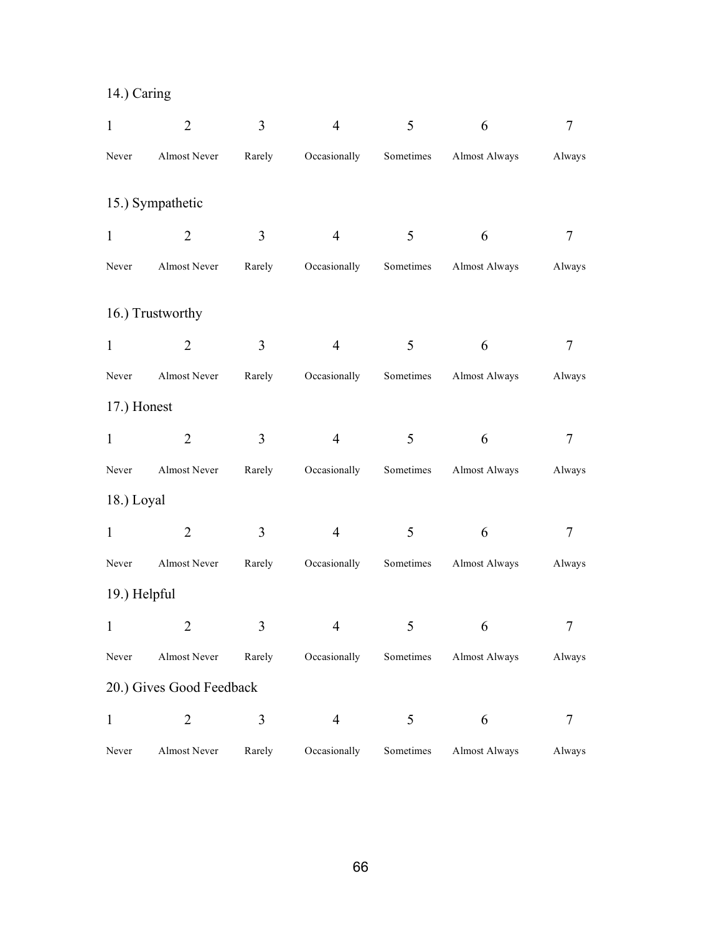# 14.) Caring

| $\mathbf{1}$ | $\overline{2}$           | 3      | $\overline{4}$ | 5         | 6             | 7      |
|--------------|--------------------------|--------|----------------|-----------|---------------|--------|
| Never        | Almost Never             | Rarely | Occasionally   | Sometimes | Almost Always | Always |
|              | 15.) Sympathetic         |        |                |           |               |        |
| $\mathbf{1}$ | $\overline{2}$           | 3      | $\overline{4}$ | 5         | 6             | 7      |
| Never        | Almost Never             | Rarely | Occasionally   | Sometimes | Almost Always | Always |
|              | 16.) Trustworthy         |        |                |           |               |        |
| $\mathbf{1}$ | $\overline{2}$           | 3      | $\overline{4}$ | 5         | 6             | 7      |
| Never        | Almost Never             | Rarely | Occasionally   | Sometimes | Almost Always | Always |
| 17.) Honest  |                          |        |                |           |               |        |
| $\mathbf{1}$ | $\overline{2}$           | 3      | $\overline{4}$ | 5         | 6             | 7      |
| Never        | Almost Never             | Rarely | Occasionally   | Sometimes | Almost Always | Always |
| 18.) Loyal   |                          |        |                |           |               |        |
| $\mathbf{1}$ | $\overline{2}$           | 3      | $\overline{4}$ | 5         | 6             | 7      |
| Never        | Almost Never             | Rarely | Occasionally   | Sometimes | Almost Always | Always |
| 19.) Helpful |                          |        |                |           |               |        |
| $\mathbf{1}$ | $\overline{2}$           | 3      | 4              | 5         | 6             | 7      |
| Never        | Almost Never             | Rarely | Occasionally   | Sometimes | Almost Always | Always |
|              | 20.) Gives Good Feedback |        |                |           |               |        |
| $\mathbf{1}$ | $\overline{2}$           | 3      | $\overline{4}$ | 5         | 6             | 7      |
| Never        | Almost Never             | Rarely | Occasionally   | Sometimes | Almost Always | Always |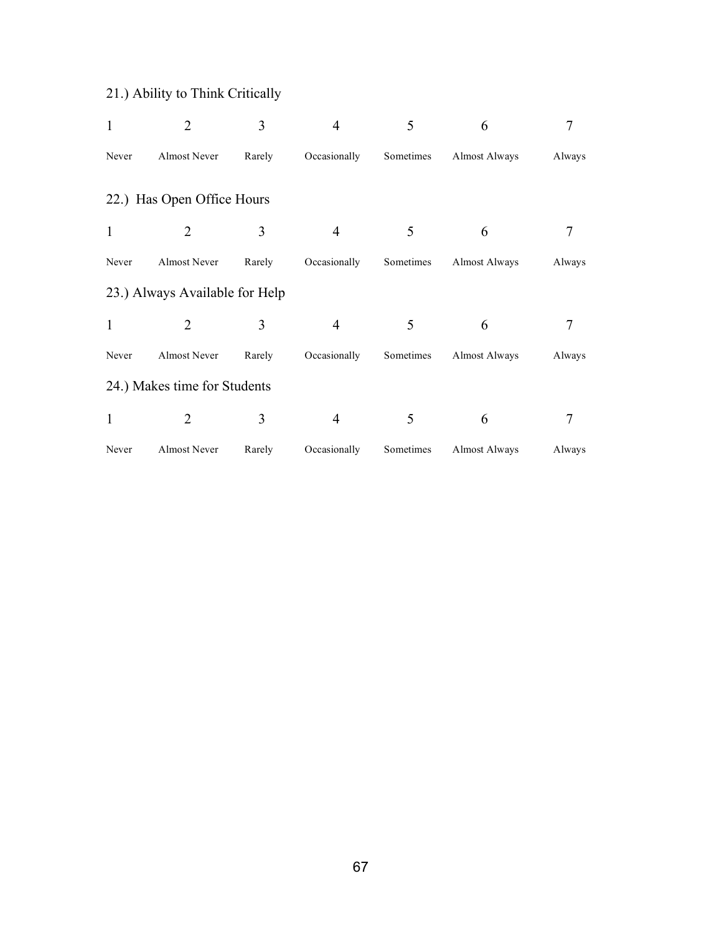# 21.) Ability to Think Critically

| $\mathbf{1}$ | $\overline{2}$                 | 3      | 4              | 5         | 6                    | 7      |
|--------------|--------------------------------|--------|----------------|-----------|----------------------|--------|
| Never        | Almost Never                   | Rarely | Occasionally   | Sometimes | <b>Almost Always</b> | Always |
|              | 22.) Has Open Office Hours     |        |                |           |                      |        |
| $\mathbf{1}$ | $\overline{2}$                 | 3      | 4              | 5         | 6                    |        |
| Never        | Almost Never                   | Rarely | Occasionally   | Sometimes | Almost Always        | Always |
|              | 23.) Always Available for Help |        |                |           |                      |        |
| $\mathbf{1}$ | 2                              | 3      | 4              | 5         | 6                    |        |
| Never        | Almost Never                   | Rarely | Occasionally   | Sometimes | Almost Always        | Always |
|              | 24.) Makes time for Students   |        |                |           |                      |        |
| $\mathbf{1}$ | 2                              | 3      | $\overline{4}$ | 5         | 6                    | 7      |
| Never        | Almost Never                   | Rarely | Occasionally   | Sometimes | <b>Almost Always</b> | Always |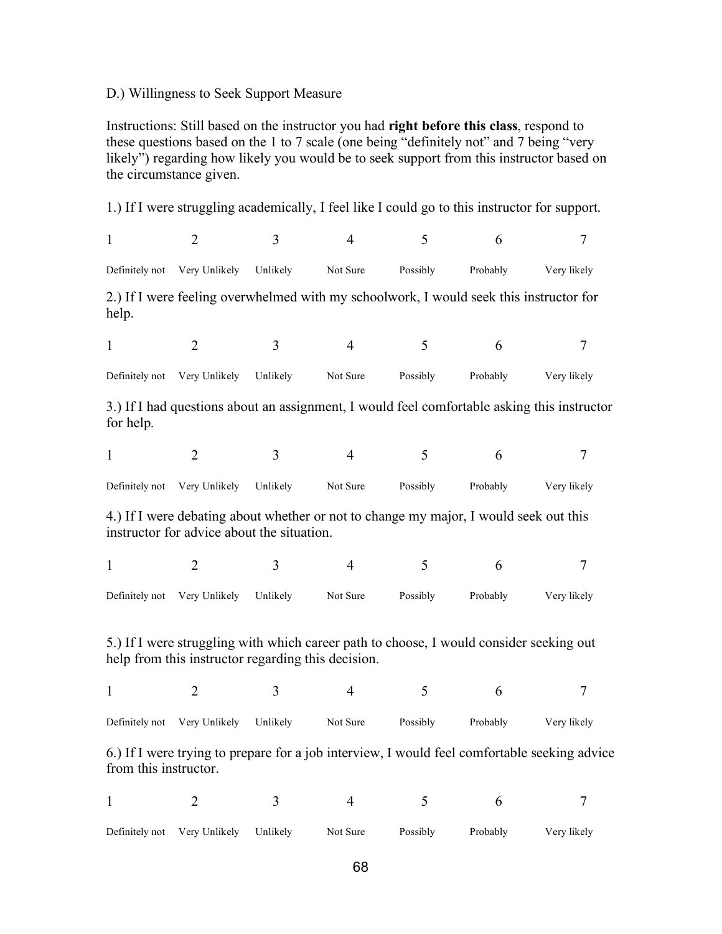#### D.) Willingness to Seek Support Measure

Instructions: Still based on the instructor you had **right before this class**, respond to these questions based on the 1 to 7 scale (one being "definitely not" and 7 being "very likely") regarding how likely you would be to seek support from this instructor based on the circumstance given.

1.) If I were struggling academically, I feel like I could go to this instructor for support.

| $\mathbf{1}$          | $\overline{2}$                                     | 3        | $\overline{4}$                                                                          | 5        | 6        | $\overline{7}$                                                                               |
|-----------------------|----------------------------------------------------|----------|-----------------------------------------------------------------------------------------|----------|----------|----------------------------------------------------------------------------------------------|
| Definitely not        | Very Unlikely                                      | Unlikely | Not Sure                                                                                | Possibly | Probably | Very likely                                                                                  |
| help.                 |                                                    |          | 2.) If I were feeling overwhelmed with my schoolwork, I would seek this instructor for  |          |          |                                                                                              |
| $\mathbf{1}$          | $\overline{2}$                                     | 3        | $\overline{4}$                                                                          | 5        | 6        | $\overline{7}$                                                                               |
| Definitely not        | Very Unlikely                                      | Unlikely | Not Sure                                                                                | Possibly | Probably | Very likely                                                                                  |
| for help.             |                                                    |          |                                                                                         |          |          | 3.) If I had questions about an assignment, I would feel comfortable asking this instructor  |
| 1                     | $\overline{2}$                                     | 3        | $\overline{4}$                                                                          | 5        | 6        | 7                                                                                            |
| Definitely not        | Very Unlikely                                      | Unlikely | Not Sure                                                                                | Possibly | Probably | Very likely                                                                                  |
|                       | instructor for advice about the situation.         |          | 4.) If I were debating about whether or not to change my major, I would seek out this   |          |          |                                                                                              |
| $\mathbf{1}$          | $\overline{2}$                                     | 3        | $\overline{4}$                                                                          | 5        | 6        | $\overline{7}$                                                                               |
| Definitely not        | Very Unlikely                                      | Unlikely | Not Sure                                                                                | Possibly | Probably | Very likely                                                                                  |
|                       | help from this instructor regarding this decision. |          | 5.) If I were struggling with which career path to choose, I would consider seeking out |          |          |                                                                                              |
| $\mathbf{1}$          | $\overline{2}$                                     | 3        | $\overline{4}$                                                                          | 5        | 6        | 7                                                                                            |
| Definitely not        | Very Unlikely                                      | Unlikely | Not Sure                                                                                | Possibly | Probably | Very likely                                                                                  |
| from this instructor. |                                                    |          |                                                                                         |          |          | 6.) If I were trying to prepare for a job interview, I would feel comfortable seeking advice |

| Definitely not Very Unlikely Unlikely | Not Sure | Possibly | Probably | Very likely |
|---------------------------------------|----------|----------|----------|-------------|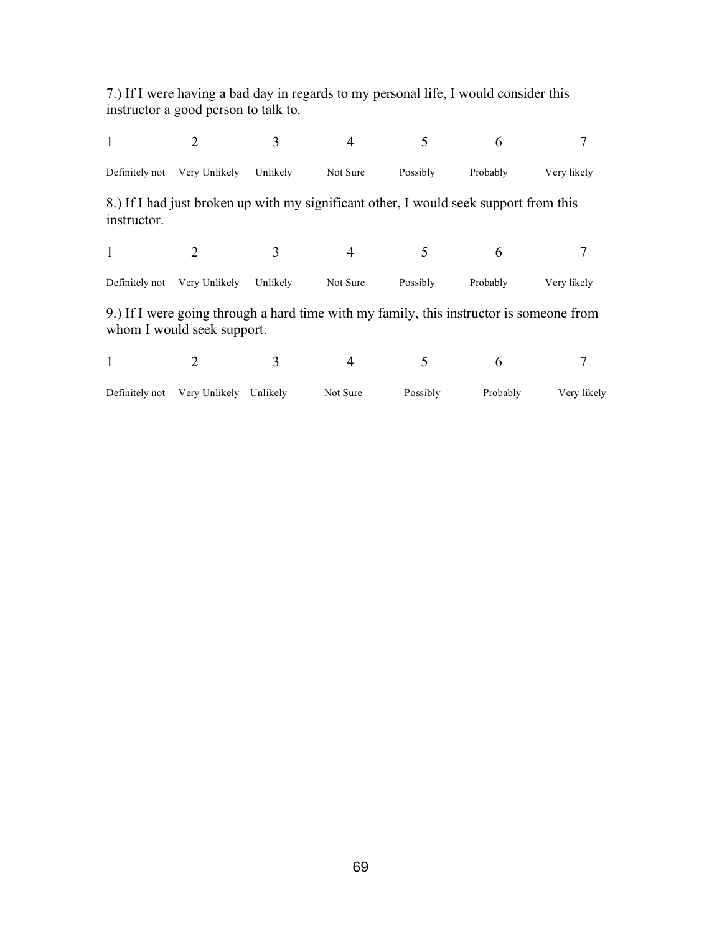7.) If I were having a bad day in regards to my personal life, I would consider this instructor a good person to talk to.

|                |                                                                                                                       |          |          |          | 6        |             |
|----------------|-----------------------------------------------------------------------------------------------------------------------|----------|----------|----------|----------|-------------|
| Definitely not | Very Unlikely                                                                                                         | Unlikely | Not Sure | Possibly | Probably | Very likely |
| instructor.    | 8.) If I had just broken up with my significant other, I would seek support from this                                 |          |          |          |          |             |
| 1              |                                                                                                                       |          | 4        |          | 6        |             |
| Definitely not | Very Unlikely                                                                                                         | Unlikely | Not Sure | Possibly | Probably | Very likely |
|                | 9.) If I were going through a hard time with my family, this instructor is someone from<br>whom I would seek support. |          |          |          |          |             |
| 1              |                                                                                                                       |          |          |          | 6        |             |

| Definitely not Very Unlikely Unlikely | Not Sure | Possibly | Probably | Very likely |
|---------------------------------------|----------|----------|----------|-------------|
|                                       |          |          |          |             |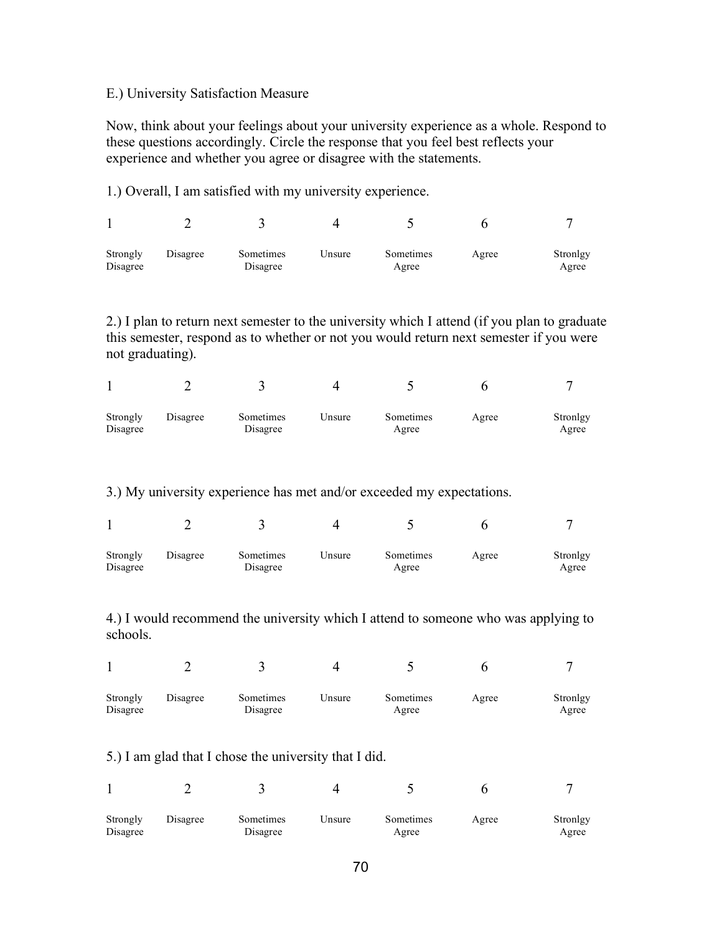#### E.) University Satisfaction Measure

Now, think about your feelings about your university experience as a whole. Respond to these questions accordingly. Circle the response that you feel best reflects your experience and whether you agree or disagree with the statements.

1.) Overall, I am satisfied with my university experience.

| Strongly<br>Disagree | Disagree | Sometimes<br>Disagree | Unsure | Sometimes<br>Agree | Agree | Stronlgy<br>Agree |
|----------------------|----------|-----------------------|--------|--------------------|-------|-------------------|

2.) I plan to return next semester to the university which I attend (if you plan to graduate this semester, respond as to whether or not you would return next semester if you were not graduating).

|                      |          |                       |        | $\overline{\phantom{a}}$ |       |                   |
|----------------------|----------|-----------------------|--------|--------------------------|-------|-------------------|
| Strongly<br>Disagree | Disagree | Sometimes<br>Disagree | ∪nsure | Sometimes<br>Agree       | Agree | Stronlgy<br>Agree |

3.) My university experience has met and/or exceeded my expectations.

| Strongly<br>Disagree | Disagree | Sometimes<br>Disagree | Unsure | Sometimes<br>Agree | Agree | Stronlgy<br>Agree |
|----------------------|----------|-----------------------|--------|--------------------|-------|-------------------|

4.) I would recommend the university which I attend to someone who was applying to schools.

| Strongly<br>Disagree | Disagree | Sometimes<br>Disagree | Unsure | Sometimes<br>Agree | Agree | Stronlgy<br>Agree |
|----------------------|----------|-----------------------|--------|--------------------|-------|-------------------|

5.) I am glad that I chose the university that I did.

| Strongly<br>Disagree | Disagree | Sometimes<br>Disagree | Unsure | Sometimes<br>Agree | Agree | Stronlgy<br>Agree |
|----------------------|----------|-----------------------|--------|--------------------|-------|-------------------|